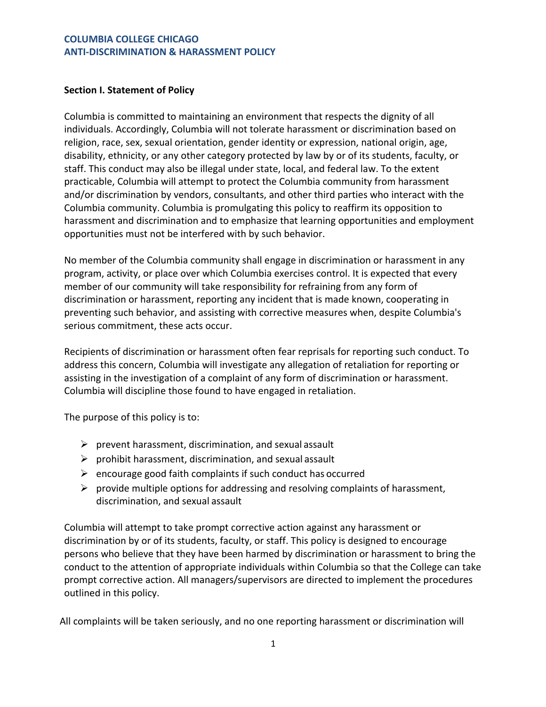## **COLUMBIA COLLEGE CHICAGO ANTI-DISCRIMINATION & HARASSMENT POLICY**

## **Section I. Statement of Policy**

Columbia is committed to maintaining an environment that respects the dignity of all individuals. Accordingly, Columbia will not tolerate harassment or discrimination based on religion, race, sex, sexual orientation, gender identity or expression, national origin, age, disability, ethnicity, or any other category protected by law by or of its students, faculty, or staff. This conduct may also be illegal under state, local, and federal law. To the extent practicable, Columbia will attempt to protect the Columbia community from harassment and/or discrimination by vendors, consultants, and other third parties who interact with the Columbia community. Columbia is promulgating this policy to reaffirm its opposition to harassment and discrimination and to emphasize that learning opportunities and employment opportunities must not be interfered with by such behavior.

No member of the Columbia community shall engage in discrimination or harassment in any program, activity, or place over which Columbia exercises control. It is expected that every member of our community will take responsibility for refraining from any form of discrimination or harassment, reporting any incident that is made known, cooperating in preventing such behavior, and assisting with corrective measures when, despite Columbia's serious commitment, these acts occur.

Recipients of discrimination or harassment often fear reprisals for reporting such conduct. To address this concern, Columbia will investigate any allegation of retaliation for reporting or assisting in the investigation of a complaint of any form of discrimination or harassment. Columbia will discipline those found to have engaged in retaliation.

The purpose of this policy is to:

- $\triangleright$  prevent harassment, discrimination, and sexual assault
- $\triangleright$  prohibit harassment, discrimination, and sexual assault
- $\triangleright$  encourage good faith complaints if such conduct has occurred
- $\triangleright$  provide multiple options for addressing and resolving complaints of harassment, discrimination, and sexual assault

Columbia will attempt to take prompt corrective action against any harassment or discrimination by or of its students, faculty, or staff. This policy is designed to encourage persons who believe that they have been harmed by discrimination or harassment to bring the conduct to the attention of appropriate individuals within Columbia so that the College can take prompt corrective action. All managers/supervisors are directed to implement the procedures outlined in this policy.

All complaints will be taken seriously, and no one reporting harassment or discrimination will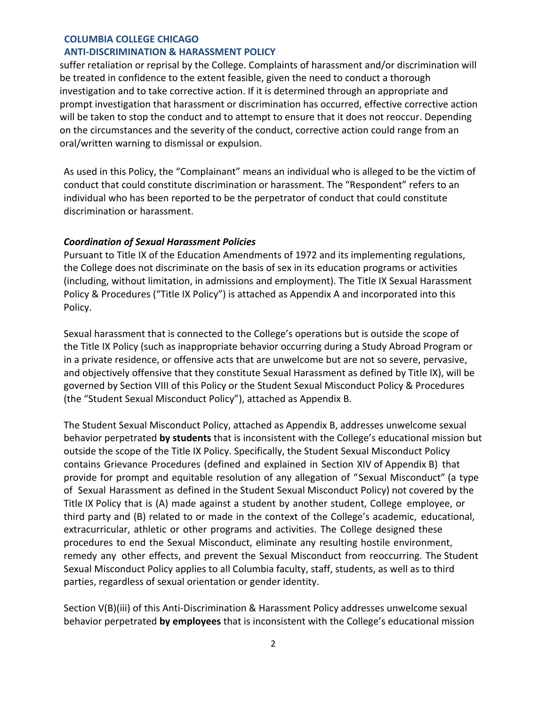#### **ANTI-DISCRIMINATION & HARASSMENT POLICY**

suffer retaliation or reprisal by the College. Complaints of harassment and/or discrimination will be treated in confidence to the extent feasible, given the need to conduct a thorough investigation and to take corrective action. If it is determined through an appropriate and prompt investigation that harassment or discrimination has occurred, effective corrective action will be taken to stop the conduct and to attempt to ensure that it does not reoccur. Depending on the circumstances and the severity of the conduct, corrective action could range from an oral/written warning to dismissal or expulsion.

As used in this Policy, the "Complainant" means an individual who is alleged to be the victim of conduct that could constitute discrimination or harassment. The "Respondent" refers to an individual who has been reported to be the perpetrator of conduct that could constitute discrimination or harassment.

#### *Coordination of Sexual Harassment Policies*

Pursuant to Title IX of the Education Amendments of 1972 and its implementing regulations, the College does not discriminate on the basis of sex in its education programs or activities (including, without limitation, in admissions and employment). The Title IX Sexual Harassment Policy & Procedures ("Title IX Policy") is attached as Appendix A and incorporated into this Policy.

Sexual harassment that is connected to the College's operations but is outside the scope of the Title IX Policy (such as inappropriate behavior occurring during a Study Abroad Program or in a private residence, or offensive acts that are unwelcome but are not so severe, pervasive, and objectively offensive that they constitute Sexual Harassment as defined by Title IX), will be governed by Section VIII of this Policy or the Student Sexual Misconduct Policy & Procedures (the "Student Sexual Misconduct Policy"), attached as Appendix B.

The Student Sexual Misconduct Policy, attached as Appendix B, addresses unwelcome sexual behavior perpetrated **by students** that is inconsistent with the College's educational mission but outside the scope of the Title IX Policy. Specifically, the Student Sexual Misconduct Policy contains Grievance Procedures (defined and explained in Section XIV of Appendix B) that provide for prompt and equitable resolution of any allegation of "Sexual Misconduct" (a type of Sexual Harassment as defined in the Student Sexual Misconduct Policy) not covered by the Title IX Policy that is (A) made against a student by another student, College employee, or third party and (B) related to or made in the context of the College's academic, educational, extracurricular, athletic or other programs and activities. The College designed these procedures to end the Sexual Misconduct, eliminate any resulting hostile environment, remedy any other effects, and prevent the Sexual Misconduct from reoccurring. The Student Sexual Misconduct Policy applies to all Columbia faculty, staff, students, as well as to third parties, regardless of sexual orientation or gender identity.

Section V(B)(iii) of this Anti-Discrimination & Harassment Policy addresses unwelcome sexual behavior perpetrated **by employees** that is inconsistent with the College's educational mission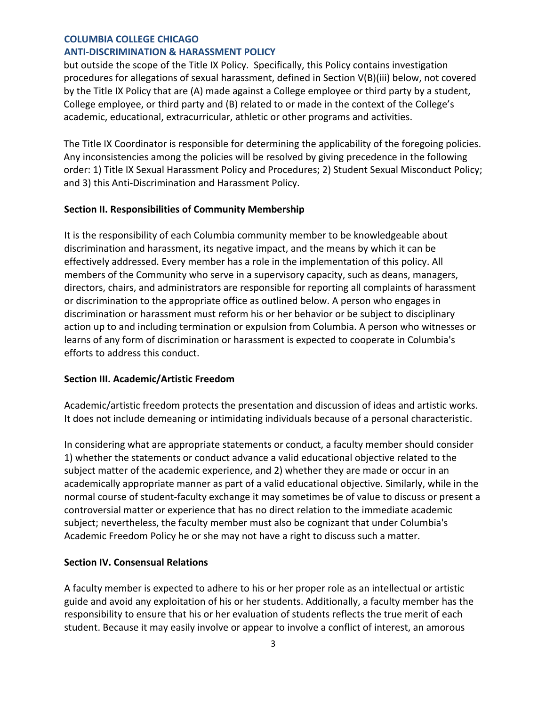#### **ANTI-DISCRIMINATION & HARASSMENT POLICY**

but outside the scope of the Title IX Policy. Specifically, this Policy contains investigation procedures for allegations of sexual harassment, defined in Section V(B)(iii) below, not covered by the Title IX Policy that are (A) made against a College employee or third party by a student, College employee, or third party and (B) related to or made in the context of the College's academic, educational, extracurricular, athletic or other programs and activities.

The Title IX Coordinator is responsible for determining the applicability of the foregoing policies. Any inconsistencies among the policies will be resolved by giving precedence in the following order: 1) Title IX Sexual Harassment Policy and Procedures; 2) Student Sexual Misconduct Policy; and 3) this Anti-Discrimination and Harassment Policy.

#### **Section II. Responsibilities of Community Membership**

It is the responsibility of each Columbia community member to be knowledgeable about discrimination and harassment, its negative impact, and the means by which it can be effectively addressed. Every member has a role in the implementation of this policy. All members of the Community who serve in a supervisory capacity, such as deans, managers, directors, chairs, and administrators are responsible for reporting all complaints of harassment or discrimination to the appropriate office as outlined below. A person who engages in discrimination or harassment must reform his or her behavior or be subject to disciplinary action up to and including termination or expulsion from Columbia. A person who witnesses or learns of any form of discrimination or harassment is expected to cooperate in Columbia's efforts to address this conduct.

#### **Section III. Academic/Artistic Freedom**

Academic/artistic freedom protects the presentation and discussion of ideas and artistic works. It does not include demeaning or intimidating individuals because of a personal characteristic.

In considering what are appropriate statements or conduct, a faculty member should consider 1) whether the statements or conduct advance a valid educational objective related to the subject matter of the academic experience, and 2) whether they are made or occur in an academically appropriate manner as part of a valid educational objective. Similarly, while in the normal course of student-faculty exchange it may sometimes be of value to discuss or present a controversial matter or experience that has no direct relation to the immediate academic subject; nevertheless, the faculty member must also be cognizant that under Columbia's Academic Freedom Policy he or she may not have a right to discuss such a matter.

### **Section IV. Consensual Relations**

A faculty member is expected to adhere to his or her proper role as an intellectual or artistic guide and avoid any exploitation of his or her students. Additionally, a faculty member has the responsibility to ensure that his or her evaluation of students reflects the true merit of each student. Because it may easily involve or appear to involve a conflict of interest, an amorous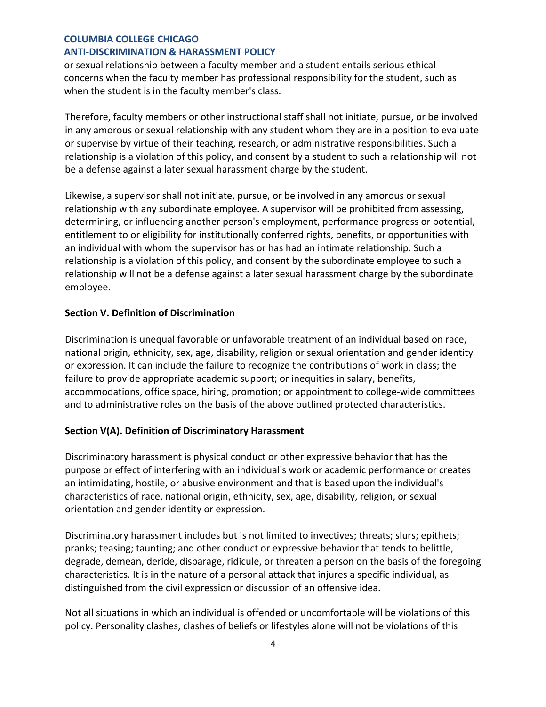## **ANTI-DISCRIMINATION & HARASSMENT POLICY**

or sexual relationship between a faculty member and a student entails serious ethical concerns when the faculty member has professional responsibility for the student, such as when the student is in the faculty member's class.

Therefore, faculty members or other instructional staff shall not initiate, pursue, or be involved in any amorous or sexual relationship with any student whom they are in a position to evaluate or supervise by virtue of their teaching, research, or administrative responsibilities. Such a relationship is a violation of this policy, and consent by a student to such a relationship will not be a defense against a later sexual harassment charge by the student.

Likewise, a supervisor shall not initiate, pursue, or be involved in any amorous or sexual relationship with any subordinate employee. A supervisor will be prohibited from assessing, determining, or influencing another person's employment, performance progress or potential, entitlement to or eligibility for institutionally conferred rights, benefits, or opportunities with an individual with whom the supervisor has or has had an intimate relationship. Such a relationship is a violation of this policy, and consent by the subordinate employee to such a relationship will not be a defense against a later sexual harassment charge by the subordinate employee.

## **Section V. Definition of Discrimination**

Discrimination is unequal favorable or unfavorable treatment of an individual based on race, national origin, ethnicity, sex, age, disability, religion or sexual orientation and gender identity or expression. It can include the failure to recognize the contributions of work in class; the failure to provide appropriate academic support; or inequities in salary, benefits, accommodations, office space, hiring, promotion; or appointment to college-wide committees and to administrative roles on the basis of the above outlined protected characteristics.

## **Section V(A). Definition of Discriminatory Harassment**

Discriminatory harassment is physical conduct or other expressive behavior that has the purpose or effect of interfering with an individual's work or academic performance or creates an intimidating, hostile, or abusive environment and that is based upon the individual's characteristics of race, national origin, ethnicity, sex, age, disability, religion, or sexual orientation and gender identity or expression.

Discriminatory harassment includes but is not limited to invectives; threats; slurs; epithets; pranks; teasing; taunting; and other conduct or expressive behavior that tends to belittle, degrade, demean, deride, disparage, ridicule, or threaten a person on the basis of the foregoing characteristics. It is in the nature of a personal attack that injures a specific individual, as distinguished from the civil expression or discussion of an offensive idea.

Not all situations in which an individual is offended or uncomfortable will be violations of this policy. Personality clashes, clashes of beliefs or lifestyles alone will not be violations of this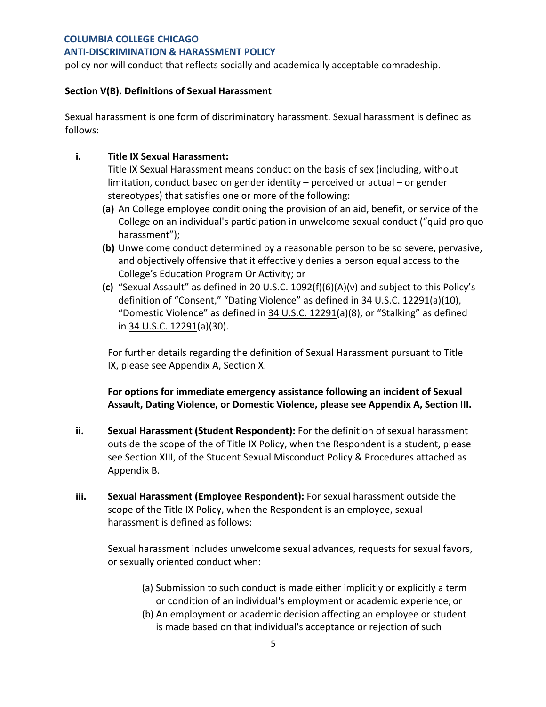#### **ANTI-DISCRIMINATION & HARASSMENT POLICY**

policy nor will conduct that reflects socially and academically acceptable comradeship.

### **Section V(B). Definitions of Sexual Harassment**

Sexual harassment is one form of discriminatory harassment. Sexual harassment is defined as follows:

## **i. Title IX Sexual Harassment:**

Title IX Sexual Harassment means conduct on the basis of sex (including, without limitation, conduct based on gender identity – perceived or actual – or gender stereotypes) that satisfies one or more of the following:

- **(a)** An College employee conditioning the provision of an aid, benefit, or service of the College on an individual's participation in unwelcome sexual conduct ("quid pro quo harassment");
- **(b)** Unwelcome conduct determined by a reasonable person to be so severe, pervasive, and objectively offensive that it effectively denies a person equal access to the College's Education Program Or Activity; or
- **(c)** "Sexual Assault" as defined in 20 U.S.C. 1092(f)(6)(A)(v) and subject to this Policy's definition of "Consent," "Dating Violence" as defined in 34 U.S.C. 12291(a)(10), "Domestic Violence" as defined in 34 U.S.C. 12291(a)(8), or "Stalking" as defined in 34 U.S.C. 12291(a)(30).

For further details regarding the definition of Sexual Harassment pursuant to Title IX, please see Appendix A, Section X.

**For options for immediate emergency assistance following an incident of Sexual Assault, Dating Violence, or Domestic Violence, please see Appendix A, Section III.**

- **ii. Sexual Harassment (Student Respondent):** For the definition of sexual harassment outside the scope of the of Title IX Policy, when the Respondent is a student, please see Section XIII, of the Student Sexual Misconduct Policy & Procedures attached as Appendix B.
- **iii. Sexual Harassment (Employee Respondent):** For sexual harassment outside the scope of the Title IX Policy, when the Respondent is an employee, sexual harassment is defined as follows:

Sexual harassment includes unwelcome sexual advances, requests for sexual favors, or sexually oriented conduct when:

- (a) Submission to such conduct is made either implicitly or explicitly a term or condition of an individual's employment or academic experience; or
- (b) An employment or academic decision affecting an employee or student is made based on that individual's acceptance or rejection of such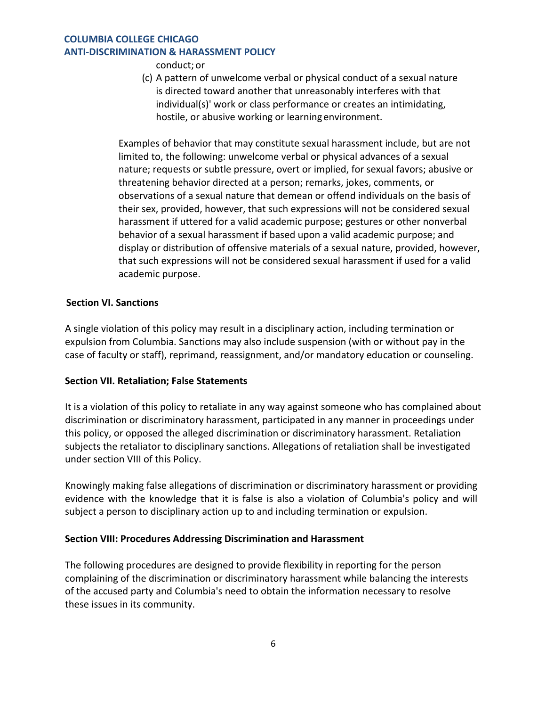## **COLUMBIA COLLEGE CHICAGO ANTI-DISCRIMINATION & HARASSMENT POLICY**

conduct; or

(c) A pattern of unwelcome verbal or physical conduct of a sexual nature is directed toward another that unreasonably interferes with that individual(s)' work or class performance or creates an intimidating, hostile, or abusive working or learningenvironment.

Examples of behavior that may constitute sexual harassment include, but are not limited to, the following: unwelcome verbal or physical advances of a sexual nature; requests or subtle pressure, overt or implied, for sexual favors; abusive or threatening behavior directed at a person; remarks, jokes, comments, or observations of a sexual nature that demean or offend individuals on the basis of their sex, provided, however, that such expressions will not be considered sexual harassment if uttered for a valid academic purpose; gestures or other nonverbal behavior of a sexual harassment if based upon a valid academic purpose; and display or distribution of offensive materials of a sexual nature, provided, however, that such expressions will not be considered sexual harassment if used for a valid academic purpose.

## **Section VI. Sanctions**

A single violation of this policy may result in a disciplinary action, including termination or expulsion from Columbia. Sanctions may also include suspension (with or without pay in the case of faculty or staff), reprimand, reassignment, and/or mandatory education or counseling.

## **Section VII. Retaliation; False Statements**

It is a violation of this policy to retaliate in any way against someone who has complained about discrimination or discriminatory harassment, participated in any manner in proceedings under this policy, or opposed the alleged discrimination or discriminatory harassment. Retaliation subjects the retaliator to disciplinary sanctions. Allegations of retaliation shall be investigated under section VIII of this Policy.

Knowingly making false allegations of discrimination or discriminatory harassment or providing evidence with the knowledge that it is false is also a violation of Columbia's policy and will subject a person to disciplinary action up to and including termination or expulsion.

#### **Section VIII: Procedures Addressing Discrimination and Harassment**

The following procedures are designed to provide flexibility in reporting for the person complaining of the discrimination or discriminatory harassment while balancing the interests of the accused party and Columbia's need to obtain the information necessary to resolve these issues in its community.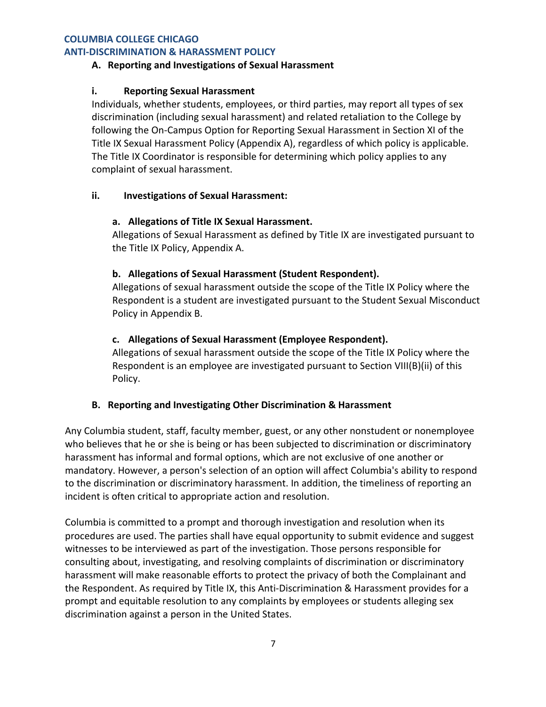#### **ANTI-DISCRIMINATION & HARASSMENT POLICY**

#### **A. Reporting and Investigations of Sexual Harassment**

#### **i. Reporting Sexual Harassment**

Individuals, whether students, employees, or third parties, may report all types of sex discrimination (including sexual harassment) and related retaliation to the College by following the On-Campus Option for Reporting Sexual Harassment in Section XI of the Title IX Sexual Harassment Policy (Appendix A), regardless of which policy is applicable. The Title IX Coordinator is responsible for determining which policy applies to any complaint of sexual harassment.

#### **ii. Investigations of Sexual Harassment:**

#### **a. Allegations of Title IX Sexual Harassment.**

Allegations of Sexual Harassment as defined by Title IX are investigated pursuant to the Title IX Policy, Appendix A.

#### **b. Allegations of Sexual Harassment (Student Respondent).**

Allegations of sexual harassment outside the scope of the Title IX Policy where the Respondent is a student are investigated pursuant to the Student Sexual Misconduct Policy in Appendix B.

## **c. Allegations of Sexual Harassment (Employee Respondent).**

Allegations of sexual harassment outside the scope of the Title IX Policy where the Respondent is an employee are investigated pursuant to Section VIII(B)(ii) of this Policy.

#### **B. Reporting and Investigating Other Discrimination & Harassment**

Any Columbia student, staff, faculty member, guest, or any other nonstudent or nonemployee who believes that he or she is being or has been subjected to discrimination or discriminatory harassment has informal and formal options, which are not exclusive of one another or mandatory. However, a person's selection of an option will affect Columbia's ability to respond to the discrimination or discriminatory harassment. In addition, the timeliness of reporting an incident is often critical to appropriate action and resolution.

Columbia is committed to a prompt and thorough investigation and resolution when its procedures are used. The parties shall have equal opportunity to submit evidence and suggest witnesses to be interviewed as part of the investigation. Those persons responsible for consulting about, investigating, and resolving complaints of discrimination or discriminatory harassment will make reasonable efforts to protect the privacy of both the Complainant and the Respondent. As required by Title IX, this Anti-Discrimination & Harassment provides for a prompt and equitable resolution to any complaints by employees or students alleging sex discrimination against a person in the United States.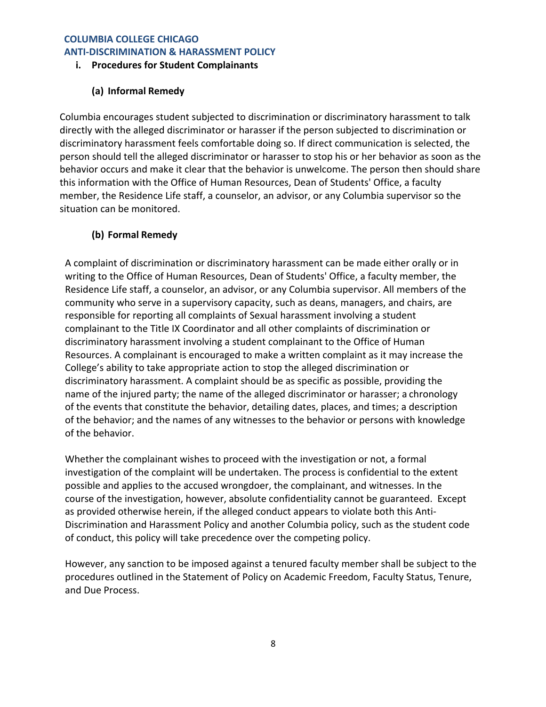## **COLUMBIA COLLEGE CHICAGO ANTI-DISCRIMINATION & HARASSMENT POLICY**

## **i. Procedures for Student Complainants**

# **(a) Informal Remedy**

Columbia encourages student subjected to discrimination or discriminatory harassment to talk directly with the alleged discriminator or harasser if the person subjected to discrimination or discriminatory harassment feels comfortable doing so. If direct communication is selected, the person should tell the alleged discriminator or harasser to stop his or her behavior as soon as the behavior occurs and make it clear that the behavior is unwelcome. The person then should share this information with the Office of Human Resources, Dean of Students' Office, a faculty member, the Residence Life staff, a counselor, an advisor, or any Columbia supervisor so the situation can be monitored.

# **(b) Formal Remedy**

A complaint of discrimination or discriminatory harassment can be made either orally or in writing to the Office of Human Resources, Dean of Students' Office, a faculty member, the Residence Life staff, a counselor, an advisor, or any Columbia supervisor. All members of the community who serve in a supervisory capacity, such as deans, managers, and chairs, are responsible for reporting all complaints of Sexual harassment involving a student complainant to the Title IX Coordinator and all other complaints of discrimination or discriminatory harassment involving a student complainant to the Office of Human Resources. A complainant is encouraged to make a written complaint as it may increase the College's ability to take appropriate action to stop the alleged discrimination or discriminatory harassment. A complaint should be as specific as possible, providing the name of the injured party; the name of the alleged discriminator or harasser; a chronology of the events that constitute the behavior, detailing dates, places, and times; a description of the behavior; and the names of any witnesses to the behavior or persons with knowledge of the behavior.

Whether the complainant wishes to proceed with the investigation or not, a formal investigation of the complaint will be undertaken. The process is confidential to the extent possible and applies to the accused wrongdoer, the complainant, and witnesses. In the course of the investigation, however, absolute confidentiality cannot be guaranteed. Except as provided otherwise herein, if the alleged conduct appears to violate both this Anti-Discrimination and Harassment Policy and another Columbia policy, such as the student code of conduct, this policy will take precedence over the competing policy.

However, any sanction to be imposed against a tenured faculty member shall be subject to the procedures outlined in the Statement of Policy on Academic Freedom, Faculty Status, Tenure, and Due Process.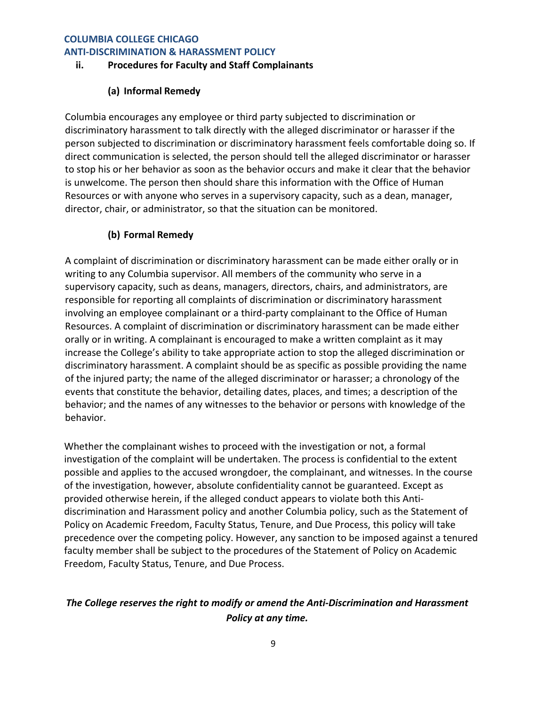#### **ANTI-DISCRIMINATION & HARASSMENT POLICY**

## **ii. Procedures for Faculty and Staff Complainants**

## **(a) Informal Remedy**

Columbia encourages any employee or third party subjected to discrimination or discriminatory harassment to talk directly with the alleged discriminator or harasser if the person subjected to discrimination or discriminatory harassment feels comfortable doing so. If direct communication is selected, the person should tell the alleged discriminator or harasser to stop his or her behavior as soon as the behavior occurs and make it clear that the behavior is unwelcome. The person then should share this information with the Office of Human Resources or with anyone who serves in a supervisory capacity, such as a dean, manager, director, chair, or administrator, so that the situation can be monitored.

## **(b) Formal Remedy**

A complaint of discrimination or discriminatory harassment can be made either orally or in writing to any Columbia supervisor. All members of the community who serve in a supervisory capacity, such as deans, managers, directors, chairs, and administrators, are responsible for reporting all complaints of discrimination or discriminatory harassment involving an employee complainant or a third-party complainant to the Office of Human Resources. A complaint of discrimination or discriminatory harassment can be made either orally or in writing. A complainant is encouraged to make a written complaint as it may increase the College's ability to take appropriate action to stop the alleged discrimination or discriminatory harassment. A complaint should be as specific as possible providing the name of the injured party; the name of the alleged discriminator or harasser; a chronology of the events that constitute the behavior, detailing dates, places, and times; a description of the behavior; and the names of any witnesses to the behavior or persons with knowledge of the behavior.

Whether the complainant wishes to proceed with the investigation or not, a formal investigation of the complaint will be undertaken. The process is confidential to the extent possible and applies to the accused wrongdoer, the complainant, and witnesses. In the course of the investigation, however, absolute confidentiality cannot be guaranteed. Except as provided otherwise herein, if the alleged conduct appears to violate both this Antidiscrimination and Harassment policy and another Columbia policy, such as the Statement of Policy on Academic Freedom, Faculty Status, Tenure, and Due Process, this policy will take precedence over the competing policy. However, any sanction to be imposed against a tenured faculty member shall be subject to the procedures of the Statement of Policy on Academic Freedom, Faculty Status, Tenure, and Due Process.

# *The College reserves the right to modify or amend the Anti-Discrimination and Harassment Policy at any time.*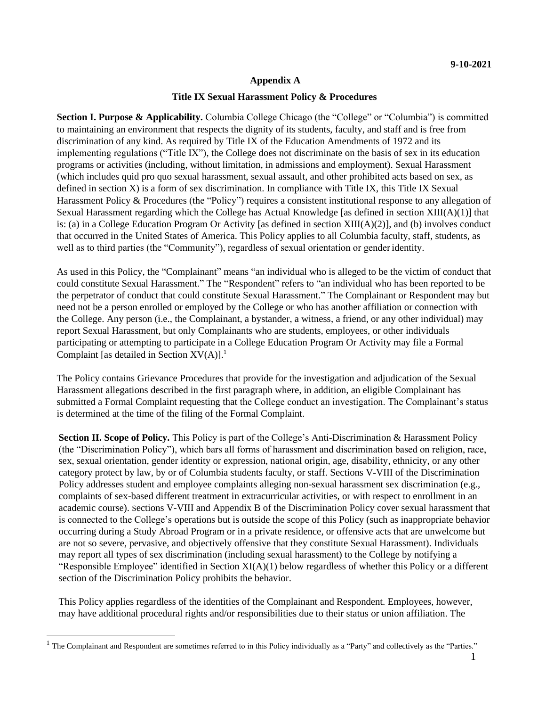## **Appendix A**

#### **Title IX Sexual Harassment Policy & Procedures**

**Section I. Purpose & Applicability.** Columbia College Chicago (the "College" or "Columbia") is committed to maintaining an environment that respects the dignity of its students, faculty, and staff and is free from discrimination of any kind. As required by Title IX of the Education Amendments of 1972 and its implementing regulations ("Title IX"), the College does not discriminate on the basis of sex in its education programs or activities (including, without limitation, in admissions and employment). Sexual Harassment (which includes quid pro quo sexual harassment, sexual assault, and other prohibited acts based on sex, as defined in section X) is a form of sex discrimination. In compliance with Title IX, this Title IX Sexual Harassment Policy & Procedures (the "Policy") requires a consistent institutional response to any allegation of Sexual Harassment regarding which the College has Actual Knowledge [as defined in section XIII(A)(1)] that is: (a) in a College Education Program Or Activity [as defined in section XIII(A)(2)], and (b) involves conduct that occurred in the United States of America. This Policy applies to all Columbia faculty, staff, students, as well as to third parties (the "Community"), regardless of sexual orientation or gender identity.

As used in this Policy, the "Complainant" means "an individual who is alleged to be the victim of conduct that could constitute Sexual Harassment." The "Respondent" refers to "an individual who has been reported to be the perpetrator of conduct that could constitute Sexual Harassment." The Complainant or Respondent may but need not be a person enrolled or employed by the College or who has another affiliation or connection with the College. Any person (i.e., the Complainant, a bystander, a witness, a friend, or any other individual) may report Sexual Harassment, but only Complainants who are students, employees, or other individuals participating or attempting to participate in a College Education Program Or Activity may file a Formal Complaint [as detailed in Section  $XV(A)$ ].<sup>1</sup>

The Policy contains Grievance Procedures that provide for the investigation and adjudication of the Sexual Harassment allegations described in the first paragraph where, in addition, an eligible Complainant has submitted a Formal Complaint requesting that the College conduct an investigation. The Complainant's status is determined at the time of the filing of the Formal Complaint.

**Section II. Scope of Policy.** This Policy is part of the College's Anti-Discrimination & Harassment Policy (the "Discrimination Policy"), which bars all forms of harassment and discrimination based on religion, race, sex, sexual orientation, gender identity or expression, national origin, age, disability, ethnicity, or any other category protect by law, by or of Columbia students faculty, or staff. Sections V-VIII of the Discrimination Policy addresses student and employee complaints alleging non-sexual harassment sex discrimination (e.g., complaints of sex-based different treatment in extracurricular activities, or with respect to enrollment in an academic course). Sections V-VIII and Appendix B of the Discrimination Policy cover sexual harassment that is connected to the College's operations but is outside the scope of this Policy (such as inappropriate behavior occurring during a Study Abroad Program or in a private residence, or offensive acts that are unwelcome but are not so severe, pervasive, and objectively offensive that they constitute Sexual Harassment). Individuals may report all types of sex discrimination (including sexual harassment) to the College by notifying a "Responsible Employee" identified in Section XI(A)(1) below regardless of whether this Policy or a different section of the Discrimination Policy prohibits the behavior.

This Policy applies regardless of the identities of the Complainant and Respondent. Employees, however, may have additional procedural rights and/or responsibilities due to their status or union affiliation. The

 $<sup>1</sup>$  The Complainant and Respondent are sometimes referred to in this Policy individually as a "Party" and collectively as the "Parties."</sup>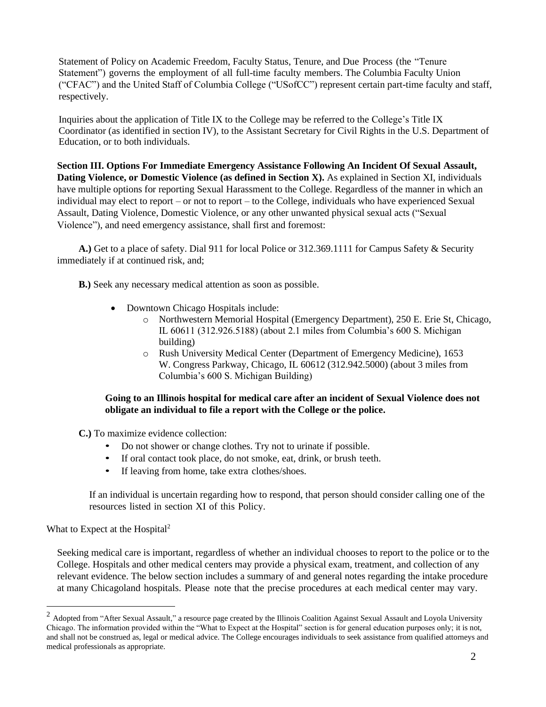Statement of Policy on Academic Freedom, Faculty Status, Tenure, and Due Process (the "Tenure Statement") governs the employment of all full-time faculty members. The Columbia Faculty Union ("CFAC") and the United Staff of Columbia College ("USofCC") represent certain part-time faculty and staff, respectively.

Inquiries about the application of Title IX to the College may be referred to the College's Title IX Coordinator (as identified in section IV), to the Assistant Secretary for Civil Rights in the U.S. Department of Education, or to both individuals.

**Section III. Options For Immediate Emergency Assistance Following An Incident Of Sexual Assault, Dating Violence, or Domestic Violence (as defined in Section X).** As explained in Section XI, individuals have multiple options for reporting Sexual Harassment to the College. Regardless of the manner in which an individual may elect to report – or not to report – to the College, individuals who have experienced Sexual Assault, Dating Violence, Domestic Violence, or any other unwanted physical sexual acts ("Sexual Violence"), and need emergency assistance, shall first and foremost:

**A.)** Get to a place of safety. Dial 911 for local Police or 312.369.1111 for Campus Safety & Security immediately if at continued risk, and;

**B.)** Seek any necessary medical attention as soon as possible.

- Downtown Chicago Hospitals include:
	- o Northwestern Memorial Hospital (Emergency Department), 250 E. Erie St, Chicago, IL 60611 (312.926.5188) (about 2.1 miles from Columbia's 600 S. Michigan building)
	- o Rush University Medical Center (Department of Emergency Medicine), 1653 W. Congress Parkway, Chicago, IL 60612 (312.942.5000) (about 3 miles from Columbia's 600 S. Michigan Building)

## **Going to an Illinois hospital for medical care after an incident of Sexual Violence does not obligate an individual to file a report with the College or the police.**

**C.)** To maximize evidence collection:

- Do not shower or change clothes. Try not to urinate if possible.
- If oral contact took place, do not smoke, eat, drink, or brush teeth.
- If leaving from home, take extra clothes/shoes.

If an individual is uncertain regarding how to respond, that person should consider calling one of the resources listed in section XI of this Policy.

What to Expect at the Hospital<sup>2</sup>

Seeking medical care is important, regardless of whether an individual chooses to report to the police or to the College. Hospitals and other medical centers may provide a physical exam, treatment, and collection of any relevant evidence. The below section includes a summary of and general notes regarding the intake procedure at many Chicagoland hospitals. Please note that the precise procedures at each medical center may vary.

 $2$  Adopted from "After Sexual Assault," a resource page created by the Illinois Coalition Against Sexual Assault and Loyola University Chicago. The information provided within the "What to Expect at the Hospital" section is for general education purposes only; it is not, and shall not be construed as, legal or medical advice. The College encourages individuals to seek assistance from qualified attorneys and medical professionals as appropriate.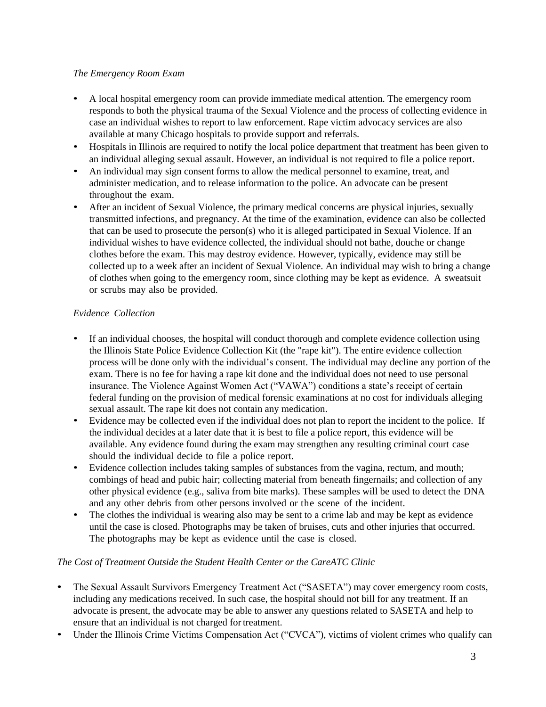## *The Emergency Room Exam*

- A local hospital emergency room can provide immediate medical attention. The emergency room responds to both the physical trauma of the Sexual Violence and the process of collecting evidence in case an individual wishes to report to law enforcement. Rape victim advocacy services are also available at many Chicago hospitals to provide support and referrals.
- Hospitals in Illinois are required to notify the local police department that treatment has been given to an individual alleging sexual assault. However, an individual is not required to file a police report.
- An individual may sign consent forms to allow the medical personnel to examine, treat, and administer medication, and to release information to the police. An advocate can be present throughout the exam.
- After an incident of Sexual Violence, the primary medical concerns are physical injuries, sexually transmitted infections, and pregnancy. At the time of the examination, evidence can also be collected that can be used to prosecute the person(s) who it is alleged participated in Sexual Violence. If an individual wishes to have evidence collected, the individual should not bathe, douche or change clothes before the exam. This may destroy evidence. However, typically, evidence may still be collected up to a week after an incident of Sexual Violence. An individual may wish to bring a change of clothes when going to the emergency room, since clothing may be kept as evidence. A sweatsuit or scrubs may also be provided.

## *Evidence Collection*

- If an individual chooses, the hospital will conduct thorough and complete evidence collection using the Illinois State Police Evidence Collection Kit (the "rape kit"). The entire evidence collection process will be done only with the individual's consent. The individual may decline any portion of the exam. There is no fee for having a rape kit done and the individual does not need to use personal insurance. The Violence Against Women Act ("VAWA") conditions a state's receipt of certain federal funding on the provision of medical forensic examinations at no cost for individuals alleging sexual assault. The rape kit does not contain any medication.
- Evidence may be collected even if the individual does not plan to report the incident to the police. If the individual decides at a later date that it is best to file a police report, this evidence will be available. Any evidence found during the exam may strengthen any resulting criminal court case should the individual decide to file a police report.
- Evidence collection includes taking samples of substances from the vagina, rectum, and mouth; combings of head and pubic hair; collecting material from beneath fingernails; and collection of any other physical evidence (e.g., saliva from bite marks). These samples will be used to detect the DNA and any other debris from other persons involved or the scene of the incident.
- The clothes the individual is wearing also may be sent to a crime lab and may be kept as evidence until the case is closed. Photographs may be taken of bruises, cuts and other injuries that occurred. The photographs may be kept as evidence until the case is closed.

# *The Cost of Treatment Outside the Student Health Center or the CareATC Clinic*

- The Sexual Assault Survivors Emergency Treatment Act ("SASETA") may cover emergency room costs, including any medications received. In such case, the hospital should not bill for any treatment. If an advocate is present, the advocate may be able to answer any questions related to SASETA and help to ensure that an individual is not charged for treatment.
- Under the Illinois Crime Victims Compensation Act ("CVCA"), victims of violent crimes who qualify can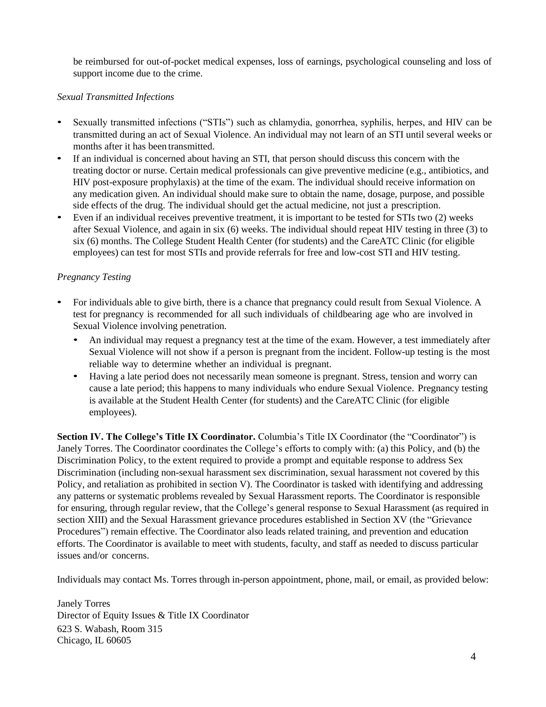be reimbursed for out-of-pocket medical expenses, loss of earnings, psychological counseling and loss of support income due to the crime.

## *Sexual Transmitted Infections*

- Sexually transmitted infections ("STIs") such as chlamydia, gonorrhea, syphilis, herpes, and HIV can be transmitted during an act of Sexual Violence. An individual may not learn of an STI until several weeks or months after it has been transmitted.
- If an individual is concerned about having an STI, that person should discuss this concern with the treating doctor or nurse. Certain medical professionals can give preventive medicine (e.g., antibiotics, and HIV post-exposure prophylaxis) at the time of the exam. The individual should receive information on any medication given. An individual should make sure to obtain the name, dosage, purpose, and possible side effects of the drug. The individual should get the actual medicine, not just a prescription.
- Even if an individual receives preventive treatment, it is important to be tested for STIs two (2) weeks after Sexual Violence, and again in six (6) weeks. The individual should repeat HIV testing in three (3) to six (6) months. The College Student Health Center (for students) and the CareATC Clinic (for eligible employees) can test for most STIs and provide referrals for free and low-cost STI and HIV testing.

## *Pregnancy Testing*

- For individuals able to give birth, there is a chance that pregnancy could result from Sexual Violence. A test for pregnancy is recommended for all such individuals of childbearing age who are involved in Sexual Violence involving penetration.
	- An individual may request a pregnancy test at the time of the exam. However, a test immediately after Sexual Violence will not show if a person is pregnant from the incident. Follow-up testing is the most reliable way to determine whether an individual is pregnant.
	- Having a late period does not necessarily mean someone is pregnant. Stress, tension and worry can cause a late period; this happens to many individuals who endure Sexual Violence. Pregnancy testing is available at the Student Health Center (for students) and the CareATC Clinic (for eligible employees).

**Section IV. The College's Title IX Coordinator.** Columbia's Title IX Coordinator (the "Coordinator") is Janely Torres. The Coordinator coordinates the College's efforts to comply with: (a) this Policy, and (b) the Discrimination Policy, to the extent required to provide a prompt and equitable response to address Sex Discrimination (including non-sexual harassment sex discrimination, sexual harassment not covered by this Policy, and retaliation as prohibited in section V). The Coordinator is tasked with identifying and addressing any patterns or systematic problems revealed by Sexual Harassment reports. The Coordinator is responsible for ensuring, through regular review, that the College's general response to Sexual Harassment (as required in section XIII) and the Sexual Harassment grievance procedures established in Section XV (the "Grievance Procedures") remain effective. The Coordinator also leads related training, and prevention and education efforts. The Coordinator is available to meet with students, faculty, and staff as needed to discuss particular issues and/or concerns.

Individuals may contact Ms. Torres through in-person appointment, phone, mail, or email, as provided below:

Janely Torres Director of Equity Issues & Title IX Coordinator 623 S. Wabash, Room 315 Chicago, IL 60605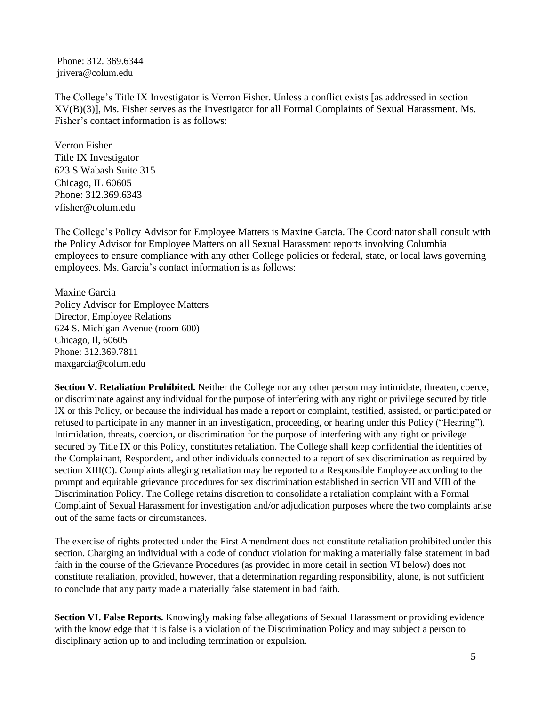Phone: 312. 369.6344 jrivera@colum.edu

The College's Title IX Investigator is Verron Fisher. Unless a conflict exists [as addressed in section XV(B)(3)], Ms. Fisher serves as the Investigator for all Formal Complaints of Sexual Harassment. Ms. Fisher's contact information is as follows:

Verron Fisher Title IX Investigator 623 S Wabash Suite 315 Chicago, IL 60605 Phone: 312.369.6343 [vfisher@colum.edu](mailto:vfisher@colum.edu)

The College's Policy Advisor for Employee Matters is Maxine Garcia. The Coordinator shall consult with the Policy Advisor for Employee Matters on all Sexual Harassment reports involving Columbia employees to ensure compliance with any other College policies or federal, state, or local laws governing employees. Ms. Garcia's contact information is as follows:

Maxine Garcia Policy Advisor for Employee Matters Director, Employee Relations 624 S. Michigan Avenue (room 600) Chicago, Il, 60605 Phone: 312.369.7811 maxgarcia@colum.edu

**Section V. Retaliation Prohibited.** Neither the College nor any other person may intimidate, threaten, coerce, or discriminate against any individual for the purpose of interfering with any right or privilege secured by title IX or this Policy, or because the individual has made a report or complaint, testified, assisted, or participated or refused to participate in any manner in an investigation, proceeding, or hearing under this Policy ("Hearing"). Intimidation, threats, coercion, or discrimination for the purpose of interfering with any right or privilege secured by Title IX or this Policy, constitutes retaliation. The College shall keep confidential the identities of the Complainant, Respondent, and other individuals connected to a report of sex discrimination as required by section XIII(C). Complaints alleging retaliation may be reported to a Responsible Employee according to the prompt and equitable grievance procedures for sex discrimination established in section VII and VIII of the Discrimination Policy. The College retains discretion to consolidate a retaliation complaint with a Formal Complaint of Sexual Harassment for investigation and/or adjudication purposes where the two complaints arise out of the same facts or circumstances.

The exercise of rights protected under the First Amendment does not constitute retaliation prohibited under this section. Charging an individual with a code of conduct violation for making a materially false statement in bad faith in the course of the Grievance Procedures (as provided in more detail in section VI below) does not constitute retaliation, provided, however, that a determination regarding responsibility, alone, is not sufficient to conclude that any party made a materially false statement in bad faith.

**Section VI. False Reports.** Knowingly making false allegations of Sexual Harassment or providing evidence with the knowledge that it is false is a violation of the Discrimination Policy and may subject a person to disciplinary action up to and including termination or expulsion.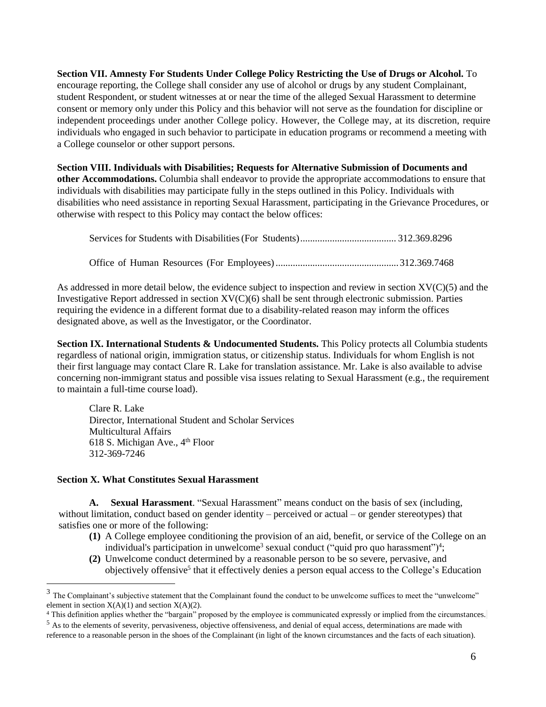**Section VII. Amnesty For Students Under College Policy Restricting the Use of Drugs or Alcohol.** To encourage reporting, the College shall consider any use of alcohol or drugs by any student Complainant, student Respondent, or student witnesses at or near the time of the alleged Sexual Harassment to determine consent or memory only under this Policy and this behavior will not serve as the foundation for discipline or independent proceedings under another College policy. However, the College may, at its discretion, require individuals who engaged in such behavior to participate in education programs or recommend a meeting with a College counselor or other support persons.

**Section VIII. Individuals with Disabilities; Requests for Alternative Submission of Documents and other Accommodations.** Columbia shall endeavor to provide the appropriate accommodations to ensure that individuals with disabilities may participate fully in the steps outlined in this Policy. Individuals with disabilities who need assistance in reporting Sexual Harassment, participating in the Grievance Procedures, or otherwise with respect to this Policy may contact the below offices:

As addressed in more detail below, the evidence subject to inspection and review in section XV(C)(5) and the Investigative Report addressed in section XV(C)(6) shall be sent through electronic submission. Parties requiring the evidence in a different format due to a disability-related reason may inform the offices designated above, as well as the Investigator, or the Coordinator.

**Section IX. International Students & Undocumented Students.** This Policy protects all Columbia students regardless of national origin, immigration status, or citizenship status. Individuals for whom English is not their first language may contact Clare R. Lake for translation assistance. Mr. Lake is also available to advise concerning non-immigrant status and possible visa issues relating to Sexual Harassment (e.g., the requirement to maintain a full-time course load).

Clare R. Lake Director, International Student and Scholar Services Multicultural Affairs 618 S. Michigan Ave., 4<sup>th</sup> Floor 312-369-7246

#### **Section X. What Constitutes Sexual Harassment**

**A. Sexual Harassment**. "Sexual Harassment" means conduct on the basis of sex (including, without limitation, conduct based on gender identity – perceived or actual – or gender stereotypes) that satisfies one or more of the following:

- **(1)** A College employee conditioning the provision of an aid, benefit, or service of the College on an individual's participation in unwelcome<sup>3</sup> sexual conduct ("quid pro quo harassment")<sup>4</sup>;
- **(2)** Unwelcome conduct determined by a reasonable person to be so severe, pervasive, and objectively offensive<sup>5</sup> that it effectively denies a person equal access to the College's Education

 $3$  The Complainant's subjective statement that the Complainant found the conduct to be unwelcome suffices to meet the "unwelcome" element in section  $X(A)(1)$  and section  $X(A)(2)$ .

<sup>4</sup> This definition applies whether the "bargain" proposed by the employee is communicated expressly or implied from the circumstances.

 $<sup>5</sup>$  As to the elements of severity, pervasiveness, objective offensiveness, and denial of equal access, determinations are made with</sup> reference to a reasonable person in the shoes of the Complainant (in light of the known circumstances and the facts of each situation).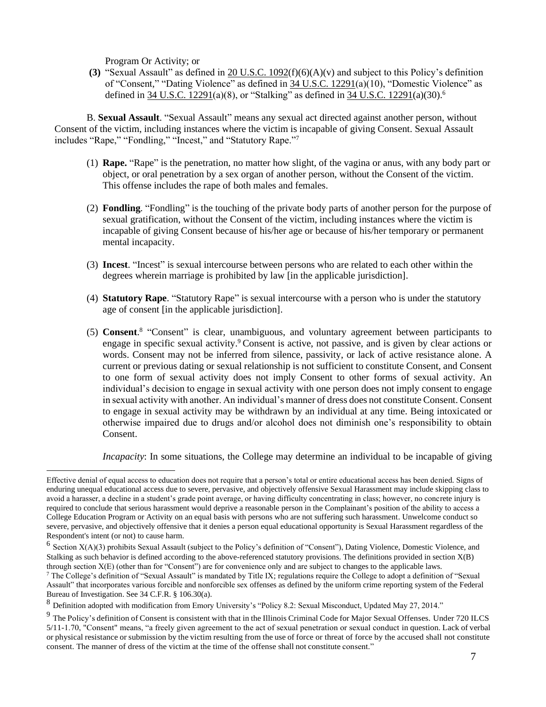Program Or Activity; or

**(3)** "Sexual Assault" as defined in 20 [U.S.C.](https://www.govinfo.gov/link/uscode/20/1092?type=usc&year=mostrecent&link-type=html) 1092(f)(6)(A)(v) and subject to this Policy's definition of "Consent," "Dating Violence" as defined in 34 U.S.C. [12291\(](https://www.govinfo.gov/link/uscode/34/12291?type=usc&year=mostrecent&link-type=html)a)(10), "Domestic Violence" as defined in 34 U.S.C. [12291\(](https://www.govinfo.gov/link/uscode/34/12291?type=usc&year=mostrecent&link-type=html)a)(8), or "Stalking" as defined in 34 [U.S.C.](https://www.govinfo.gov/link/uscode/34/12291?type=usc&year=mostrecent&link-type=html) 12291(a)(30).<sup>6</sup>

B. **Sexual Assault**. "Sexual Assault" means any sexual act directed against another person, without Consent of the victim, including instances where the victim is incapable of giving Consent. Sexual Assault includes "Rape," "Fondling," "Incest," and "Statutory Rape."<sup>7</sup>

- (1) **Rape.** "Rape" is the penetration, no matter how slight, of the vagina or anus, with any body part or object, or oral penetration by a sex organ of another person, without the Consent of the victim. This offense includes the rape of both males and females.
- (2) **Fondling**. "Fondling" is the touching of the private body parts of another person for the purpose of sexual gratification, without the Consent of the victim, including instances where the victim is incapable of giving Consent because of his/her age or because of his/her temporary or permanent mental incapacity.
- (3) **Incest**. "Incest" is sexual intercourse between persons who are related to each other within the degrees wherein marriage is prohibited by law [in the applicable jurisdiction].
- (4) **Statutory Rape**. "Statutory Rape" is sexual intercourse with a person who is under the statutory age of consent [in the applicable jurisdiction].
- (5) **Consent**.<sup>8</sup> "Consent" is clear, unambiguous, and voluntary agreement between participants to engage in specific sexual activity.<sup>9</sup> Consent is active, not passive, and is given by clear actions or words. Consent may not be inferred from silence, passivity, or lack of active resistance alone. A current or previous dating or sexual relationship is not sufficient to constitute Consent, and Consent to one form of sexual activity does not imply Consent to other forms of sexual activity. An individual's decision to engage in sexual activity with one person does not imply consent to engage in sexual activity with another. An individual's manner of dress does not constitute Consent. Consent to engage in sexual activity may be withdrawn by an individual at any time. Being intoxicated or otherwise impaired due to drugs and/or alcohol does not diminish one's responsibility to obtain Consent.

*Incapacity*: In some situations, the College may determine an individual to be incapable of giving

Effective denial of equal access to education does not require that a person's total or entire educational access has been denied. Signs of enduring unequal educational access due to severe, pervasive, and objectively offensive Sexual Harassment may include skipping class to avoid a harasser, a decline in a student's grade point average, or having difficulty concentrating in class; however, no concrete injury is required to conclude that serious harassment would deprive a reasonable person in the Complainant's position of the ability to access a College Education Program or Activity on an equal basis with persons who are not suffering such harassment. Unwelcome conduct so severe, pervasive, and objectively offensive that it denies a person equal educational opportunity is Sexual Harassment regardless of the Respondent's intent (or not) to cause harm.

 $6$  Section  $X(A)(3)$  prohibits Sexual Assault (subject to the Policy's definition of "Consent"), Dating Violence, Domestic Violence, and Stalking as such behavior is defined according to the above-referenced statutory provisions. The definitions provided in section X(B) through section X(E) (other than for "Consent") are for convenience only and are subject to changes to the applicable laws.

<sup>7</sup> The College's definition of "Sexual Assault" is mandated by Title IX; regulations require the College to adopt a definition of "Sexual Assault" that incorporates various forcible and nonforcible sex offenses as defined by the uniform crime reporting system of the Federal Bureau of Investigation. See 34 C.F.R. § 106.30(a).

<sup>8</sup> Definition adopted with modification from Emory University's "Policy 8.2: Sexual Misconduct, Updated May 27, 2014."

 $9$  The Policy's definition of Consent is consistent with that in the Illinois Criminal Code for Major Sexual Offenses. Under 720 ILCS 5/11-1.70, "Consent" means, "a freely given agreement to the act of sexual penetration or sexual conduct in question. Lack of verbal or physical resistance or submission by the victim resulting from the use of force or threat of force by the accused shall not constitute consent. The manner of dress of the victim at the time of the offense shall not constitute consent."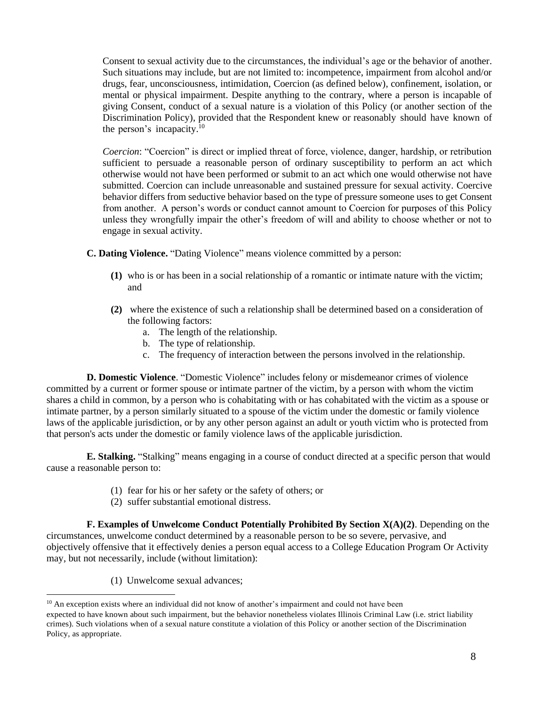Consent to sexual activity due to the circumstances, the individual's age or the behavior of another. Such situations may include, but are not limited to: incompetence, impairment from alcohol and/or drugs, fear, unconsciousness, intimidation, Coercion (as defined below), confinement, isolation, or mental or physical impairment. Despite anything to the contrary, where a person is incapable of giving Consent, conduct of a sexual nature is a violation of this Policy (or another section of the Discrimination Policy), provided that the Respondent knew or reasonably should have known of the person's incapacity.<sup>10</sup>

*Coercion*: "Coercion" is direct or implied threat of force, violence, danger, hardship, or retribution sufficient to persuade a reasonable person of ordinary susceptibility to perform an act which otherwise would not have been performed or submit to an act which one would otherwise not have submitted. Coercion can include unreasonable and sustained pressure for sexual activity. Coercive behavior differs from seductive behavior based on the type of pressure someone uses to get Consent from another. A person's words or conduct cannot amount to Coercion for purposes of this Policy unless they wrongfully impair the other's freedom of will and ability to choose whether or not to engage in sexual activity.

- **C. Dating Violence.** "Dating Violence" means violence committed by a person:
	- **(1)** who is or has been in a social relationship of a romantic or intimate nature with the victim; and
	- **(2)** where the existence of such a relationship shall be determined based on a consideration of the following factors:
		- a. The length of the relationship.
		- b. The type of relationship.
		- c. The frequency of interaction between the persons involved in the relationship.

**D. Domestic Violence**. "Domestic Violence" includes felony or misdemeanor crimes of violence committed by a current or former spouse or intimate partner of the victim, by a person with whom the victim shares a child in common, by a person who is cohabitating with or has cohabitated with the victim as a spouse or intimate partner, by a person similarly situated to a spouse of the victim under the domestic or family violence laws of the applicable jurisdiction, or by any other person against an adult or youth victim who is protected from that person's acts under the domestic or family violence laws of the applicable jurisdiction.

**E. Stalking.** "Stalking" means engaging in a course of conduct directed at a specific person that would cause a reasonable person to:

- (1) fear for his or her safety or the safety of others; or
- (2) suffer substantial emotional distress.

**F. Examples of Unwelcome Conduct Potentially Prohibited By Section X(A)(2)**. Depending on the circumstances, unwelcome conduct determined by a reasonable person to be so severe, pervasive, and objectively offensive that it effectively denies a person equal access to a College Education Program Or Activity may, but not necessarily, include (without limitation):

(1) Unwelcome sexual advances;

<sup>&</sup>lt;sup>10</sup> An exception exists where an individual did not know of another's impairment and could not have been

expected to have known about such impairment, but the behavior nonetheless violates Illinois Criminal Law (i.e. strict liability crimes). Such violations when of a sexual nature constitute a violation of this Policy or another section of the Discrimination Policy, as appropriate.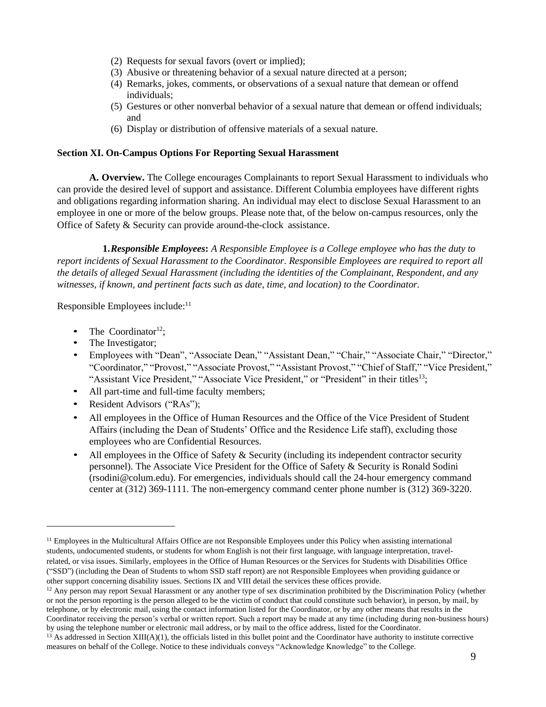- (2) Requests for sexual favors (overt or implied);
- (3) Abusive or threatening behavior of a sexual nature directed at a person;
- (4) Remarks, jokes, comments, or observations of a sexual nature that demean or offend individuals;
- (5) Gestures or other nonverbal behavior of a sexual nature that demean or offend individuals; and
- (6) Display or distribution of offensive materials of a sexual nature.

### **Section XI. On-Campus Options For Reporting Sexual Harassment**

**A. Overview.** The College encourages Complainants to report Sexual Harassment to individuals who can provide the desired level of support and assistance. Different Columbia employees have different rights and obligations regarding information sharing. An individual may elect to disclose Sexual Harassment to an employee in one or more of the below groups. Please note that, of the below on-campus resources, only the Office of Safety & Security can provide around-the-clock assistance.

**1.***Responsible Employees***:** *A Responsible Employee is a College employee who has the duty to report incidents of Sexual Harassment to the Coordinator. Responsible Employees are required to report all the details of alleged Sexual Harassment (including the identities of the Complainant, Respondent, and any witnesses, if known, and pertinent facts such as date, time, and location) to the Coordinator.* 

Responsible Employees include: 11

- The Coordinator<sup>12</sup>:
- The Investigator;
- Employees with "Dean", "Associate Dean," "Assistant Dean," "Chair," "Associate Chair," "Director," "Coordinator," "Provost," "Associate Provost," "Assistant Provost," "Chief of Staff," "Vice President," "Assistant Vice President," "Associate Vice President," or "President" in their titles<sup>13</sup>;
- All part-time and full-time faculty members;
- Resident Advisors ("RAs");
- All employees in the Office of Human Resources and the Office of the Vice President of Student Affairs (including the Dean of Students' Office and the Residence Life staff), excluding those employees who are Confidential Resources.
- All employees in the Office of Safety & Security (including its independent contractor security personnel). The Associate Vice President for the Office of Safety & Security is Ronald Sodini (rsodini@colum.edu). For emergencies, individuals should call the 24-hour emergency command center at (312) 369-1111. The non-emergency command center phone number is (312) 369-3220.

<sup>&</sup>lt;sup>11</sup> Employees in the Multicultural Affairs Office are not Responsible Employees under this Policy when assisting international students, undocumented students, or students for whom English is not their first language, with language interpretation, travelrelated, or visa issues. Similarly, employees in the Office of Human Resources or the Services for Students with Disabilities Office ("SSD") (including the Dean of Students to whom SSD staff report) are not Responsible Employees when providing guidance or other support concerning disability issues. Sections IX and VIII detail the services these offices provide.

<sup>&</sup>lt;sup>12</sup> Any person may report Sexual Harassment or any another type of sex discrimination prohibited by the Discrimination Policy (whether or not the person reporting is the person alleged to be the victim of conduct that could constitute such behavior), in person, by mail, by telephone, or by electronic mail, using the contact information listed for the Coordinator, or by any other means that results in the Coordinator receiving the person's verbal or written report. Such a report may be made at any time (including during non-business hours) by using the telephone number or electronic mail address, or by mail to the office address, listed for the Coordinator.

 $^{13}$  As addressed in Section XIII(A)(1), the officials listed in this bullet point and the Coordinator have authority to institute corrective measures on behalf of the College. Notice to these individuals conveys "Acknowledge Knowledge" to the College.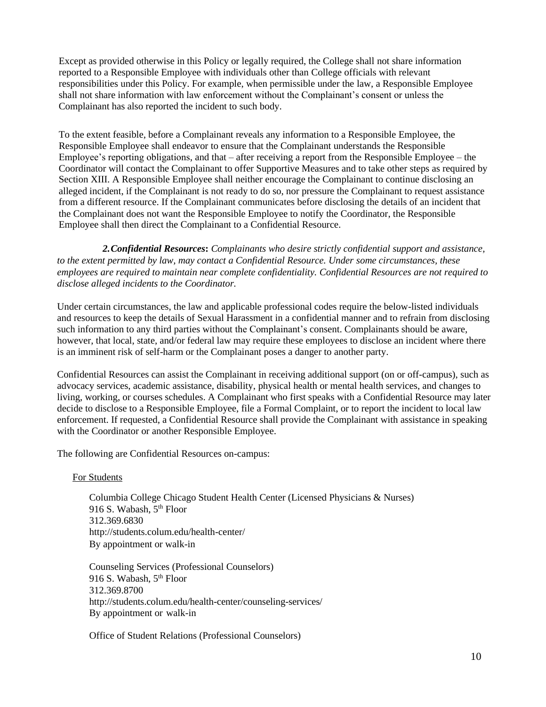Except as provided otherwise in this Policy or legally required, the College shall not share information reported to a Responsible Employee with individuals other than College officials with relevant responsibilities under this Policy. For example, when permissible under the law, a Responsible Employee shall not share information with law enforcement without the Complainant's consent or unless the Complainant has also reported the incident to such body.

To the extent feasible, before a Complainant reveals any information to a Responsible Employee, the Responsible Employee shall endeavor to ensure that the Complainant understands the Responsible Employee's reporting obligations, and that – after receiving a report from the Responsible Employee – the Coordinator will contact the Complainant to offer Supportive Measures and to take other steps as required by Section XIII. A Responsible Employee shall neither encourage the Complainant to continue disclosing an alleged incident, if the Complainant is not ready to do so, nor pressure the Complainant to request assistance from a different resource. If the Complainant communicates before disclosing the details of an incident that the Complainant does not want the Responsible Employee to notify the Coordinator, the Responsible Employee shall then direct the Complainant to a Confidential Resource.

*2.Confidential Resources***:** *Complainants who desire strictly confidential support and assistance, to the extent permitted by law, may contact a Confidential Resource. Under some circumstances, these employees are required to maintain near complete confidentiality. Confidential Resources are not required to disclose alleged incidents to the Coordinator.*

Under certain circumstances, the law and applicable professional codes require the below-listed individuals and resources to keep the details of Sexual Harassment in a confidential manner and to refrain from disclosing such information to any third parties without the Complainant's consent. Complainants should be aware, however, that local, state, and/or federal law may require these employees to disclose an incident where there is an imminent risk of self-harm or the Complainant poses a danger to another party.

Confidential Resources can assist the Complainant in receiving additional support (on or off-campus), such as advocacy services, academic assistance, disability, physical health or mental health services, and changes to living, working, or courses schedules. A Complainant who first speaks with a Confidential Resource may later decide to disclose to a Responsible Employee, file a Formal Complaint, or to report the incident to local law enforcement. If requested, a Confidential Resource shall provide the Complainant with assistance in speaking with the Coordinator or another Responsible Employee.

The following are Confidential Resources on-campus:

#### For Students

Columbia College Chicago Student Health Center (Licensed Physicians & Nurses) 916 S. Wabash, 5<sup>th</sup> Floor 312.369.6830 <http://students.colum.edu/health-center/> By appointment or walk-in

Counseling Services (Professional Counselors) 916 S. Wabash, 5<sup>th</sup> Floor 312.369.8700 <http://students.colum.edu/health-center/counseling-services/> By appointment or walk-in

Office of Student Relations (Professional Counselors)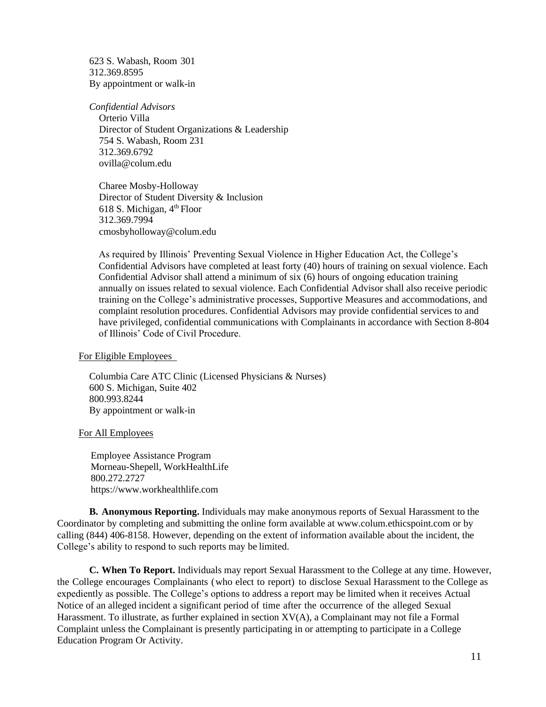623 S. Wabash, Room 301 312.369.8595 By appointment or walk-in

*Confidential Advisors* Orterio Villa Director of Student Organizations & Leadership 754 S. Wabash, Room 231 312.369.6792 [ovilla@colum.edu](mailto:ovilla@colum.edu)

 Charee Mosby-Holloway Director of Student Diversity & Inclusion 618 S. Michigan,  $4<sup>th</sup>$  Floor 312.369.7994 cmosbyholloway@colum.edu

As required by Illinois' Preventing Sexual Violence in Higher Education Act, the College's Confidential Advisors have completed at least forty (40) hours of training on sexual violence. Each Confidential Advisor shall attend a minimum of six (6) hours of ongoing education training annually on issues related to sexual violence. Each Confidential Advisor shall also receive periodic training on the College's administrative processes, Supportive Measures and accommodations, and complaint resolution procedures. Confidential Advisors may provide confidential services to and have privileged, confidential communications with Complainants in accordance with Section 8-804 of Illinois' Code of Civil Procedure.

For Eligible Employees

Columbia Care ATC Clinic (Licensed Physicians & Nurses) 600 S. Michigan, Suite 402 800.993.8244 By appointment or walk-in

For All Employees

Employee Assistance Program Morneau-Shepell, WorkHealthLife 800.272.2727 https://www.workhealthlife.com

**B. Anonymous Reporting.** Individuals may make anonymous reports of Sexual Harassment to the Coordinator by completing and submitting the online form available at www.colum.ethicspoint.com or by calling (844) 406-8158. However, depending on the extent of information available about the incident, the College's ability to respond to such reports may be limited.

**C. When To Report.** Individuals may report Sexual Harassment to the College at any time. However, the College encourages Complainants (who elect to report) to disclose Sexual Harassment to the College as expediently as possible. The College's options to address a report may be limited when it receives Actual Notice of an alleged incident a significant period of time after the occurrence of the alleged Sexual Harassment. To illustrate, as further explained in section XV(A), a Complainant may not file a Formal Complaint unless the Complainant is presently participating in or attempting to participate in a College Education Program Or Activity.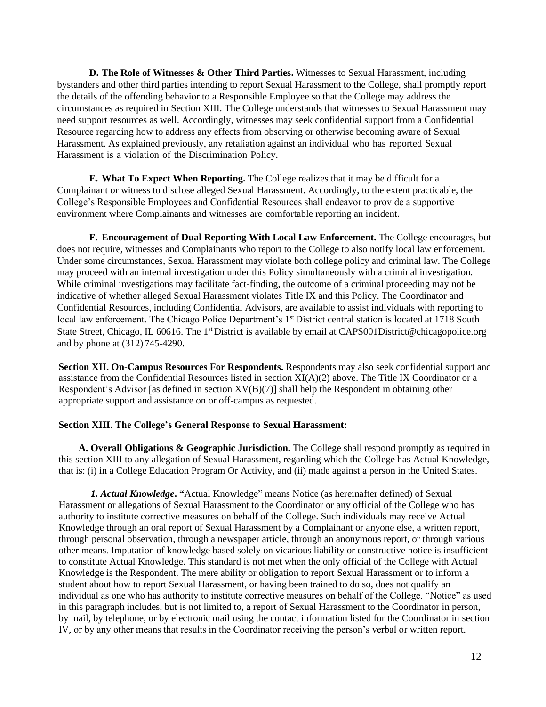**D. The Role of Witnesses & Other Third Parties.** Witnesses to Sexual Harassment, including bystanders and other third parties intending to report Sexual Harassment to the College, shall promptly report the details of the offending behavior to a Responsible Employee so that the College may address the circumstances as required in Section XIII. The College understands that witnesses to Sexual Harassment may need support resources as well. Accordingly, witnesses may seek confidential support from a Confidential Resource regarding how to address any effects from observing or otherwise becoming aware of Sexual Harassment. As explained previously, any retaliation against an individual who has reported Sexual Harassment is a violation of the Discrimination Policy.

**E. What To Expect When Reporting.** The College realizes that it may be difficult for a Complainant or witness to disclose alleged Sexual Harassment. Accordingly, to the extent practicable, the College's Responsible Employees and Confidential Resources shall endeavor to provide a supportive environment where Complainants and witnesses are comfortable reporting an incident.

**F. Encouragement of Dual Reporting With Local Law Enforcement.** The College encourages, but does not require, witnesses and Complainants who report to the College to also notify local law enforcement. Under some circumstances, Sexual Harassment may violate both college policy and criminal law. The College may proceed with an internal investigation under this Policy simultaneously with a criminal investigation. While criminal investigations may facilitate fact-finding, the outcome of a criminal proceeding may not be indicative of whether alleged Sexual Harassment violates Title IX and this Policy. The Coordinator and Confidential Resources, including Confidential Advisors, are available to assist individuals with reporting to local law enforcement. The Chicago Police Department's 1<sup>st</sup> District central station is located at 1718 South State Street, Chicago, IL 60616. The 1<sup>st</sup> District is available by email at CAPS001District@chicagopolice.org and by phone at (312) 745-4290.

**Section XII. On-Campus Resources For Respondents.** Respondents may also seek confidential support and assistance from the Confidential Resources listed in section XI(A)(2) above. The Title IX Coordinator or a Respondent's Advisor [as defined in section  $XV(B)(7)$ ] shall help the Respondent in obtaining other appropriate support and assistance on or off-campus as requested.

#### **Section XIII. The College's General Response to Sexual Harassment:**

**A. Overall Obligations & Geographic Jurisdiction.** The College shall respond promptly as required in this section XIII to any allegation of Sexual Harassment, regarding which the College has Actual Knowledge, that is: (i) in a College Education Program Or Activity, and (ii) made against a person in the United States.

*1. Actual Knowledge***. "**Actual Knowledge" means Notice (as hereinafter defined) of Sexual Harassment or allegations of Sexual Harassment to the Coordinator or any official of the College who has authority to institute corrective measures on behalf of the College. Such individuals may receive Actual Knowledge through an oral report of Sexual Harassment by a Complainant or anyone else, a written report, through personal observation, through a newspaper article, through an anonymous report, or through various other means. Imputation of knowledge based solely on vicarious liability or constructive notice is insufficient to constitute Actual Knowledge. This standard is not met when the only official of the College with Actual Knowledge is the Respondent. The mere ability or obligation to report Sexual Harassment or to inform a student about how to report Sexual Harassment, or having been trained to do so, does not qualify an individual as one who has authority to institute corrective measures on behalf of the College. "Notice" as used in this paragraph includes, but is not limited to, a report of Sexual Harassment to the Coordinator in person, by mail, by telephone, or by electronic mail using the contact information listed for the Coordinator in section IV, or by any other means that results in the Coordinator receiving the person's verbal or written report.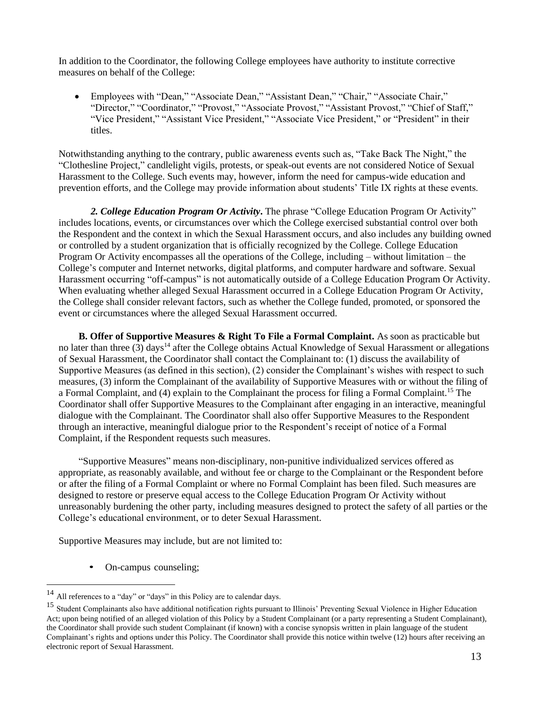In addition to the Coordinator, the following College employees have authority to institute corrective measures on behalf of the College:

• Employees with "Dean," "Associate Dean," "Assistant Dean," "Chair," "Associate Chair," "Director," "Coordinator," "Provost," "Associate Provost," "Assistant Provost," "Chief of Staff," "Vice President," "Assistant Vice President," "Associate Vice President," or "President" in their titles.

Notwithstanding anything to the contrary, public awareness events such as, "Take Back The Night," the "Clothesline Project," candlelight vigils, protests, or speak-out events are not considered Notice of Sexual Harassment to the College. Such events may, however, inform the need for campus-wide education and prevention efforts, and the College may provide information about students' Title IX rights at these events.

*2. College Education Program Or Activity***.** The phrase "College Education Program Or Activity" includes locations, events, or circumstances over which the College exercised substantial control over both the Respondent and the context in which the Sexual Harassment occurs, and also includes any building owned or controlled by a student organization that is officially recognized by the College. College Education Program Or Activity encompasses all the operations of the College, including – without limitation – the College's computer and Internet networks, digital platforms, and computer hardware and software. Sexual Harassment occurring "off-campus" is not automatically outside of a College Education Program Or Activity. When evaluating whether alleged Sexual Harassment occurred in a College Education Program Or Activity, the College shall consider relevant factors, such as whether the College funded, promoted, or sponsored the event or circumstances where the alleged Sexual Harassment occurred.

**B. Offer of Supportive Measures & Right To File a Formal Complaint.** As soon as practicable but no later than three (3) days<sup>14</sup> after the College obtains Actual Knowledge of Sexual Harassment or allegations of Sexual Harassment, the Coordinator shall contact the Complainant to: (1) discuss the availability of Supportive Measures (as defined in this section), (2) consider the Complainant's wishes with respect to such measures, (3) inform the Complainant of the availability of Supportive Measures with or without the filing of a Formal Complaint, and (4) explain to the Complainant the process for filing a Formal Complaint.<sup>15</sup> The Coordinator shall offer Supportive Measures to the Complainant after engaging in an interactive, meaningful dialogue with the Complainant. The Coordinator shall also offer Supportive Measures to the Respondent through an interactive, meaningful dialogue prior to the Respondent's receipt of notice of a Formal Complaint, if the Respondent requests such measures.

"Supportive Measures" means non-disciplinary, non-punitive individualized services offered as appropriate, as reasonably available, and without fee or charge to the Complainant or the Respondent before or after the filing of a Formal Complaint or where no Formal Complaint has been filed. Such measures are designed to restore or preserve equal access to the College Education Program Or Activity without unreasonably burdening the other party, including measures designed to protect the safety of all parties or the College's educational environment, or to deter Sexual Harassment.

Supportive Measures may include, but are not limited to:

• On-campus counseling;

<sup>14</sup> All references to a "day" or "days" in this Policy are to calendar days.

<sup>15</sup> Student Complainants also have additional notification rights pursuant to Illinois' Preventing Sexual Violence in Higher Education Act; upon being notified of an alleged violation of this Policy by a Student Complainant (or a party representing a Student Complainant), the Coordinator shall provide such student Complainant (if known) with a concise synopsis written in plain language of the student Complainant's rights and options under this Policy. The Coordinator shall provide this notice within twelve (12) hours after receiving an electronic report of Sexual Harassment.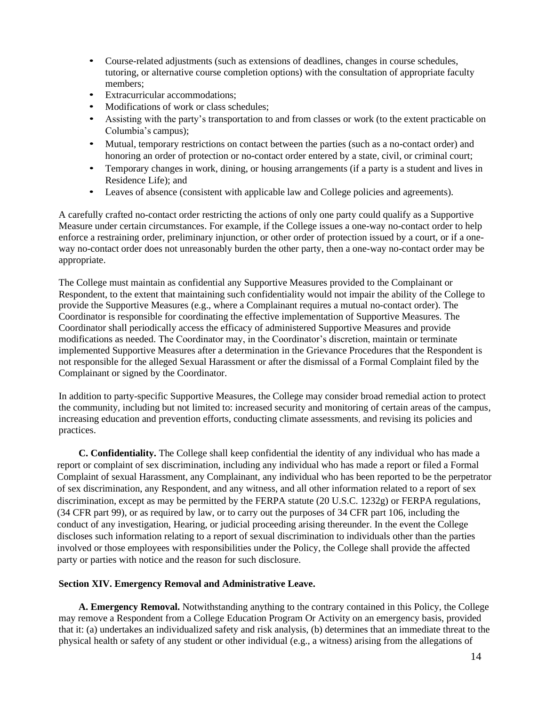- Course-related adjustments (such as extensions of deadlines, changes in course schedules, tutoring, or alternative course completion options) with the consultation of appropriate faculty members;
- Extracurricular accommodations:
- Modifications of work or class schedules;
- Assisting with the party's transportation to and from classes or work (to the extent practicable on Columbia's campus);
- Mutual, temporary restrictions on contact between the parties (such as a no-contact order) and honoring an order of protection or no-contact order entered by a state, civil, or criminal court;
- Temporary changes in work, dining, or housing arrangements (if a party is a student and lives in Residence Life); and
- Leaves of absence (consistent with applicable law and College policies and agreements).

A carefully crafted no-contact order restricting the actions of only one party could qualify as a Supportive Measure under certain circumstances. For example, if the College issues a one-way no-contact order to help enforce a restraining order, preliminary injunction, or other order of protection issued by a court, or if a oneway no-contact order does not unreasonably burden the other party, then a one-way no-contact order may be appropriate.

The College must maintain as confidential any Supportive Measures provided to the Complainant or Respondent, to the extent that maintaining such confidentiality would not impair the ability of the College to provide the Supportive Measures (e.g., where a Complainant requires a mutual no-contact order). The Coordinator is responsible for coordinating the effective implementation of Supportive Measures. The Coordinator shall periodically access the efficacy of administered Supportive Measures and provide modifications as needed. The Coordinator may, in the Coordinator's discretion, maintain or terminate implemented Supportive Measures after a determination in the Grievance Procedures that the Respondent is not responsible for the alleged Sexual Harassment or after the dismissal of a Formal Complaint filed by the Complainant or signed by the Coordinator.

In addition to party-specific Supportive Measures, the College may consider broad remedial action to protect the community, including but not limited to: increased security and monitoring of certain areas of the campus, increasing education and prevention efforts, conducting climate assessments, and revising its policies and practices.

**C. Confidentiality.** The College shall keep confidential the identity of any individual who has made a report or complaint of sex discrimination, including any individual who has made a report or filed a Formal Complaint of sexual Harassment, any Complainant, any individual who has been reported to be the perpetrator of sex discrimination, any Respondent, and any witness, and all other information related to a report of sex discrimination, except as may be permitted by the FERPA statute (20 U.S.C. 1232g) or FERPA regulations, (34 CFR part 99), or as required by law, or to carry out the purposes of 34 CFR part 106, including the conduct of any investigation, Hearing, or judicial proceeding arising thereunder. In the event the College discloses such information relating to a report of sexual discrimination to individuals other than the parties involved or those employees with responsibilities under the Policy, the College shall provide the affected party or parties with notice and the reason for such disclosure.

## **Section XIV. Emergency Removal and Administrative Leave.**

**A. Emergency Removal.** Notwithstanding anything to the contrary contained in this Policy, the College may remove a Respondent from a College Education Program Or Activity on an emergency basis, provided that it: (a) undertakes an individualized safety and risk analysis, (b) determines that an immediate threat to the physical health or safety of any student or other individual (e.g., a witness) arising from the allegations of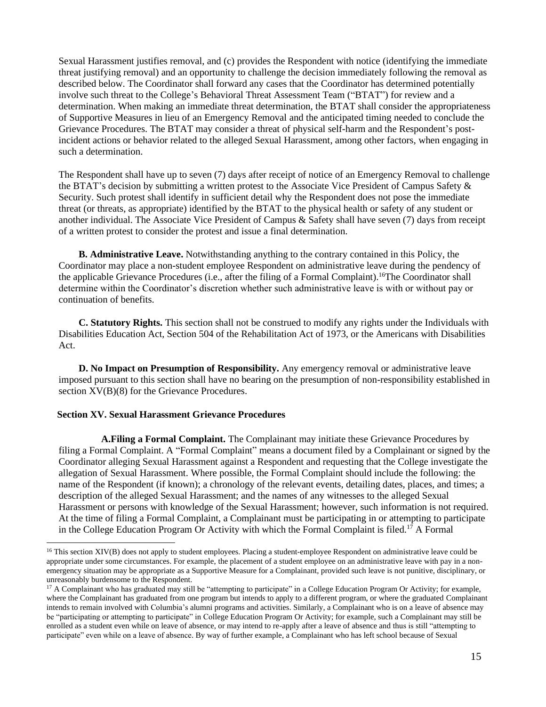Sexual Harassment justifies removal, and (c) provides the Respondent with notice (identifying the immediate threat justifying removal) and an opportunity to challenge the decision immediately following the removal as described below. The Coordinator shall forward any cases that the Coordinator has determined potentially involve such threat to the College's Behavioral Threat Assessment Team ("BTAT") for review and a determination. When making an immediate threat determination, the BTAT shall consider the appropriateness of Supportive Measures in lieu of an Emergency Removal and the anticipated timing needed to conclude the Grievance Procedures. The BTAT may consider a threat of physical self-harm and the Respondent's postincident actions or behavior related to the alleged Sexual Harassment, among other factors, when engaging in such a determination.

The Respondent shall have up to seven (7) days after receipt of notice of an Emergency Removal to challenge the BTAT's decision by submitting a written protest to the Associate Vice President of Campus Safety & Security. Such protest shall identify in sufficient detail why the Respondent does not pose the immediate threat (or threats, as appropriate) identified by the BTAT to the physical health or safety of any student or another individual. The Associate Vice President of Campus & Safety shall have seven (7) days from receipt of a written protest to consider the protest and issue a final determination.

**B. Administrative Leave.** Notwithstanding anything to the contrary contained in this Policy, the Coordinator may place a non-student employee Respondent on administrative leave during the pendency of the applicable Grievance Procedures (i.e., after the filing of a Formal Complaint).<sup>16</sup>The Coordinator shall determine within the Coordinator's discretion whether such administrative leave is with or without pay or continuation of benefits.

**C. Statutory Rights.** This section shall not be construed to modify any rights under the Individuals with Disabilities Education Act, Section 504 of the Rehabilitation Act of 1973, or the Americans with Disabilities Act.

**D. No Impact on Presumption of Responsibility.** Any emergency removal or administrative leave imposed pursuant to this section shall have no bearing on the presumption of non-responsibility established in section  $XV(B)(8)$  for the Grievance Procedures.

## **Section XV. Sexual Harassment Grievance Procedures**

**A.Filing a Formal Complaint.** The Complainant may initiate these Grievance Procedures by filing a Formal Complaint. A "Formal Complaint" means a document filed by a Complainant or signed by the Coordinator alleging Sexual Harassment against a Respondent and requesting that the College investigate the allegation of Sexual Harassment. Where possible, the Formal Complaint should include the following: the name of the Respondent (if known); a chronology of the relevant events, detailing dates, places, and times; a description of the alleged Sexual Harassment; and the names of any witnesses to the alleged Sexual Harassment or persons with knowledge of the Sexual Harassment; however, such information is not required. At the time of filing a Formal Complaint, a Complainant must be participating in or attempting to participate in the College Education Program Or Activity with which the Formal Complaint is filed.<sup>17</sup> A Formal

 $16$  This section XIV(B) does not apply to student employees. Placing a student-employee Respondent on administrative leave could be appropriate under some circumstances. For example, the placement of a student employee on an administrative leave with pay in a nonemergency situation may be appropriate as a Supportive Measure for a Complainant, provided such leave is not punitive, disciplinary, or unreasonably burdensome to the Respondent.

<sup>&</sup>lt;sup>17</sup> A Complainant who has graduated may still be "attempting to participate" in a College Education Program Or Activity; for example, where the Complainant has graduated from one program but intends to apply to a different program, or where the graduated Complainant intends to remain involved with Columbia's alumni programs and activities. Similarly, a Complainant who is on a leave of absence may be "participating or attempting to participate" in College Education Program Or Activity; for example, such a Complainant may still be enrolled as a student even while on leave of absence, or may intend to re-apply after a leave of absence and thus is still "attempting to participate" even while on a leave of absence. By way of further example, a Complainant who has left school because of Sexual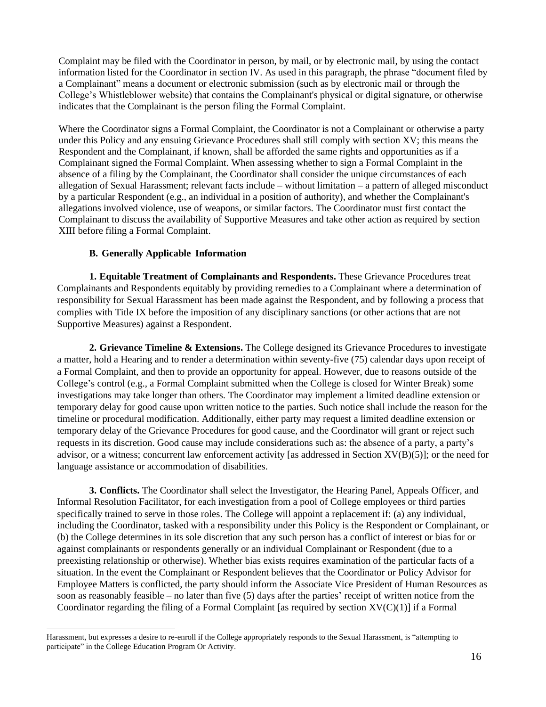Complaint may be filed with the Coordinator in person, by mail, or by electronic mail, by using the contact information listed for the Coordinator in section IV. As used in this paragraph, the phrase "document filed by a Complainant" means a document or electronic submission (such as by electronic mail or through the College's Whistleblower website) that contains the Complainant's physical or digital signature, or otherwise indicates that the Complainant is the person filing the Formal Complaint.

Where the Coordinator signs a Formal Complaint, the Coordinator is not a Complainant or otherwise a party under this Policy and any ensuing Grievance Procedures shall still comply with section XV; this means the Respondent and the Complainant, if known, shall be afforded the same rights and opportunities as if a Complainant signed the Formal Complaint. When assessing whether to sign a Formal Complaint in the absence of a filing by the Complainant, the Coordinator shall consider the unique circumstances of each allegation of Sexual Harassment; relevant facts include – without limitation – a pattern of alleged misconduct by a particular Respondent (e.g., an individual in a position of authority), and whether the Complainant's allegations involved violence, use of weapons, or similar factors. The Coordinator must first contact the Complainant to discuss the availability of Supportive Measures and take other action as required by section XIII before filing a Formal Complaint.

## **B. Generally Applicable Information**

**1. Equitable Treatment of Complainants and Respondents.** These Grievance Procedures treat Complainants and Respondents equitably by providing remedies to a Complainant where a determination of responsibility for Sexual Harassment has been made against the Respondent, and by following a process that complies with Title IX before the imposition of any disciplinary sanctions (or other actions that are not Supportive Measures) against a Respondent.

**2. Grievance Timeline & Extensions.** The College designed its Grievance Procedures to investigate a matter, hold a Hearing and to render a determination within seventy-five (75) calendar days upon receipt of a Formal Complaint, and then to provide an opportunity for appeal. However, due to reasons outside of the College's control (e.g., a Formal Complaint submitted when the College is closed for Winter Break) some investigations may take longer than others. The Coordinator may implement a limited deadline extension or temporary delay for good cause upon written notice to the parties. Such notice shall include the reason for the timeline or procedural modification. Additionally, either party may request a limited deadline extension or temporary delay of the Grievance Procedures for good cause, and the Coordinator will grant or reject such requests in its discretion. Good cause may include considerations such as: the absence of a party, a party's advisor, or a witness; concurrent law enforcement activity [as addressed in Section XV(B)(5)]; or the need for language assistance or accommodation of disabilities.

**3. Conflicts.** The Coordinator shall select the Investigator, the Hearing Panel, Appeals Officer, and Informal Resolution Facilitator, for each investigation from a pool of College employees or third parties specifically trained to serve in those roles. The College will appoint a replacement if: (a) any individual, including the Coordinator, tasked with a responsibility under this Policy is the Respondent or Complainant, or (b) the College determines in its sole discretion that any such person has a conflict of interest or bias for or against complainants or respondents generally or an individual Complainant or Respondent (due to a preexisting relationship or otherwise). Whether bias exists requires examination of the particular facts of a situation. In the event the Complainant or Respondent believes that the Coordinator or Policy Advisor for Employee Matters is conflicted, the party should inform the Associate Vice President of Human Resources as soon as reasonably feasible – no later than five (5) days after the parties' receipt of written notice from the Coordinator regarding the filing of a Formal Complaint [as required by section  $XV(C)(1)$ ] if a Formal

Harassment, but expresses a desire to re-enroll if the College appropriately responds to the Sexual Harassment, is "attempting to participate" in the College Education Program Or Activity.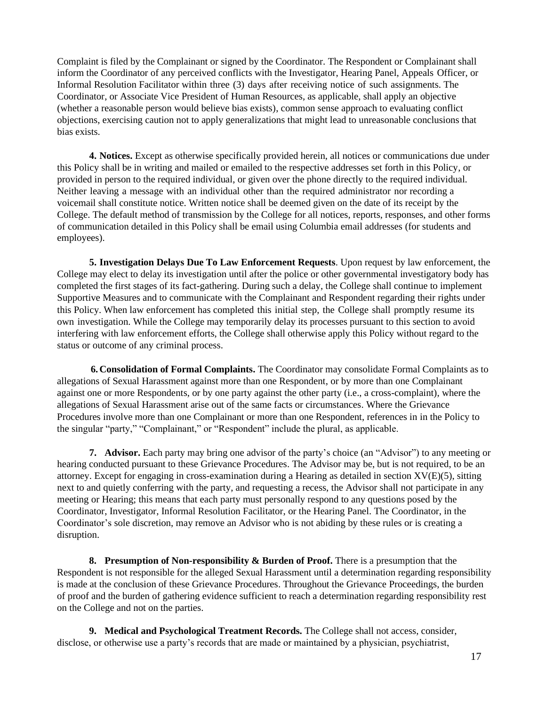Complaint is filed by the Complainant or signed by the Coordinator. The Respondent or Complainant shall inform the Coordinator of any perceived conflicts with the Investigator, Hearing Panel, Appeals Officer, or Informal Resolution Facilitator within three (3) days after receiving notice of such assignments. The Coordinator, or Associate Vice President of Human Resources, as applicable, shall apply an objective (whether a reasonable person would believe bias exists), common sense approach to evaluating conflict objections, exercising caution not to apply generalizations that might lead to unreasonable conclusions that bias exists.

**4. Notices.** Except as otherwise specifically provided herein, all notices or communications due under this Policy shall be in writing and mailed or emailed to the respective addresses set forth in this Policy, or provided in person to the required individual, or given over the phone directly to the required individual. Neither leaving a message with an individual other than the required administrator nor recording a voicemail shall constitute notice. Written notice shall be deemed given on the date of its receipt by the College. The default method of transmission by the College for all notices, reports, responses, and other forms of communication detailed in this Policy shall be email using Columbia email addresses (for students and employees).

**5. Investigation Delays Due To Law Enforcement Requests**. Upon request by law enforcement, the College may elect to delay its investigation until after the police or other governmental investigatory body has completed the first stages of its fact-gathering. During such a delay, the College shall continue to implement Supportive Measures and to communicate with the Complainant and Respondent regarding their rights under this Policy. When law enforcement has completed this initial step, the College shall promptly resume its own investigation. While the College may temporarily delay its processes pursuant to this section to avoid interfering with law enforcement efforts, the College shall otherwise apply this Policy without regard to the status or outcome of any criminal process.

**6.Consolidation of Formal Complaints.** The Coordinator may consolidate Formal Complaints as to allegations of Sexual Harassment against more than one Respondent, or by more than one Complainant against one or more Respondents, or by one party against the other party (i.e., a cross-complaint), where the allegations of Sexual Harassment arise out of the same facts or circumstances. Where the Grievance Procedures involve more than one Complainant or more than one Respondent, references in in the Policy to the singular "party," "Complainant," or "Respondent" include the plural, as applicable.

**7. Advisor.** Each party may bring one advisor of the party's choice (an "Advisor") to any meeting or hearing conducted pursuant to these Grievance Procedures. The Advisor may be, but is not required, to be an attorney. Except for engaging in cross-examination during a Hearing as detailed in section XV(E)(5), sitting next to and quietly conferring with the party, and requesting a recess, the Advisor shall not participate in any meeting or Hearing; this means that each party must personally respond to any questions posed by the Coordinator, Investigator, Informal Resolution Facilitator, or the Hearing Panel. The Coordinator, in the Coordinator's sole discretion, may remove an Advisor who is not abiding by these rules or is creating a disruption.

**8. Presumption of Non-responsibility & Burden of Proof.** There is a presumption that the Respondent is not responsible for the alleged Sexual Harassment until a determination regarding responsibility is made at the conclusion of these Grievance Procedures. Throughout the Grievance Proceedings, the burden of proof and the burden of gathering evidence sufficient to reach a determination regarding responsibility rest on the College and not on the parties.

**9. Medical and Psychological Treatment Records.** The College shall not access, consider, disclose, or otherwise use a party's records that are made or maintained by a physician, psychiatrist,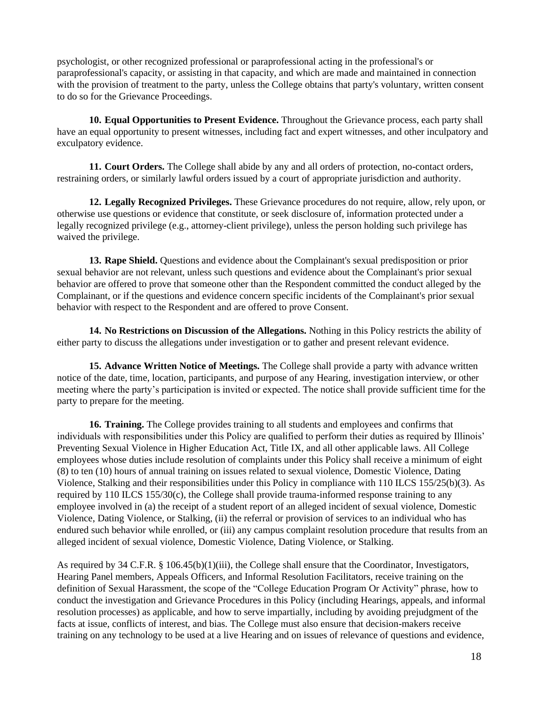psychologist, or other recognized professional or paraprofessional acting in the professional's or paraprofessional's capacity, or assisting in that capacity, and which are made and maintained in connection with the provision of treatment to the party, unless the College obtains that party's voluntary, written consent to do so for the Grievance Proceedings.

**10. Equal Opportunities to Present Evidence.** Throughout the Grievance process, each party shall have an equal opportunity to present witnesses, including fact and expert witnesses, and other inculpatory and exculpatory evidence.

**11. Court Orders.** The College shall abide by any and all orders of protection, no-contact orders, restraining orders, or similarly lawful orders issued by a court of appropriate jurisdiction and authority.

**12. Legally Recognized Privileges.** These Grievance procedures do not require, allow, rely upon, or otherwise use questions or evidence that constitute, or seek disclosure of, information protected under a legally recognized privilege (e.g., attorney-client privilege), unless the person holding such privilege has waived the privilege.

**13. Rape Shield.** Questions and evidence about the Complainant's sexual predisposition or prior sexual behavior are not relevant, unless such questions and evidence about the Complainant's prior sexual behavior are offered to prove that someone other than the Respondent committed the conduct alleged by the Complainant, or if the questions and evidence concern specific incidents of the Complainant's prior sexual behavior with respect to the Respondent and are offered to prove Consent.

**14. No Restrictions on Discussion of the Allegations.** Nothing in this Policy restricts the ability of either party to discuss the allegations under investigation or to gather and present relevant evidence.

**15. Advance Written Notice of Meetings.** The College shall provide a party with advance written notice of the date, time, location, participants, and purpose of any Hearing, investigation interview, or other meeting where the party's participation is invited or expected. The notice shall provide sufficient time for the party to prepare for the meeting.

**16. Training.** The College provides training to all students and employees and confirms that individuals with responsibilities under this Policy are qualified to perform their duties as required by Illinois' Preventing Sexual Violence in Higher Education Act, Title IX, and all other applicable laws. All College employees whose duties include resolution of complaints under this Policy shall receive a minimum of eight (8) to ten (10) hours of annual training on issues related to sexual violence, Domestic Violence, Dating Violence, Stalking and their responsibilities under this Policy in compliance with 110 ILCS 155/25(b)(3). As required by 110 ILCS 155/30(c), the College shall provide trauma-informed response training to any employee involved in (a) the receipt of a student report of an alleged incident of sexual violence, Domestic Violence, Dating Violence, or Stalking, (ii) the referral or provision of services to an individual who has endured such behavior while enrolled, or (iii) any campus complaint resolution procedure that results from an alleged incident of sexual violence, Domestic Violence, Dating Violence, or Stalking.

As required by 34 C.F.R. § 106.45(b)(1)(iii), the College shall ensure that the Coordinator, Investigators, Hearing Panel members, Appeals Officers, and Informal Resolution Facilitators, receive training on the definition of Sexual Harassment, the scope of the "College Education Program Or Activity" phrase, how to conduct the investigation and Grievance Procedures in this Policy (including Hearings, appeals, and informal resolution processes) as applicable, and how to serve impartially, including by avoiding prejudgment of the facts at issue, conflicts of interest, and bias. The College must also ensure that decision-makers receive training on any technology to be used at a live Hearing and on issues of relevance of questions and evidence,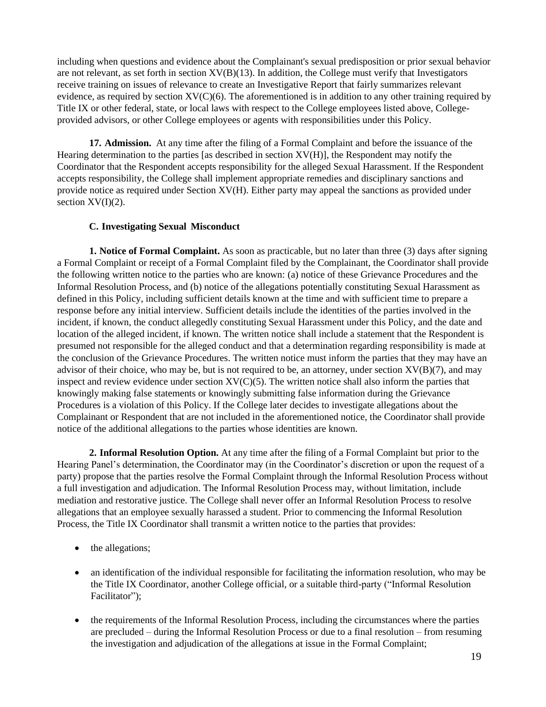including when questions and evidence about the Complainant's sexual predisposition or prior sexual behavior are not relevant, as set forth in section  $XV(B)(13)$ . In addition, the College must verify that Investigators receive training on issues of relevance to create an Investigative Report that fairly summarizes relevant evidence, as required by section XV(C)(6). The aforementioned is in addition to any other training required by Title IX or other federal, state, or local laws with respect to the College employees listed above, Collegeprovided advisors, or other College employees or agents with responsibilities under this Policy.

**17. Admission.** At any time after the filing of a Formal Complaint and before the issuance of the Hearing determination to the parties [as described in section XV(H)], the Respondent may notify the Coordinator that the Respondent accepts responsibility for the alleged Sexual Harassment. If the Respondent accepts responsibility, the College shall implement appropriate remedies and disciplinary sanctions and provide notice as required under Section XV(H). Either party may appeal the sanctions as provided under section  $XV(I)(2)$ .

## **C. Investigating Sexual Misconduct**

**1. Notice of Formal Complaint.** As soon as practicable, but no later than three (3) days after signing a Formal Complaint or receipt of a Formal Complaint filed by the Complainant, the Coordinator shall provide the following written notice to the parties who are known: (a) notice of these Grievance Procedures and the Informal Resolution Process, and (b) notice of the allegations potentially constituting Sexual Harassment as defined in this Policy, including sufficient details known at the time and with sufficient time to prepare a response before any initial interview. Sufficient details include the identities of the parties involved in the incident, if known, the conduct allegedly constituting Sexual Harassment under this Policy, and the date and location of the alleged incident, if known. The written notice shall include a statement that the Respondent is presumed not responsible for the alleged conduct and that a determination regarding responsibility is made at the conclusion of the Grievance Procedures. The written notice must inform the parties that they may have an advisor of their choice, who may be, but is not required to be, an attorney, under section  $XV(B)(7)$ , and may inspect and review evidence under section  $XV(C)(5)$ . The written notice shall also inform the parties that knowingly making false statements or knowingly submitting false information during the Grievance Procedures is a violation of this Policy. If the College later decides to investigate allegations about the Complainant or Respondent that are not included in the aforementioned notice, the Coordinator shall provide notice of the additional allegations to the parties whose identities are known.

**2. Informal Resolution Option.** At any time after the filing of a Formal Complaint but prior to the Hearing Panel's determination, the Coordinator may (in the Coordinator's discretion or upon the request of a party) propose that the parties resolve the Formal Complaint through the Informal Resolution Process without a full investigation and adjudication. The Informal Resolution Process may, without limitation, include mediation and restorative justice. The College shall never offer an Informal Resolution Process to resolve allegations that an employee sexually harassed a student. Prior to commencing the Informal Resolution Process, the Title IX Coordinator shall transmit a written notice to the parties that provides:

- the allegations;
- an identification of the individual responsible for facilitating the information resolution, who may be the Title IX Coordinator, another College official, or a suitable third-party ("Informal Resolution Facilitator");
- the requirements of the Informal Resolution Process, including the circumstances where the parties are precluded – during the Informal Resolution Process or due to a final resolution – from resuming the investigation and adjudication of the allegations at issue in the Formal Complaint;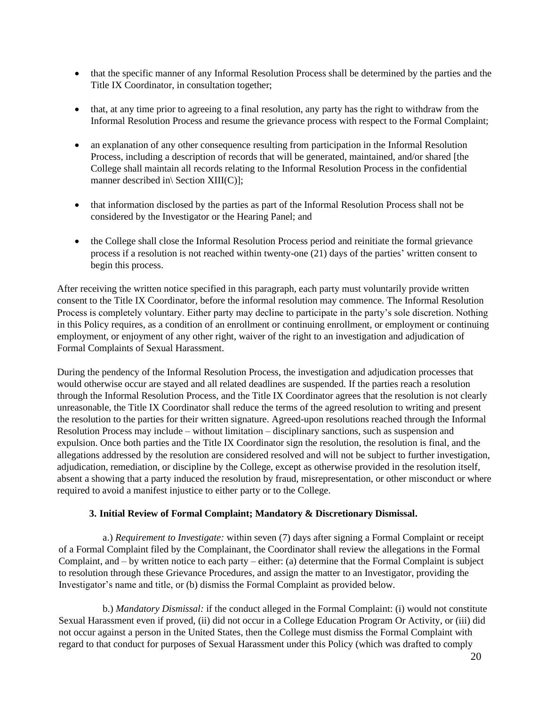- that the specific manner of any Informal Resolution Process shall be determined by the parties and the Title IX Coordinator, in consultation together;
- that, at any time prior to agreeing to a final resolution, any party has the right to withdraw from the Informal Resolution Process and resume the grievance process with respect to the Formal Complaint;
- an explanation of any other consequence resulting from participation in the Informal Resolution Process, including a description of records that will be generated, maintained, and/or shared [the College shall maintain all records relating to the Informal Resolution Process in the confidential manner described in\ Section XIII(C)];
- that information disclosed by the parties as part of the Informal Resolution Process shall not be considered by the Investigator or the Hearing Panel; and
- the College shall close the Informal Resolution Process period and reinitiate the formal grievance process if a resolution is not reached within twenty-one (21) days of the parties' written consent to begin this process.

After receiving the written notice specified in this paragraph, each party must voluntarily provide written consent to the Title IX Coordinator, before the informal resolution may commence. The Informal Resolution Process is completely voluntary. Either party may decline to participate in the party's sole discretion. Nothing in this Policy requires, as a condition of an enrollment or continuing enrollment, or employment or continuing employment, or enjoyment of any other right, waiver of the right to an investigation and adjudication of Formal Complaints of Sexual Harassment.

During the pendency of the Informal Resolution Process, the investigation and adjudication processes that would otherwise occur are stayed and all related deadlines are suspended. If the parties reach a resolution through the Informal Resolution Process, and the Title IX Coordinator agrees that the resolution is not clearly unreasonable, the Title IX Coordinator shall reduce the terms of the agreed resolution to writing and present the resolution to the parties for their written signature. Agreed-upon resolutions reached through the Informal Resolution Process may include – without limitation – disciplinary sanctions, such as suspension and expulsion. Once both parties and the Title IX Coordinator sign the resolution, the resolution is final, and the allegations addressed by the resolution are considered resolved and will not be subject to further investigation, adjudication, remediation, or discipline by the College, except as otherwise provided in the resolution itself, absent a showing that a party induced the resolution by fraud, misrepresentation, or other misconduct or where required to avoid a manifest injustice to either party or to the College.

#### **3. Initial Review of Formal Complaint; Mandatory & Discretionary Dismissal.**

a.) *Requirement to Investigate:* within seven (7) days after signing a Formal Complaint or receipt of a Formal Complaint filed by the Complainant, the Coordinator shall review the allegations in the Formal Complaint, and – by written notice to each party – either: (a) determine that the Formal Complaint is subject to resolution through these Grievance Procedures, and assign the matter to an Investigator, providing the Investigator's name and title, or (b) dismiss the Formal Complaint as provided below.

b.) *Mandatory Dismissal:* if the conduct alleged in the Formal Complaint: (i) would not constitute Sexual Harassment even if proved, (ii) did not occur in a College Education Program Or Activity, or (iii) did not occur against a person in the United States, then the College must dismiss the Formal Complaint with regard to that conduct for purposes of Sexual Harassment under this Policy (which was drafted to comply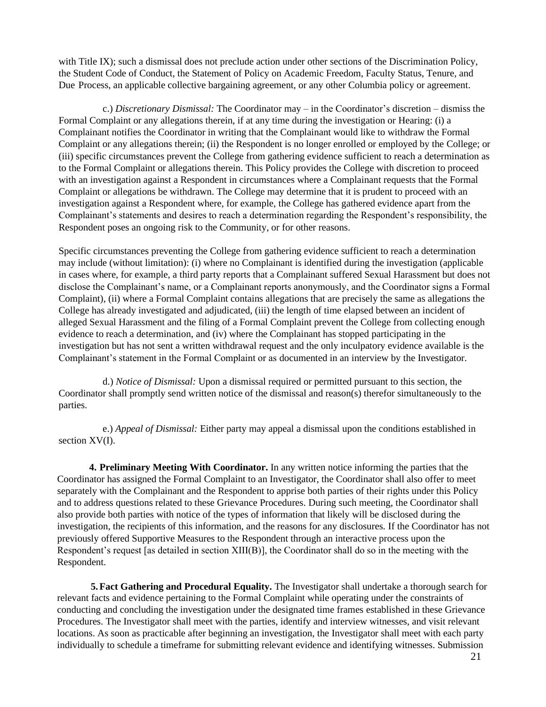with Title IX); such a dismissal does not preclude action under other sections of the Discrimination Policy, the Student Code of Conduct, the Statement of Policy on Academic Freedom, Faculty Status, Tenure, and Due Process, an applicable collective bargaining agreement, or any other Columbia policy or agreement.

c.) *Discretionary Dismissal:* The Coordinator may – in the Coordinator's discretion – dismiss the Formal Complaint or any allegations therein, if at any time during the investigation or Hearing: (i) a Complainant notifies the Coordinator in writing that the Complainant would like to withdraw the Formal Complaint or any allegations therein; (ii) the Respondent is no longer enrolled or employed by the College; or (iii) specific circumstances prevent the College from gathering evidence sufficient to reach a determination as to the Formal Complaint or allegations therein. This Policy provides the College with discretion to proceed with an investigation against a Respondent in circumstances where a Complainant requests that the Formal Complaint or allegations be withdrawn. The College may determine that it is prudent to proceed with an investigation against a Respondent where, for example, the College has gathered evidence apart from the Complainant's statements and desires to reach a determination regarding the Respondent's responsibility, the Respondent poses an ongoing risk to the Community, or for other reasons.

Specific circumstances preventing the College from gathering evidence sufficient to reach a determination may include (without limitation): (i) where no Complainant is identified during the investigation (applicable in cases where, for example, a third party reports that a Complainant suffered Sexual Harassment but does not disclose the Complainant's name, or a Complainant reports anonymously, and the Coordinator signs a Formal Complaint), (ii) where a Formal Complaint contains allegations that are precisely the same as allegations the College has already investigated and adjudicated, (iii) the length of time elapsed between an incident of alleged Sexual Harassment and the filing of a Formal Complaint prevent the College from collecting enough evidence to reach a determination, and (iv) where the Complainant has stopped participating in the investigation but has not sent a written withdrawal request and the only inculpatory evidence available is the Complainant's statement in the Formal Complaint or as documented in an interview by the Investigator.

d.) *Notice of Dismissal:* Upon a dismissal required or permitted pursuant to this section, the Coordinator shall promptly send written notice of the dismissal and reason(s) therefor simultaneously to the parties.

e.) *Appeal of Dismissal:* Either party may appeal a dismissal upon the conditions established in section XV(I).

**4. Preliminary Meeting With Coordinator.** In any written notice informing the parties that the Coordinator has assigned the Formal Complaint to an Investigator, the Coordinator shall also offer to meet separately with the Complainant and the Respondent to apprise both parties of their rights under this Policy and to address questions related to these Grievance Procedures. During such meeting, the Coordinator shall also provide both parties with notice of the types of information that likely will be disclosed during the investigation, the recipients of this information, and the reasons for any disclosures. If the Coordinator has not previously offered Supportive Measures to the Respondent through an interactive process upon the Respondent's request [as detailed in section XIII(B)], the Coordinator shall do so in the meeting with the Respondent.

**5.Fact Gathering and Procedural Equality.** The Investigator shall undertake a thorough search for relevant facts and evidence pertaining to the Formal Complaint while operating under the constraints of conducting and concluding the investigation under the designated time frames established in these Grievance Procedures. The Investigator shall meet with the parties, identify and interview witnesses, and visit relevant locations. As soon as practicable after beginning an investigation, the Investigator shall meet with each party individually to schedule a timeframe for submitting relevant evidence and identifying witnesses. Submission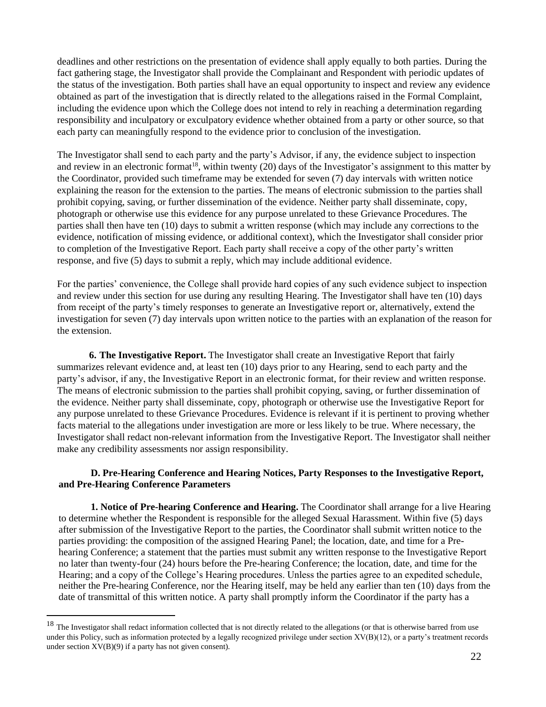deadlines and other restrictions on the presentation of evidence shall apply equally to both parties. During the fact gathering stage, the Investigator shall provide the Complainant and Respondent with periodic updates of the status of the investigation. Both parties shall have an equal opportunity to inspect and review any evidence obtained as part of the investigation that is directly related to the allegations raised in the Formal Complaint, including the evidence upon which the College does not intend to rely in reaching a determination regarding responsibility and inculpatory or exculpatory evidence whether obtained from a party or other source, so that each party can meaningfully respond to the evidence prior to conclusion of the investigation.

The Investigator shall send to each party and the party's Advisor, if any, the evidence subject to inspection and review in an electronic format<sup>18</sup>, within twenty (20) days of the Investigator's assignment to this matter by the Coordinator, provided such timeframe may be extended for seven (7) day intervals with written notice explaining the reason for the extension to the parties. The means of electronic submission to the parties shall prohibit copying, saving, or further dissemination of the evidence. Neither party shall disseminate, copy, photograph or otherwise use this evidence for any purpose unrelated to these Grievance Procedures. The parties shall then have ten (10) days to submit a written response (which may include any corrections to the evidence, notification of missing evidence, or additional context), which the Investigator shall consider prior to completion of the Investigative Report. Each party shall receive a copy of the other party's written response, and five (5) days to submit a reply, which may include additional evidence.

For the parties' convenience, the College shall provide hard copies of any such evidence subject to inspection and review under this section for use during any resulting Hearing. The Investigator shall have ten (10) days from receipt of the party's timely responses to generate an Investigative report or, alternatively, extend the investigation for seven (7) day intervals upon written notice to the parties with an explanation of the reason for the extension.

**6. The Investigative Report.** The Investigator shall create an Investigative Report that fairly summarizes relevant evidence and, at least ten (10) days prior to any Hearing, send to each party and the party's advisor, if any, the Investigative Report in an electronic format, for their review and written response. The means of electronic submission to the parties shall prohibit copying, saving, or further dissemination of the evidence. Neither party shall disseminate, copy, photograph or otherwise use the Investigative Report for any purpose unrelated to these Grievance Procedures. Evidence is relevant if it is pertinent to proving whether facts material to the allegations under investigation are more or less likely to be true. Where necessary, the Investigator shall redact non-relevant information from the Investigative Report. The Investigator shall neither make any credibility assessments nor assign responsibility.

## **D. Pre-Hearing Conference and Hearing Notices, Party Responses to the Investigative Report, and Pre-Hearing Conference Parameters**

**1. Notice of Pre-hearing Conference and Hearing.** The Coordinator shall arrange for a live Hearing to determine whether the Respondent is responsible for the alleged Sexual Harassment. Within five (5) days after submission of the Investigative Report to the parties, the Coordinator shall submit written notice to the parties providing: the composition of the assigned Hearing Panel; the location, date, and time for a Prehearing Conference; a statement that the parties must submit any written response to the Investigative Report no later than twenty-four (24) hours before the Pre-hearing Conference; the location, date, and time for the Hearing; and a copy of the College's Hearing procedures. Unless the parties agree to an expedited schedule, neither the Pre-hearing Conference, nor the Hearing itself, may be held any earlier than ten (10) days from the date of transmittal of this written notice. A party shall promptly inform the Coordinator if the party has a

 $18$  The Investigator shall redact information collected that is not directly related to the allegations (or that is otherwise barred from use under this Policy, such as information protected by a legally recognized privilege under section XV(B)(12), or a party's treatment records under section XV(B)(9) if a party has not given consent).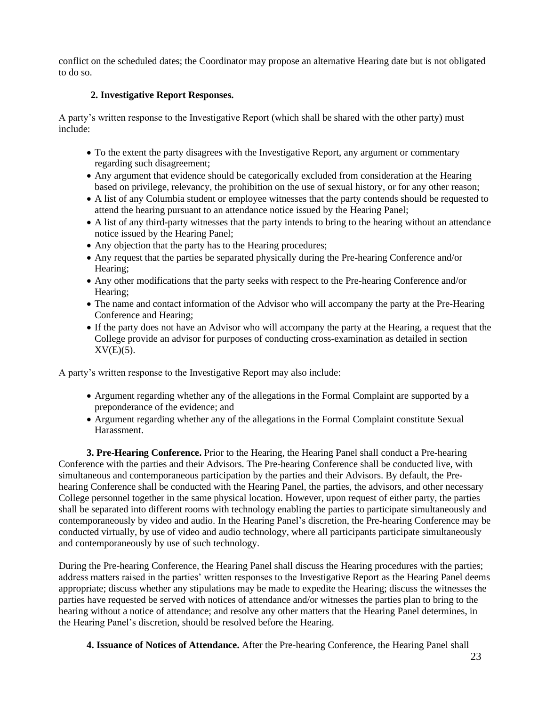conflict on the scheduled dates; the Coordinator may propose an alternative Hearing date but is not obligated to do so.

## **2. Investigative Report Responses.**

A party's written response to the Investigative Report (which shall be shared with the other party) must include:

- To the extent the party disagrees with the Investigative Report, any argument or commentary regarding such disagreement;
- Any argument that evidence should be categorically excluded from consideration at the Hearing based on privilege, relevancy, the prohibition on the use of sexual history, or for any other reason;
- A list of any Columbia student or employee witnesses that the party contends should be requested to attend the hearing pursuant to an attendance notice issued by the Hearing Panel;
- A list of any third-party witnesses that the party intends to bring to the hearing without an attendance notice issued by the Hearing Panel;
- Any objection that the party has to the Hearing procedures;
- Any request that the parties be separated physically during the Pre-hearing Conference and/or Hearing;
- Any other modifications that the party seeks with respect to the Pre-hearing Conference and/or Hearing;
- The name and contact information of the Advisor who will accompany the party at the Pre-Hearing Conference and Hearing;
- If the party does not have an Advisor who will accompany the party at the Hearing, a request that the College provide an advisor for purposes of conducting cross-examination as detailed in section  $XV(E)(5)$ .

A party's written response to the Investigative Report may also include:

- Argument regarding whether any of the allegations in the Formal Complaint are supported by a preponderance of the evidence; and
- Argument regarding whether any of the allegations in the Formal Complaint constitute Sexual Harassment.

**3. Pre-Hearing Conference.** Prior to the Hearing, the Hearing Panel shall conduct a Pre-hearing Conference with the parties and their Advisors. The Pre-hearing Conference shall be conducted live, with simultaneous and contemporaneous participation by the parties and their Advisors. By default, the Prehearing Conference shall be conducted with the Hearing Panel, the parties, the advisors, and other necessary College personnel together in the same physical location. However, upon request of either party, the parties shall be separated into different rooms with technology enabling the parties to participate simultaneously and contemporaneously by video and audio. In the Hearing Panel's discretion, the Pre-hearing Conference may be conducted virtually, by use of video and audio technology, where all participants participate simultaneously and contemporaneously by use of such technology.

During the Pre-hearing Conference, the Hearing Panel shall discuss the Hearing procedures with the parties; address matters raised in the parties' written responses to the Investigative Report as the Hearing Panel deems appropriate; discuss whether any stipulations may be made to expedite the Hearing; discuss the witnesses the parties have requested be served with notices of attendance and/or witnesses the parties plan to bring to the hearing without a notice of attendance; and resolve any other matters that the Hearing Panel determines, in the Hearing Panel's discretion, should be resolved before the Hearing.

**4. Issuance of Notices of Attendance.** After the Pre-hearing Conference, the Hearing Panel shall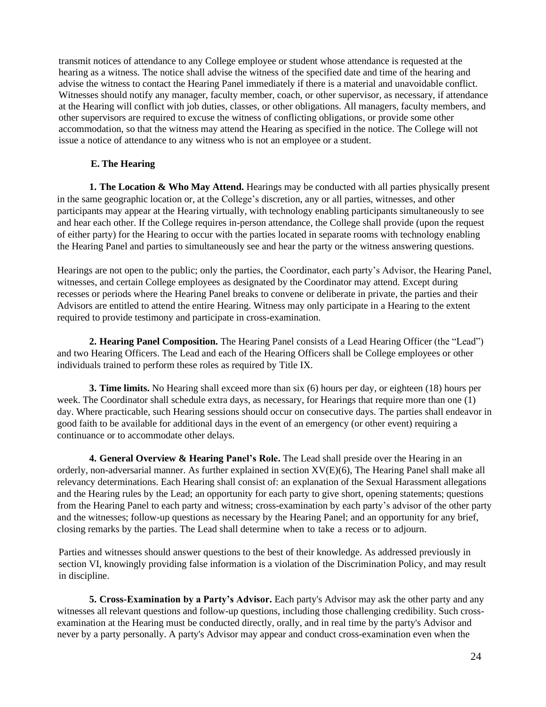transmit notices of attendance to any College employee or student whose attendance is requested at the hearing as a witness. The notice shall advise the witness of the specified date and time of the hearing and advise the witness to contact the Hearing Panel immediately if there is a material and unavoidable conflict. Witnesses should notify any manager, faculty member, coach, or other supervisor, as necessary, if attendance at the Hearing will conflict with job duties, classes, or other obligations. All managers, faculty members, and other supervisors are required to excuse the witness of conflicting obligations, or provide some other accommodation, so that the witness may attend the Hearing as specified in the notice. The College will not issue a notice of attendance to any witness who is not an employee or a student.

## **E. The Hearing**

**1. The Location & Who May Attend.** Hearings may be conducted with all parties physically present in the same geographic location or, at the College's discretion, any or all parties, witnesses, and other participants may appear at the Hearing virtually, with technology enabling participants simultaneously to see and hear each other. If the College requires in-person attendance, the College shall provide (upon the request of either party) for the Hearing to occur with the parties located in separate rooms with technology enabling the Hearing Panel and parties to simultaneously see and hear the party or the witness answering questions.

Hearings are not open to the public; only the parties, the Coordinator, each party's Advisor, the Hearing Panel, witnesses, and certain College employees as designated by the Coordinator may attend. Except during recesses or periods where the Hearing Panel breaks to convene or deliberate in private, the parties and their Advisors are entitled to attend the entire Hearing. Witness may only participate in a Hearing to the extent required to provide testimony and participate in cross-examination.

**2. Hearing Panel Composition.** The Hearing Panel consists of a Lead Hearing Officer (the "Lead") and two Hearing Officers. The Lead and each of the Hearing Officers shall be College employees or other individuals trained to perform these roles as required by Title IX.

**3. Time limits.** No Hearing shall exceed more than six (6) hours per day, or eighteen (18) hours per week. The Coordinator shall schedule extra days, as necessary, for Hearings that require more than one (1) day. Where practicable, such Hearing sessions should occur on consecutive days. The parties shall endeavor in good faith to be available for additional days in the event of an emergency (or other event) requiring a continuance or to accommodate other delays.

**4. General Overview & Hearing Panel's Role.** The Lead shall preside over the Hearing in an orderly, non-adversarial manner. As further explained in section XV(E)(6), The Hearing Panel shall make all relevancy determinations. Each Hearing shall consist of: an explanation of the Sexual Harassment allegations and the Hearing rules by the Lead; an opportunity for each party to give short, opening statements; questions from the Hearing Panel to each party and witness; cross-examination by each party's advisor of the other party and the witnesses; follow-up questions as necessary by the Hearing Panel; and an opportunity for any brief, closing remarks by the parties. The Lead shall determine when to take a recess or to adjourn.

Parties and witnesses should answer questions to the best of their knowledge. As addressed previously in section VI, knowingly providing false information is a violation of the Discrimination Policy, and may result in discipline.

**5. Cross-Examination by a Party's Advisor.** Each party's Advisor may ask the other party and any witnesses all relevant questions and follow-up questions, including those challenging credibility. Such crossexamination at the Hearing must be conducted directly, orally, and in real time by the party's Advisor and never by a party personally. A party's Advisor may appear and conduct cross-examination even when the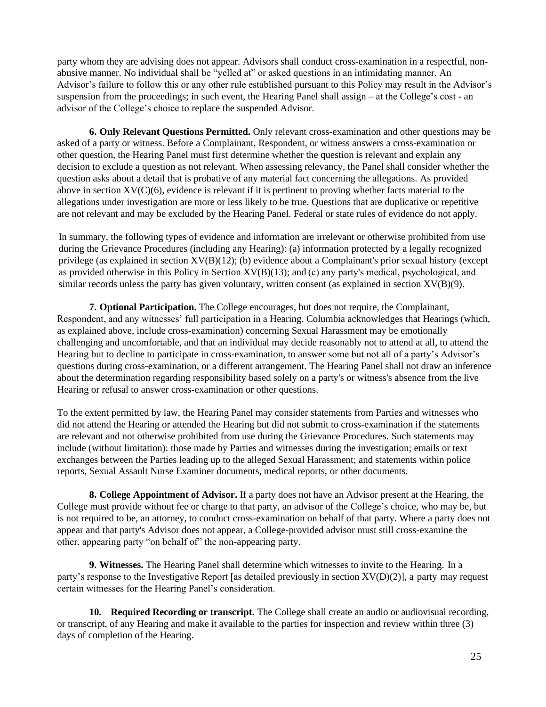party whom they are advising does not appear. Advisors shall conduct cross-examination in a respectful, nonabusive manner. No individual shall be "yelled at" or asked questions in an intimidating manner. An Advisor's failure to follow this or any other rule established pursuant to this Policy may result in the Advisor's suspension from the proceedings; in such event, the Hearing Panel shall assign – at the College's cost - an advisor of the College's choice to replace the suspended Advisor.

**6. Only Relevant Questions Permitted.** Only relevant cross-examination and other questions may be asked of a party or witness. Before a Complainant, Respondent, or witness answers a cross-examination or other question, the Hearing Panel must first determine whether the question is relevant and explain any decision to exclude a question as not relevant. When assessing relevancy, the Panel shall consider whether the question asks about a detail that is probative of any material fact concerning the allegations. As provided above in section  $XV(C)(6)$ , evidence is relevant if it is pertinent to proving whether facts material to the allegations under investigation are more or less likely to be true. Questions that are duplicative or repetitive are not relevant and may be excluded by the Hearing Panel. Federal or state rules of evidence do not apply.

In summary, the following types of evidence and information are irrelevant or otherwise prohibited from use during the Grievance Procedures (including any Hearing): (a) information protected by a legally recognized privilege (as explained in section XV(B)(12); (b) evidence about a Complainant's prior sexual history (except as provided otherwise in this Policy in Section XV(B)(13); and (c) any party's medical, psychological, and similar records unless the party has given voluntary, written consent (as explained in section XV(B)(9).

**7. Optional Participation.** The College encourages, but does not require, the Complainant, Respondent, and any witnesses' full participation in a Hearing. Columbia acknowledges that Hearings (which, as explained above, include cross-examination) concerning Sexual Harassment may be emotionally challenging and uncomfortable, and that an individual may decide reasonably not to attend at all, to attend the Hearing but to decline to participate in cross-examination, to answer some but not all of a party's Advisor's questions during cross-examination, or a different arrangement. The Hearing Panel shall not draw an inference about the determination regarding responsibility based solely on a party's or witness's absence from the live Hearing or refusal to answer cross-examination or other questions.

To the extent permitted by law, the Hearing Panel may consider statements from Parties and witnesses who did not attend the Hearing or attended the Hearing but did not submit to cross-examination if the statements are relevant and not otherwise prohibited from use during the Grievance Procedures. Such statements may include (without limitation): those made by Parties and witnesses during the investigation; emails or text exchanges between the Parties leading up to the alleged Sexual Harassment; and statements within police reports, Sexual Assault Nurse Examiner documents, medical reports, or other documents.

**8. College Appointment of Advisor.** If a party does not have an Advisor present at the Hearing, the College must provide without fee or charge to that party, an advisor of the College's choice, who may be, but is not required to be, an attorney, to conduct cross-examination on behalf of that party. Where a party does not appear and that party's Advisor does not appear, a College-provided advisor must still cross-examine the other, appearing party "on behalf of" the non-appearing party.

**9. Witnesses.** The Hearing Panel shall determine which witnesses to invite to the Hearing. In a party's response to the Investigative Report [as detailed previously in section XV(D)(2)], a party may request certain witnesses for the Hearing Panel's consideration.

**10. Required Recording or transcript.** The College shall create an audio or audiovisual recording, or transcript, of any Hearing and make it available to the parties for inspection and review within three (3) days of completion of the Hearing.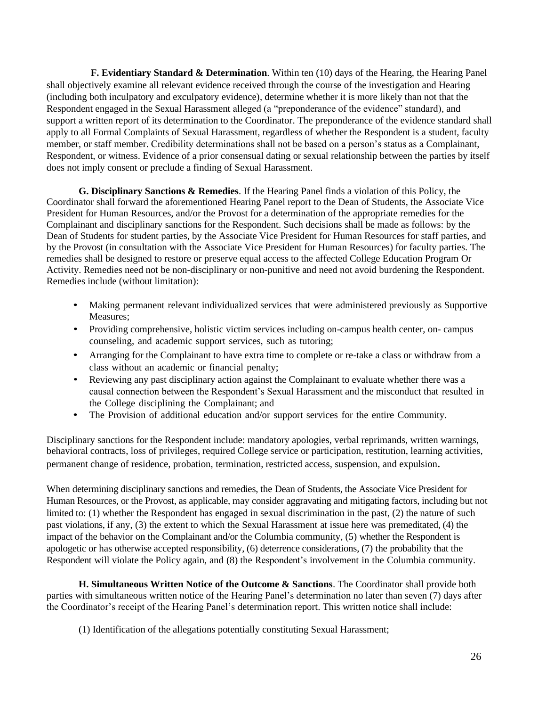**F. Evidentiary Standard & Determination**. Within ten (10) days of the Hearing, the Hearing Panel shall objectively examine all relevant evidence received through the course of the investigation and Hearing (including both inculpatory and exculpatory evidence), determine whether it is more likely than not that the Respondent engaged in the Sexual Harassment alleged (a "preponderance of the evidence" standard), and support a written report of its determination to the Coordinator. The preponderance of the evidence standard shall apply to all Formal Complaints of Sexual Harassment, regardless of whether the Respondent is a student, faculty member, or staff member. Credibility determinations shall not be based on a person's status as a Complainant, Respondent, or witness. Evidence of a prior consensual dating or sexual relationship between the parties by itself does not imply consent or preclude a finding of Sexual Harassment.

**G. Disciplinary Sanctions & Remedies**. If the Hearing Panel finds a violation of this Policy, the Coordinator shall forward the aforementioned Hearing Panel report to the Dean of Students, the Associate Vice President for Human Resources, and/or the Provost for a determination of the appropriate remedies for the Complainant and disciplinary sanctions for the Respondent. Such decisions shall be made as follows: by the Dean of Students for student parties, by the Associate Vice President for Human Resources for staff parties, and by the Provost (in consultation with the Associate Vice President for Human Resources) for faculty parties. The remedies shall be designed to restore or preserve equal access to the affected College Education Program Or Activity. Remedies need not be non-disciplinary or non-punitive and need not avoid burdening the Respondent. Remedies include (without limitation):

- Making permanent relevant individualized services that were administered previously as Supportive Measures;
- Providing comprehensive, holistic victim services including on-campus health center, on- campus counseling, and academic support services, such as tutoring;
- Arranging for the Complainant to have extra time to complete or re-take a class or withdraw from a class without an academic or financial penalty;
- Reviewing any past disciplinary action against the Complainant to evaluate whether there was a causal connection between the Respondent's Sexual Harassment and the misconduct that resulted in the College disciplining the Complainant; and
- The Provision of additional education and/or support services for the entire Community.

Disciplinary sanctions for the Respondent include: mandatory apologies, verbal reprimands, written warnings, behavioral contracts, loss of privileges, required College service or participation, restitution, learning activities, permanent change of residence, probation, termination, restricted access, suspension, and expulsion.

When determining disciplinary sanctions and remedies, the Dean of Students, the Associate Vice President for Human Resources, or the Provost, as applicable, may consider aggravating and mitigating factors, including but not limited to: (1) whether the Respondent has engaged in sexual discrimination in the past, (2) the nature of such past violations, if any, (3) the extent to which the Sexual Harassment at issue here was premeditated, (4) the impact of the behavior on the Complainant and/or the Columbia community, (5) whether the Respondent is apologetic or has otherwise accepted responsibility, (6) deterrence considerations, (7) the probability that the Respondent will violate the Policy again, and (8) the Respondent's involvement in the Columbia community.

**H. Simultaneous Written Notice of the Outcome & Sanctions**. The Coordinator shall provide both parties with simultaneous written notice of the Hearing Panel's determination no later than seven (7) days after the Coordinator's receipt of the Hearing Panel's determination report. This written notice shall include:

(1) Identification of the allegations potentially constituting Sexual Harassment;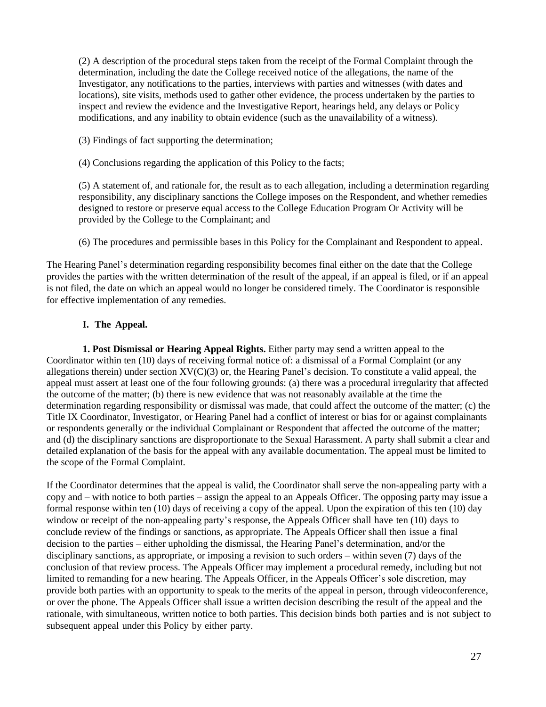(2) A description of the procedural steps taken from the receipt of the Formal Complaint through the determination, including the date the College received notice of the allegations, the name of the Investigator, any notifications to the parties, interviews with parties and witnesses (with dates and locations), site visits, methods used to gather other evidence, the process undertaken by the parties to inspect and review the evidence and the Investigative Report, hearings held, any delays or Policy modifications, and any inability to obtain evidence (such as the unavailability of a witness).

- (3) Findings of fact supporting the determination;
- (4) Conclusions regarding the application of this Policy to the facts;

(5) A statement of, and rationale for, the result as to each allegation, including a determination regarding responsibility, any disciplinary sanctions the College imposes on the Respondent, and whether remedies designed to restore or preserve equal access to the College Education Program Or Activity will be provided by the College to the Complainant; and

(6) The procedures and permissible bases in this Policy for the Complainant and Respondent to appeal.

The Hearing Panel's determination regarding responsibility becomes final either on the date that the College provides the parties with the written determination of the result of the appeal, if an appeal is filed, or if an appeal is not filed, the date on which an appeal would no longer be considered timely. The Coordinator is responsible for effective implementation of any remedies.

## **I. The Appeal.**

**1. Post Dismissal or Hearing Appeal Rights.** Either party may send a written appeal to the Coordinator within ten (10) days of receiving formal notice of: a dismissal of a Formal Complaint (or any allegations therein) under section  $XV(C)(3)$  or, the Hearing Panel's decision. To constitute a valid appeal, the appeal must assert at least one of the four following grounds: (a) there was a procedural irregularity that affected the outcome of the matter; (b) there is new evidence that was not reasonably available at the time the determination regarding responsibility or dismissal was made, that could affect the outcome of the matter; (c) the Title IX Coordinator, Investigator, or Hearing Panel had a conflict of interest or bias for or against complainants or respondents generally or the individual Complainant or Respondent that affected the outcome of the matter; and (d) the disciplinary sanctions are disproportionate to the Sexual Harassment. A party shall submit a clear and detailed explanation of the basis for the appeal with any available documentation. The appeal must be limited to the scope of the Formal Complaint.

If the Coordinator determines that the appeal is valid, the Coordinator shall serve the non-appealing party with a copy and – with notice to both parties – assign the appeal to an Appeals Officer. The opposing party may issue a formal response within ten (10) days of receiving a copy of the appeal. Upon the expiration of this ten (10) day window or receipt of the non-appealing party's response, the Appeals Officer shall have ten (10) days to conclude review of the findings or sanctions, as appropriate. The Appeals Officer shall then issue a final decision to the parties – either upholding the dismissal, the Hearing Panel's determination, and/or the disciplinary sanctions, as appropriate, or imposing a revision to such orders – within seven (7) days of the conclusion of that review process. The Appeals Officer may implement a procedural remedy, including but not limited to remanding for a new hearing. The Appeals Officer, in the Appeals Officer's sole discretion, may provide both parties with an opportunity to speak to the merits of the appeal in person, through videoconference, or over the phone. The Appeals Officer shall issue a written decision describing the result of the appeal and the rationale, with simultaneous, written notice to both parties. This decision binds both parties and is not subject to subsequent appeal under this Policy by either party.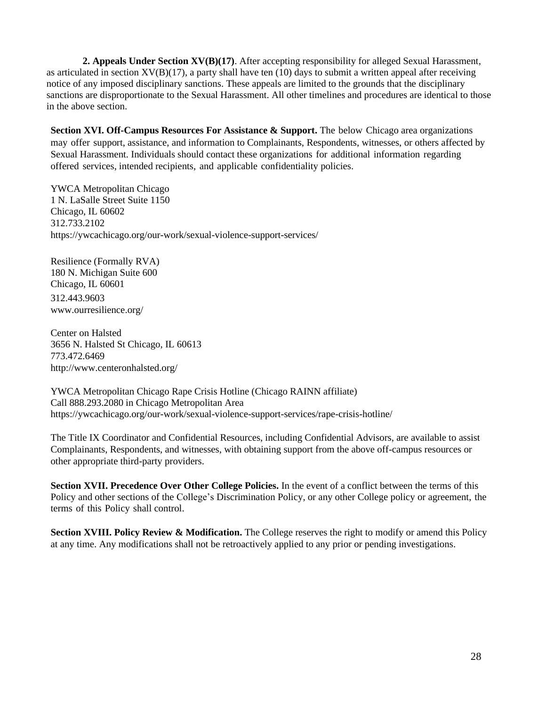**2. Appeals Under Section XV(B)(17)**. After accepting responsibility for alleged Sexual Harassment, as articulated in section  $XV(B)(17)$ , a party shall have ten (10) days to submit a written appeal after receiving notice of any imposed disciplinary sanctions. These appeals are limited to the grounds that the disciplinary sanctions are disproportionate to the Sexual Harassment. All other timelines and procedures are identical to those in the above section.

**Section XVI. Off-Campus Resources For Assistance & Support.** The below Chicago area organizations may offer support, assistance, and information to Complainants, Respondents, witnesses, or others affected by Sexual Harassment. Individuals should contact these organizations for additional information regarding offered services, intended recipients, and applicable confidentiality policies.

YWCA Metropolitan Chicago 1 N. LaSalle Street Suite 1150 Chicago, IL 60602 312.733.2102 https://ywcachicago.org/our-work/sexual-violence-support-services/

Resilience (Formally RVA) 180 N. Michigan Suite 600 Chicago, IL 60601 312.443.9603 [www.ourresilience.org/](http://www.ourresilience.org/)

Center on Halsted 3656 N. Halsted St Chicago, IL 60613 773.472.6469 <http://www.centeronhalsted.org/>

YWCA Metropolitan Chicago Rape Crisis Hotline (Chicago RAINN affiliate) Call 888.293.2080 in Chicago Metropolitan Area https://ywcachicago.org/our-work/sexual-violence-support-services/rape-crisis-hotline/

The Title IX Coordinator and Confidential Resources, including Confidential Advisors, are available to assist Complainants, Respondents, and witnesses, with obtaining support from the above off-campus resources or other appropriate third-party providers.

**Section XVII. Precedence Over Other College Policies.** In the event of a conflict between the terms of this Policy and other sections of the College's Discrimination Policy, or any other College policy or agreement, the terms of this Policy shall control.

**Section XVIII. Policy Review & Modification.** The College reserves the right to modify or amend this Policy at any time. Any modifications shall not be retroactively applied to any prior or pending investigations.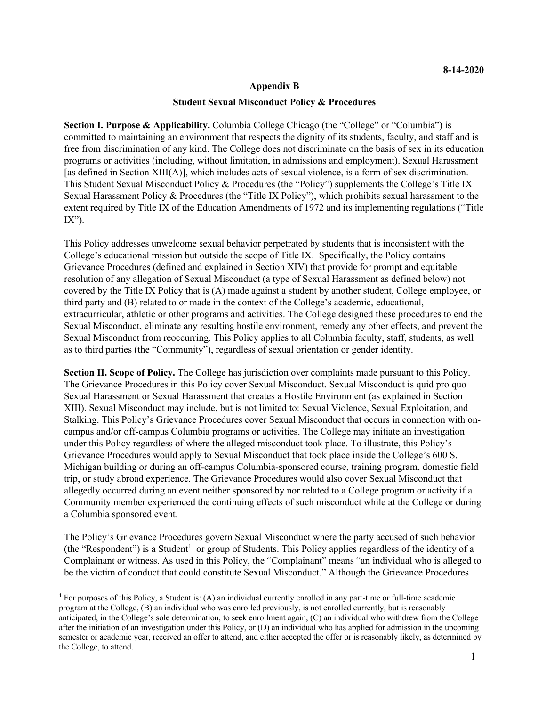#### **Appendix B**

#### **Student Sexual Misconduct Policy & Procedures**

**Section I. Purpose & Applicability.** Columbia College Chicago (the "College" or "Columbia") is committed to maintaining an environment that respects the dignity of its students, faculty, and staff and is free from discrimination of any kind. The College does not discriminate on the basis of sex in its education programs or activities (including, without limitation, in admissions and employment). Sexual Harassment [as defined in Section XIII(A)], which includes acts of sexual violence, is a form of sex discrimination. This Student Sexual Misconduct Policy & Procedures (the "Policy") supplements the College's Title IX Sexual Harassment Policy & Procedures (the "Title IX Policy"), which prohibits sexual harassment to the extent required by Title IX of the Education Amendments of 1972 and its implementing regulations ("Title  $IX$ ").

This Policy addresses unwelcome sexual behavior perpetrated by students that is inconsistent with the College's educational mission but outside the scope of Title IX. Specifically, the Policy contains Grievance Procedures (defined and explained in Section XIV) that provide for prompt and equitable resolution of any allegation of Sexual Misconduct (a type of Sexual Harassment as defined below) not covered by the Title IX Policy that is (A) made against a student by another student, College employee, or third party and (B) related to or made in the context of the College's academic, educational, extracurricular, athletic or other programs and activities. The College designed these procedures to end the Sexual Misconduct, eliminate any resulting hostile environment, remedy any other effects, and prevent the Sexual Misconduct from reoccurring. This Policy applies to all Columbia faculty, staff, students, as well as to third parties (the "Community"), regardless of sexual orientation or gender identity.

**Section II. Scope of Policy.** The College has jurisdiction over complaints made pursuant to this Policy. The Grievance Procedures in this Policy cover Sexual Misconduct. Sexual Misconduct is quid pro quo Sexual Harassment or Sexual Harassment that creates a Hostile Environment (as explained in Section XIII). Sexual Misconduct may include, but is not limited to: Sexual Violence, Sexual Exploitation, and Stalking. This Policy's Grievance Procedures cover Sexual Misconduct that occurs in connection with oncampus and/or off-campus Columbia programs or activities. The College may initiate an investigation under this Policy regardless of where the alleged misconduct took place. To illustrate, this Policy's Grievance Procedures would apply to Sexual Misconduct that took place inside the College's 600 S. Michigan building or during an off-campus Columbia-sponsored course, training program, domestic field trip, or study abroad experience. The Grievance Procedures would also cover Sexual Misconduct that allegedly occurred during an event neither sponsored by nor related to a College program or activity if a Community member experienced the continuing effects of such misconduct while at the College or during a Columbia sponsored event.

The Policy's Grievance Procedures govern Sexual Misconduct where the party accused of such behavior (the "Respondent") is a Student<sup>1</sup> or group of Students. This Policy applies regardless of the identity of a Complainant or witness. As used in this Policy, the "Complainant" means "an individual who is alleged to be the victim of conduct that could constitute Sexual Misconduct." Although the Grievance Procedures

<sup>1</sup> For purposes of this Policy, a Student is: (A) an individual currently enrolled in any part-time or full-time academic program at the College, (B) an individual who was enrolled previously, is not enrolled currently, but is reasonably anticipated, in the College's sole determination, to seek enrollment again, (C) an individual who withdrew from the College after the initiation of an investigation under this Policy, or (D) an individual who has applied for admission in the upcoming semester or academic year, received an offer to attend, and either accepted the offer or is reasonably likely, as determined by the College, to attend.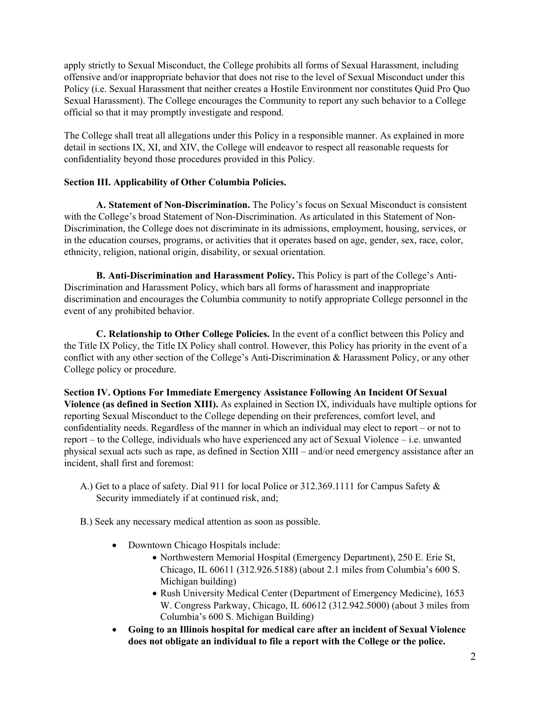apply strictly to Sexual Misconduct, the College prohibits all forms of Sexual Harassment, including offensive and/or inappropriate behavior that does not rise to the level of Sexual Misconduct under this Policy (i.e. Sexual Harassment that neither creates a Hostile Environment nor constitutes Quid Pro Quo Sexual Harassment). The College encourages the Community to report any such behavior to a College official so that it may promptly investigate and respond.

The College shall treat all allegations under this Policy in a responsible manner. As explained in more detail in sections IX, XI, and XIV, the College will endeavor to respect all reasonable requests for confidentiality beyond those procedures provided in this Policy.

## **Section III. Applicability of Other Columbia Policies.**

**A. Statement of Non-Discrimination.** The Policy's focus on Sexual Misconduct is consistent with the College's broad Statement of Non-Discrimination. As articulated in this Statement of Non-Discrimination, the College does not discriminate in its admissions, employment, housing, services, or in the education courses, programs, or activities that it operates based on age, gender, sex, race, color, ethnicity, religion, national origin, disability, or sexual orientation.

**B. Anti-Discrimination and Harassment Policy.** This Policy is part of the College's Anti-Discrimination and Harassment Policy, which bars all forms of harassment and inappropriate discrimination and encourages the Columbia community to notify appropriate College personnel in the event of any prohibited behavior.

**C. Relationship to Other College Policies.** In the event of a conflict between this Policy and the Title IX Policy, the Title IX Policy shall control. However, this Policy has priority in the event of a conflict with any other section of the College's Anti-Discrimination & Harassment Policy, or any other College policy or procedure.

**Section IV. Options For Immediate Emergency Assistance Following An Incident Of Sexual Violence (as defined in Section XIII).** As explained in Section IX, individuals have multiple options for reporting Sexual Misconduct to the College depending on their preferences, comfort level, and confidentiality needs. Regardless of the manner in which an individual may elect to report – or not to report – to the College, individuals who have experienced any act of Sexual Violence – i.e. unwanted physical sexual acts such as rape, as defined in Section XIII – and/or need emergency assistance after an incident, shall first and foremost:

- A.) Get to a place of safety. Dial 911 for local Police or 312.369.1111 for Campus Safety & Security immediately if at continued risk, and;
- B.) Seek any necessary medical attention as soon as possible.
	- Downtown Chicago Hospitals include:
		- Northwestern Memorial Hospital (Emergency Department), 250 E. Erie St, Chicago, IL 60611 (312.926.5188) (about 2.1 miles from Columbia's 600 S. Michigan building)
		- Rush University Medical Center (Department of Emergency Medicine), 1653 W. Congress Parkway, Chicago, IL 60612 (312.942.5000) (about 3 miles from Columbia's 600 S. Michigan Building)
	- **Going to an Illinois hospital for medical care after an incident of Sexual Violence does not obligate an individual to file a report with the College or the police.**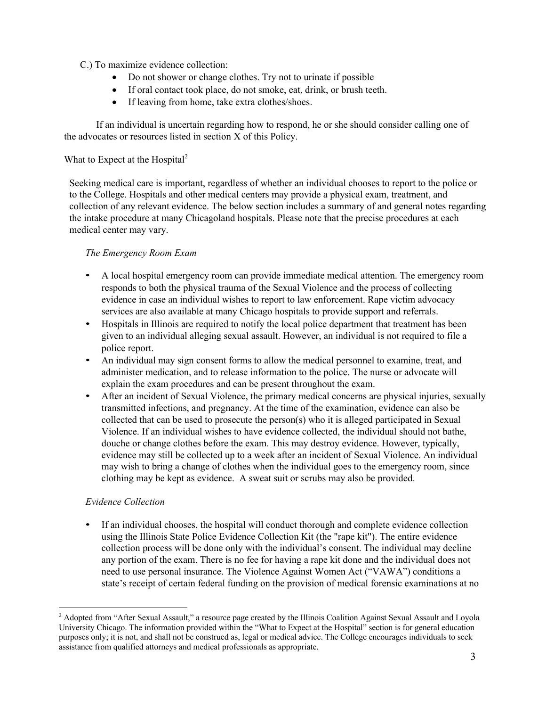C.) To maximize evidence collection:

- Do not shower or change clothes. Try not to urinate if possible
- If oral contact took place, do not smoke, eat, drink, or brush teeth.
- If leaving from home, take extra clothes/shoes.

If an individual is uncertain regarding how to respond, he or she should consider calling one of the advocates or resources listed in section X of this Policy.

## What to Expect at the Hospital<sup>2</sup>

Seeking medical care is important, regardless of whether an individual chooses to report to the police or to the College. Hospitals and other medical centers may provide a physical exam, treatment, and collection of any relevant evidence. The below section includes a summary of and general notes regarding the intake procedure at many Chicagoland hospitals. Please note that the precise procedures at each medical center may vary.

## *The Emergency Room Exam*

- A local hospital emergency room can provide immediate medical attention. The emergency room responds to both the physical trauma of the Sexual Violence and the process of collecting evidence in case an individual wishes to report to law enforcement. Rape victim advocacy services are also available at many Chicago hospitals to provide support and referrals.
- Hospitals in Illinois are required to notify the local police department that treatment has been given to an individual alleging sexual assault. However, an individual is not required to file a police report.
- An individual may sign consent forms to allow the medical personnel to examine, treat, and administer medication, and to release information to the police. The nurse or advocate will explain the exam procedures and can be present throughout the exam.
- After an incident of Sexual Violence, the primary medical concerns are physical injuries, sexually transmitted infections, and pregnancy. At the time of the examination, evidence can also be collected that can be used to prosecute the person(s) who it is alleged participated in Sexual Violence. If an individual wishes to have evidence collected, the individual should not bathe, douche or change clothes before the exam. This may destroy evidence. However, typically, evidence may still be collected up to a week after an incident of Sexual Violence. An individual may wish to bring a change of clothes when the individual goes to the emergency room, since clothing may be kept as evidence. A sweat suit or scrubs may also be provided.

## *Evidence Collection*

• If an individual chooses, the hospital will conduct thorough and complete evidence collection using the Illinois State Police Evidence Collection Kit (the "rape kit"). The entire evidence collection process will be done only with the individual's consent. The individual may decline any portion of the exam. There is no fee for having a rape kit done and the individual does not need to use personal insurance. The Violence Against Women Act ("VAWA") conditions a state's receipt of certain federal funding on the provision of medical forensic examinations at no

<sup>&</sup>lt;sup>2</sup> Adopted from "After Sexual Assault," a resource page created by the Illinois Coalition Against Sexual Assault and Loyola University Chicago. The information provided within the "What to Expect at the Hospital" section is for general education purposes only; it is not, and shall not be construed as, legal or medical advice. The College encourages individuals to seek assistance from qualified attorneys and medical professionals as appropriate.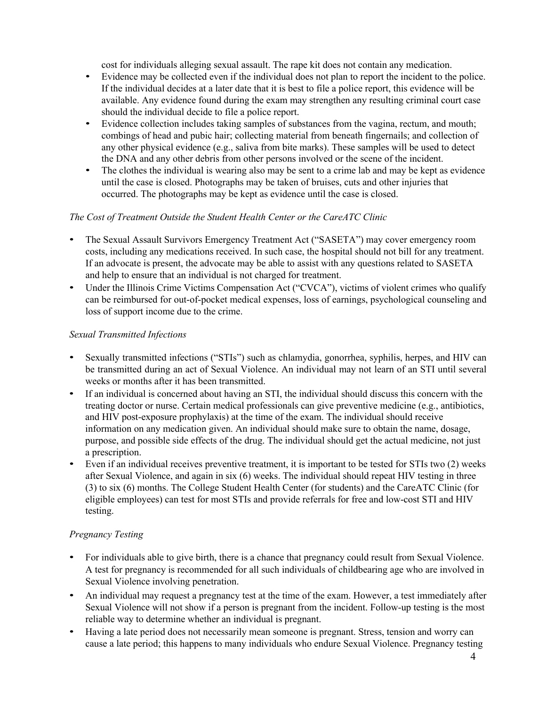cost for individuals alleging sexual assault. The rape kit does not contain any medication.

- Evidence may be collected even if the individual does not plan to report the incident to the police. If the individual decides at a later date that it is best to file a police report, this evidence will be available. Any evidence found during the exam may strengthen any resulting criminal court case should the individual decide to file a police report.
- Evidence collection includes taking samples of substances from the vagina, rectum, and mouth; combings of head and pubic hair; collecting material from beneath fingernails; and collection of any other physical evidence (e.g., saliva from bite marks). These samples will be used to detect the DNA and any other debris from other persons involved or the scene of the incident.
- The clothes the individual is wearing also may be sent to a crime lab and may be kept as evidence until the case is closed. Photographs may be taken of bruises, cuts and other injuries that occurred. The photographs may be kept as evidence until the case is closed.

## *The Cost of Treatment Outside the Student Health Center or the CareATC Clinic*

- The Sexual Assault Survivors Emergency Treatment Act ("SASETA") may cover emergency room costs, including any medications received. In such case, the hospital should not bill for any treatment. If an advocate is present, the advocate may be able to assist with any questions related to SASETA and help to ensure that an individual is not charged for treatment.
- Under the Illinois Crime Victims Compensation Act ("CVCA"), victims of violent crimes who qualify can be reimbursed for out-of-pocket medical expenses, loss of earnings, psychological counseling and loss of support income due to the crime.

## *Sexual Transmitted Infections*

- Sexually transmitted infections ("STIs") such as chlamydia, gonorrhea, syphilis, herpes, and HIV can be transmitted during an act of Sexual Violence. An individual may not learn of an STI until several weeks or months after it has been transmitted.
- If an individual is concerned about having an STI, the individual should discuss this concern with the treating doctor or nurse. Certain medical professionals can give preventive medicine (e.g., antibiotics, and HIV post-exposure prophylaxis) at the time of the exam. The individual should receive information on any medication given. An individual should make sure to obtain the name, dosage, purpose, and possible side effects of the drug. The individual should get the actual medicine, not just a prescription.
- Even if an individual receives preventive treatment, it is important to be tested for STIs two (2) weeks after Sexual Violence, and again in six (6) weeks. The individual should repeat HIV testing in three (3) to six (6) months. The College Student Health Center (for students) and the CareATC Clinic (for eligible employees) can test for most STIs and provide referrals for free and low-cost STI and HIV testing.

## *Pregnancy Testing*

- For individuals able to give birth, there is a chance that pregnancy could result from Sexual Violence. A test for pregnancy is recommended for all such individuals of childbearing age who are involved in Sexual Violence involving penetration.
- An individual may request a pregnancy test at the time of the exam. However, a test immediately after Sexual Violence will not show if a person is pregnant from the incident. Follow-up testing is the most reliable way to determine whether an individual is pregnant.
- Having a late period does not necessarily mean someone is pregnant. Stress, tension and worry can cause a late period; this happens to many individuals who endure Sexual Violence. Pregnancy testing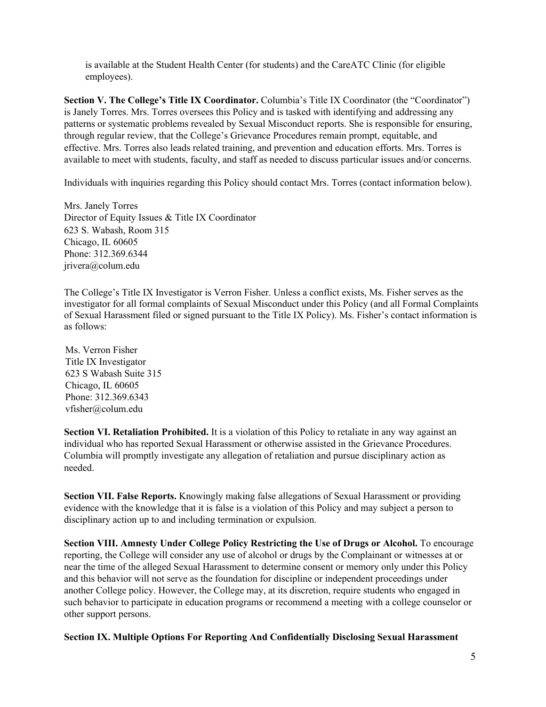is available at the Student Health Center (for students) and the CareATC Clinic (for eligible employees).

**Section V. The College's Title IX Coordinator.** Columbia's Title IX Coordinator (the "Coordinator") is Janely Torres. Mrs. Torres oversees this Policy and is tasked with identifying and addressing any patterns or systematic problems revealed by Sexual Misconduct reports. She is responsible for ensuring, through regular review, that the College's Grievance Procedures remain prompt, equitable, and effective. Mrs. Torres also leads related training, and prevention and education efforts. Mrs. Torres is available to meet with students, faculty, and staff as needed to discuss particular issues and/or concerns.

Individuals with inquiries regarding this Policy should contact Mrs. Torres (contact information below).

Mrs. Janely Torres Director of Equity Issues & Title IX Coordinator 623 S. Wabash, Room 315 Chicago, IL 60605 Phone: 312.369.6344 jrivera@colum.edu

The College's Title IX Investigator is Verron Fisher. Unless a conflict exists, Ms. Fisher serves as the investigator for all formal complaints of Sexual Misconduct under this Policy (and all Formal Complaints of Sexual Harassment filed or signed pursuant to the Title IX Policy). Ms. Fisher's contact information is as follows:

Ms. Verron Fisher Title IX Investigator 623 S Wabash Suite 315 Chicago, IL 60605 Phone: 312.369.6343 vfisher@colum.edu

**Section VI. Retaliation Prohibited.** It is a violation of this Policy to retaliate in any way against an individual who has reported Sexual Harassment or otherwise assisted in the Grievance Procedures. Columbia will promptly investigate any allegation of retaliation and pursue disciplinary action as needed.

**Section VII. False Reports.** Knowingly making false allegations of Sexual Harassment or providing evidence with the knowledge that it is false is a violation of this Policy and may subject a person to disciplinary action up to and including termination or expulsion.

**Section VIII. Amnesty Under College Policy Restricting the Use of Drugs or Alcohol.** To encourage reporting, the College will consider any use of alcohol or drugs by the Complainant or witnesses at or near the time of the alleged Sexual Harassment to determine consent or memory only under this Policy and this behavior will not serve as the foundation for discipline or independent proceedings under another College policy. However, the College may, at its discretion, require students who engaged in such behavior to participate in education programs or recommend a meeting with a college counselor or other support persons.

**Section IX. Multiple Options For Reporting And Confidentially Disclosing Sexual Harassment**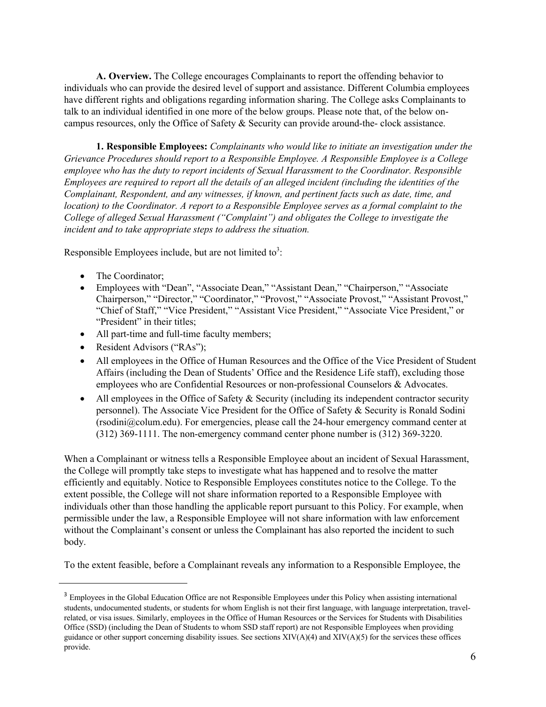**A. Overview.** The College encourages Complainants to report the offending behavior to individuals who can provide the desired level of support and assistance. Different Columbia employees have different rights and obligations regarding information sharing. The College asks Complainants to talk to an individual identified in one more of the below groups. Please note that, of the below oncampus resources, only the Office of Safety & Security can provide around-the- clock assistance.

**1. Responsible Employees:** *Complainants who would like to initiate an investigation under the Grievance Procedures should report to a Responsible Employee. A Responsible Employee is a College employee who has the duty to report incidents of Sexual Harassment to the Coordinator. Responsible Employees are required to report all the details of an alleged incident (including the identities of the Complainant, Respondent, and any witnesses, if known, and pertinent facts such as date, time, and location) to the Coordinator. A report to a Responsible Employee serves as a formal complaint to the College of alleged Sexual Harassment ("Complaint") and obligates the College to investigate the incident and to take appropriate steps to address the situation.*

Responsible Employees include, but are not limited to<sup>3</sup>:

- The Coordinator;
- Employees with "Dean", "Associate Dean," "Assistant Dean," "Chairperson," "Associate Chairperson," "Director," "Coordinator," "Provost," "Associate Provost," "Assistant Provost," "Chief of Staff," "Vice President," "Assistant Vice President," "Associate Vice President," or "President" in their titles;
- All part-time and full-time faculty members;
- Resident Advisors ("RAs");
- All employees in the Office of Human Resources and the Office of the Vice President of Student Affairs (including the Dean of Students' Office and the Residence Life staff), excluding those employees who are Confidential Resources or non-professional Counselors & Advocates.
- All employees in the Office of Safety  $&$  Security (including its independent contractor security personnel). The Associate Vice President for the Office of Safety & Security is Ronald Sodini (rsodini@colum.edu). For emergencies, please call the 24-hour emergency command center at (312) 369-1111. The non-emergency command center phone number is (312) 369-3220.

When a Complainant or witness tells a Responsible Employee about an incident of Sexual Harassment, the College will promptly take steps to investigate what has happened and to resolve the matter efficiently and equitably. Notice to Responsible Employees constitutes notice to the College. To the extent possible, the College will not share information reported to a Responsible Employee with individuals other than those handling the applicable report pursuant to this Policy. For example, when permissible under the law, a Responsible Employee will not share information with law enforcement without the Complainant's consent or unless the Complainant has also reported the incident to such body.

To the extent feasible, before a Complainant reveals any information to a Responsible Employee, the

<sup>&</sup>lt;sup>3</sup> Employees in the Global Education Office are not Responsible Employees under this Policy when assisting international students, undocumented students, or students for whom English is not their first language, with language interpretation, travelrelated, or visa issues. Similarly, employees in the Office of Human Resources or the Services for Students with Disabilities Office (SSD) (including the Dean of Students to whom SSD staff report) are not Responsible Employees when providing guidance or other support concerning disability issues. See sections  $XIV(A)(4)$  and  $XIV(A)(5)$  for the services these offices provide.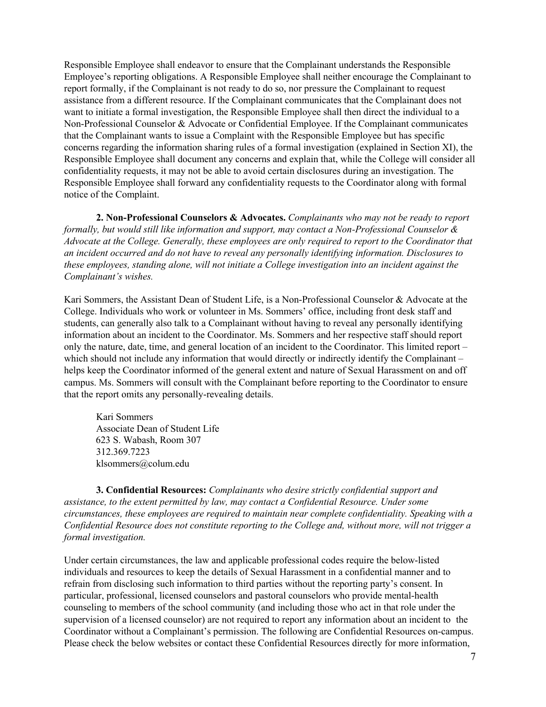Responsible Employee shall endeavor to ensure that the Complainant understands the Responsible Employee's reporting obligations. A Responsible Employee shall neither encourage the Complainant to report formally, if the Complainant is not ready to do so, nor pressure the Complainant to request assistance from a different resource. If the Complainant communicates that the Complainant does not want to initiate a formal investigation, the Responsible Employee shall then direct the individual to a Non-Professional Counselor & Advocate or Confidential Employee. If the Complainant communicates that the Complainant wants to issue a Complaint with the Responsible Employee but has specific concerns regarding the information sharing rules of a formal investigation (explained in Section XI), the Responsible Employee shall document any concerns and explain that, while the College will consider all confidentiality requests, it may not be able to avoid certain disclosures during an investigation. The Responsible Employee shall forward any confidentiality requests to the Coordinator along with formal notice of the Complaint.

**2. Non-Professional Counselors & Advocates.** *Complainants who may not be ready to report formally, but would still like information and support, may contact a Non-Professional Counselor & Advocate at the College. Generally, these employees are only required to report to the Coordinator that an incident occurred and do not have to reveal any personally identifying information. Disclosures to these employees, standing alone, will not initiate a College investigation into an incident against the Complainant's wishes.*

Kari Sommers, the Assistant Dean of Student Life, is a Non-Professional Counselor & Advocate at the College. Individuals who work or volunteer in Ms. Sommers' office, including front desk staff and students, can generally also talk to a Complainant without having to reveal any personally identifying information about an incident to the Coordinator. Ms. Sommers and her respective staff should report only the nature, date, time, and general location of an incident to the Coordinator. This limited report – which should not include any information that would directly or indirectly identify the Complainant – helps keep the Coordinator informed of the general extent and nature of Sexual Harassment on and off campus. Ms. Sommers will consult with the Complainant before reporting to the Coordinator to ensure that the report omits any personally-revealing details.

Kari Sommers Associate Dean of Student Life 623 S. Wabash, Room 307 312.369.7223 klsommers@colum.edu

**3. Confidential Resources:** *Complainants who desire strictly confidential support and assistance, to the extent permitted by law, may contact a Confidential Resource. Under some circumstances, these employees are required to maintain near complete confidentiality. Speaking with a Confidential Resource does not constitute reporting to the College and, without more, will not trigger a formal investigation.*

Under certain circumstances, the law and applicable professional codes require the below-listed individuals and resources to keep the details of Sexual Harassment in a confidential manner and to refrain from disclosing such information to third parties without the reporting party's consent. In particular, professional, licensed counselors and pastoral counselors who provide mental-health counseling to members of the school community (and including those who act in that role under the supervision of a licensed counselor) are not required to report any information about an incident to the Coordinator without a Complainant's permission. The following are Confidential Resources on-campus. Please check the below websites or contact these Confidential Resources directly for more information,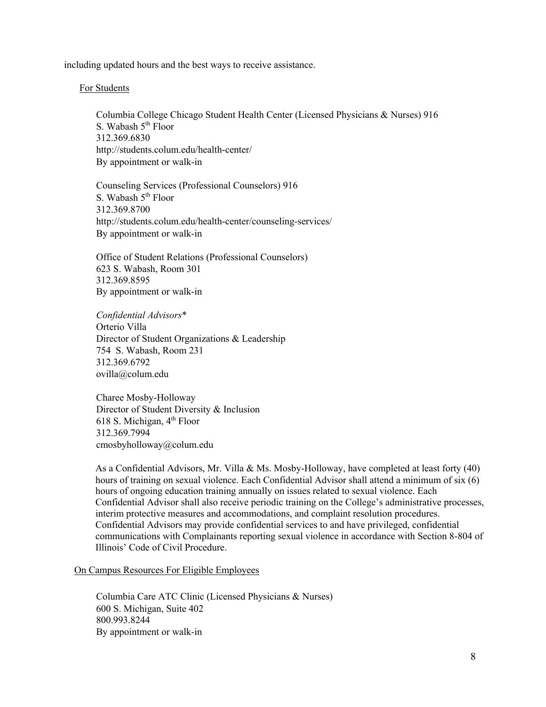including updated hours and the best ways to receive assistance.

#### For Students

Columbia College Chicago Student Health Center (Licensed Physicians & Nurses) 916 S. Wabash  $5<sup>th</sup>$  Floor 312.369.6830 http://students.colum.edu/health-center/ By appointment or walk-in

Counseling Services (Professional Counselors) 916 S. Wabash  $5<sup>th</sup>$  Floor 312.369.8700 http://students.colum.edu/health-center/counseling-services/ By appointment or walk-in

Office of Student Relations (Professional Counselors) 623 S. Wabash, Room 301 312.369.8595 By appointment or walk-in

*Confidential Advisors*\* Orterio Villa Director of Student Organizations & Leadership 754 S. Wabash, Room 231 312.369.6792 ovilla@colum.edu

Charee Mosby-Holloway Director of Student Diversity & Inclusion 618 S. Michigan,  $4<sup>th</sup>$  Floor 312.369.7994 cmosbyholloway@colum.edu

As a Confidential Advisors, Mr. Villa & Ms. Mosby-Holloway, have completed at least forty (40) hours of training on sexual violence. Each Confidential Advisor shall attend a minimum of six (6) hours of ongoing education training annually on issues related to sexual violence. Each Confidential Advisor shall also receive periodic training on the College's administrative processes, interim protective measures and accommodations, and complaint resolution procedures. Confidential Advisors may provide confidential services to and have privileged, confidential communications with Complainants reporting sexual violence in accordance with Section 8-804 of Illinois' Code of Civil Procedure.

#### On Campus Resources For Eligible Employees

Columbia Care ATC Clinic (Licensed Physicians & Nurses) 600 S. Michigan, Suite 402 800.993.8244 By appointment or walk-in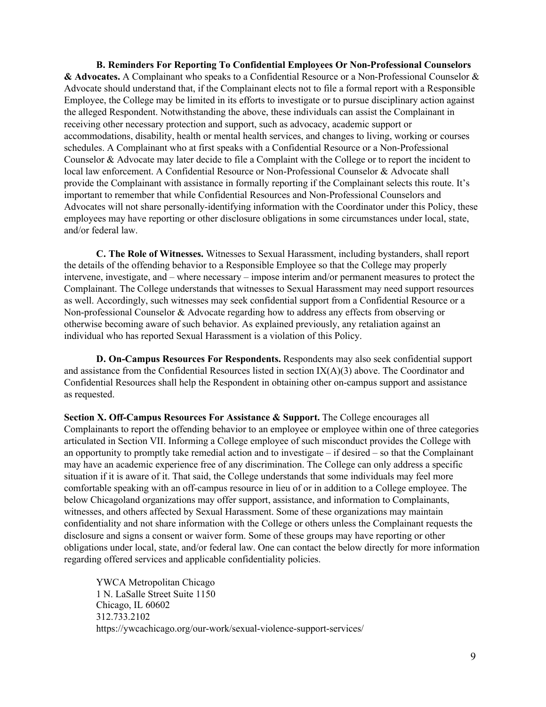**B. Reminders For Reporting To Confidential Employees Or Non-Professional Counselors & Advocates.** A Complainant who speaks to a Confidential Resource or a Non-Professional Counselor & Advocate should understand that, if the Complainant elects not to file a formal report with a Responsible Employee, the College may be limited in its efforts to investigate or to pursue disciplinary action against the alleged Respondent. Notwithstanding the above, these individuals can assist the Complainant in receiving other necessary protection and support, such as advocacy, academic support or accommodations, disability, health or mental health services, and changes to living, working or courses schedules. A Complainant who at first speaks with a Confidential Resource or a Non-Professional Counselor & Advocate may later decide to file a Complaint with the College or to report the incident to local law enforcement. A Confidential Resource or Non-Professional Counselor & Advocate shall provide the Complainant with assistance in formally reporting if the Complainant selects this route. It's important to remember that while Confidential Resources and Non-Professional Counselors and Advocates will not share personally-identifying information with the Coordinator under this Policy, these employees may have reporting or other disclosure obligations in some circumstances under local, state, and/or federal law.

**C. The Role of Witnesses.** Witnesses to Sexual Harassment, including bystanders, shall report the details of the offending behavior to a Responsible Employee so that the College may properly intervene, investigate, and – where necessary – impose interim and/or permanent measures to protect the Complainant. The College understands that witnesses to Sexual Harassment may need support resources as well. Accordingly, such witnesses may seek confidential support from a Confidential Resource or a Non-professional Counselor & Advocate regarding how to address any effects from observing or otherwise becoming aware of such behavior. As explained previously, any retaliation against an individual who has reported Sexual Harassment is a violation of this Policy.

**D. On-Campus Resources For Respondents.** Respondents may also seek confidential support and assistance from the Confidential Resources listed in section IX(A)(3) above. The Coordinator and Confidential Resources shall help the Respondent in obtaining other on-campus support and assistance as requested.

**Section X. Off-Campus Resources For Assistance & Support.** The College encourages all Complainants to report the offending behavior to an employee or employee within one of three categories articulated in Section VII. Informing a College employee of such misconduct provides the College with an opportunity to promptly take remedial action and to investigate – if desired – so that the Complainant may have an academic experience free of any discrimination. The College can only address a specific situation if it is aware of it. That said, the College understands that some individuals may feel more comfortable speaking with an off-campus resource in lieu of or in addition to a College employee. The below Chicagoland organizations may offer support, assistance, and information to Complainants, witnesses, and others affected by Sexual Harassment. Some of these organizations may maintain confidentiality and not share information with the College or others unless the Complainant requests the disclosure and signs a consent or waiver form. Some of these groups may have reporting or other obligations under local, state, and/or federal law. One can contact the below directly for more information regarding offered services and applicable confidentiality policies.

YWCA Metropolitan Chicago 1 N. LaSalle Street Suite 1150 Chicago, IL 60602 312.733.2102 https://ywcachicago.org/our-work/sexual-violence-support-services/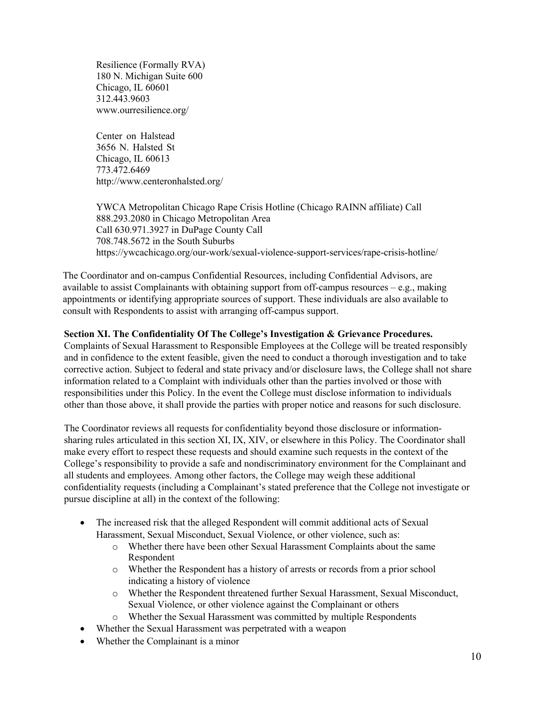Resilience (Formally RVA) 180 N. Michigan Suite 600 Chicago, IL 60601 312.443.9603 www.ourresilience.org/

Center on Halstead 3656 N. Halsted St Chicago, IL 60613 773.472.6469 http://www.centeronhalsted.org/

YWCA Metropolitan Chicago Rape Crisis Hotline (Chicago RAINN affiliate) Call 888.293.2080 in Chicago Metropolitan Area Call 630.971.3927 in DuPage County Call 708.748.5672 in the South Suburbs https://ywcachicago.org/our-work/sexual-violence-support-services/rape-crisis-hotline/

The Coordinator and on-campus Confidential Resources, including Confidential Advisors, are available to assist Complainants with obtaining support from off-campus resources – e.g., making appointments or identifying appropriate sources of support. These individuals are also available to consult with Respondents to assist with arranging off-campus support.

## **Section XI. The Confidentiality Of The College's Investigation & Grievance Procedures.**

Complaints of Sexual Harassment to Responsible Employees at the College will be treated responsibly and in confidence to the extent feasible, given the need to conduct a thorough investigation and to take corrective action. Subject to federal and state privacy and/or disclosure laws, the College shall not share information related to a Complaint with individuals other than the parties involved or those with responsibilities under this Policy. In the event the College must disclose information to individuals other than those above, it shall provide the parties with proper notice and reasons for such disclosure.

The Coordinator reviews all requests for confidentiality beyond those disclosure or informationsharing rules articulated in this section XI, IX, XIV, or elsewhere in this Policy. The Coordinator shall make every effort to respect these requests and should examine such requests in the context of the College's responsibility to provide a safe and nondiscriminatory environment for the Complainant and all students and employees. Among other factors, the College may weigh these additional confidentiality requests (including a Complainant's stated preference that the College not investigate or pursue discipline at all) in the context of the following:

- The increased risk that the alleged Respondent will commit additional acts of Sexual Harassment, Sexual Misconduct, Sexual Violence, or other violence, such as:
	- o Whether there have been other Sexual Harassment Complaints about the same Respondent
	- o Whether the Respondent has a history of arrests or records from a prior school indicating a history of violence
	- o Whether the Respondent threatened further Sexual Harassment, Sexual Misconduct, Sexual Violence, or other violence against the Complainant or others
	- o Whether the Sexual Harassment was committed by multiple Respondents
- Whether the Sexual Harassment was perpetrated with a weapon
- Whether the Complainant is a minor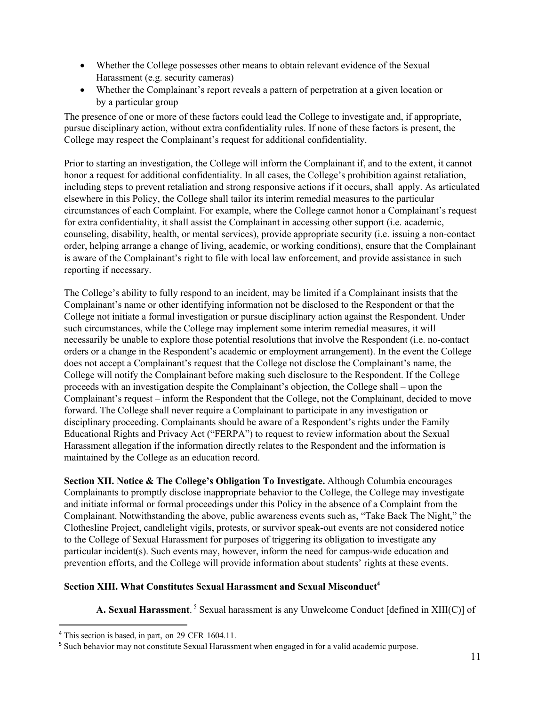- Whether the College possesses other means to obtain relevant evidence of the Sexual Harassment (e.g. security cameras)
- Whether the Complainant's report reveals a pattern of perpetration at a given location or by a particular group

The presence of one or more of these factors could lead the College to investigate and, if appropriate, pursue disciplinary action, without extra confidentiality rules. If none of these factors is present, the College may respect the Complainant's request for additional confidentiality.

Prior to starting an investigation, the College will inform the Complainant if, and to the extent, it cannot honor a request for additional confidentiality. In all cases, the College's prohibition against retaliation, including steps to prevent retaliation and strong responsive actions if it occurs, shall apply. As articulated elsewhere in this Policy, the College shall tailor its interim remedial measures to the particular circumstances of each Complaint. For example, where the College cannot honor a Complainant's request for extra confidentiality, it shall assist the Complainant in accessing other support (i.e. academic, counseling, disability, health, or mental services), provide appropriate security (i.e. issuing a non-contact order, helping arrange a change of living, academic, or working conditions), ensure that the Complainant is aware of the Complainant's right to file with local law enforcement, and provide assistance in such reporting if necessary.

The College's ability to fully respond to an incident, may be limited if a Complainant insists that the Complainant's name or other identifying information not be disclosed to the Respondent or that the College not initiate a formal investigation or pursue disciplinary action against the Respondent. Under such circumstances, while the College may implement some interim remedial measures, it will necessarily be unable to explore those potential resolutions that involve the Respondent (i.e. no-contact orders or a change in the Respondent's academic or employment arrangement). In the event the College does not accept a Complainant's request that the College not disclose the Complainant's name, the College will notify the Complainant before making such disclosure to the Respondent. If the College proceeds with an investigation despite the Complainant's objection, the College shall – upon the Complainant's request – inform the Respondent that the College, not the Complainant, decided to move forward. The College shall never require a Complainant to participate in any investigation or disciplinary proceeding. Complainants should be aware of a Respondent's rights under the Family Educational Rights and Privacy Act ("FERPA") to request to review information about the Sexual Harassment allegation if the information directly relates to the Respondent and the information is maintained by the College as an education record.

**Section XII. Notice & The College's Obligation To Investigate.** Although Columbia encourages Complainants to promptly disclose inappropriate behavior to the College, the College may investigate and initiate informal or formal proceedings under this Policy in the absence of a Complaint from the Complainant. Notwithstanding the above, public awareness events such as, "Take Back The Night," the Clothesline Project, candlelight vigils, protests, or survivor speak-out events are not considered notice to the College of Sexual Harassment for purposes of triggering its obligation to investigate any particular incident(s). Such events may, however, inform the need for campus-wide education and prevention efforts, and the College will provide information about students' rights at these events.

## **Section XIII. What Constitutes Sexual Harassment and Sexual Misconduct4**

**A. Sexual Harassment**. <sup>5</sup> Sexual harassment is any Unwelcome Conduct [defined in XIII(C)] of

<sup>4</sup> This section is based, in part, on 29 CFR 1604.11.

<sup>5</sup> Such behavior may not constitute Sexual Harassment when engaged in for a valid academic purpose.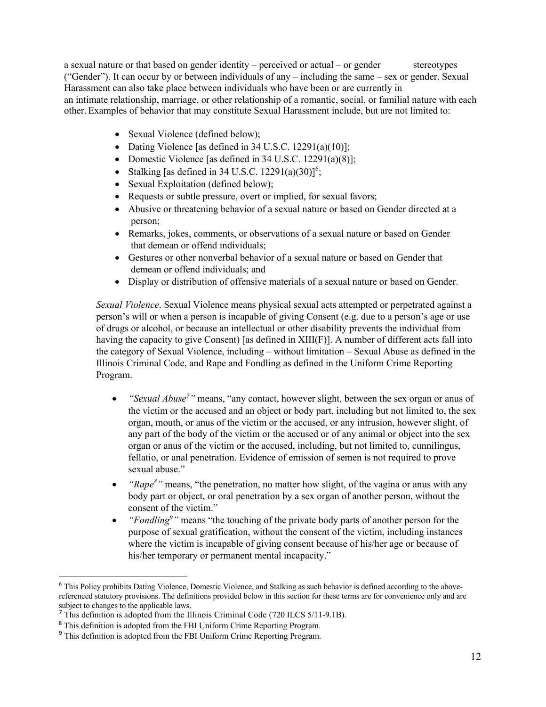a sexual nature or that based on gender identity – perceived or actual – or gender stereotypes ("Gender"). It can occur by or between individuals of any – including the same – sex or gender. Sexual Harassment can also take place between individuals who have been or are currently in an intimate relationship, marriage, or other relationship of a romantic, social, or familial nature with each other. Examples of behavior that may constitute Sexual Harassment include, but are not limited to:

- Sexual Violence (defined below);
- Dating Violence [as defined in 34 U.S.C. 12291(a)(10)];
- Domestic Violence [as defined in 34 U.S.C. 12291(a)(8)];
- Stalking [as defined in 34 U.S.C.  $12291(a)(30)$ ]<sup>6</sup>;
- Sexual Exploitation (defined below);
- Requests or subtle pressure, overt or implied, for sexual favors;
- Abusive or threatening behavior of a sexual nature or based on Gender directed at a person;
- Remarks, jokes, comments, or observations of a sexual nature or based on Gender that demean or offend individuals;
- Gestures or other nonverbal behavior of a sexual nature or based on Gender that demean or offend individuals; and
- Display or distribution of offensive materials of a sexual nature or based on Gender.

*Sexual Violence*. Sexual Violence means physical sexual acts attempted or perpetrated against a person's will or when a person is incapable of giving Consent (e.g. due to a person's age or use of drugs or alcohol, or because an intellectual or other disability prevents the individual from having the capacity to give Consent) [as defined in XIII(F)]. A number of different acts fall into the category of Sexual Violence, including – without limitation – Sexual Abuse as defined in the Illinois Criminal Code, and Rape and Fondling as defined in the Uniform Crime Reporting Program.

- *"Sexual Abuse<sup>7</sup>*" means, "any contact, however slight, between the sex organ or anus of the victim or the accused and an object or body part, including but not limited to, the sex organ, mouth, or anus of the victim or the accused, or any intrusion, however slight, of any part of the body of the victim or the accused or of any animal or object into the sex organ or anus of the victim or the accused, including, but not limited to, cunnilingus, fellatio, or anal penetration. Evidence of emission of semen is not required to prove sexual abuse."
- *"Rape<sup>8</sup>*" means, "the penetration, no matter how slight, of the vagina or anus with any body part or object, or oral penetration by a sex organ of another person, without the consent of the victim."
- *"Fondling<sup>9</sup>*" means "the touching of the private body parts of another person for the purpose of sexual gratification, without the consent of the victim, including instances where the victim is incapable of giving consent because of his/her age or because of his/her temporary or permanent mental incapacity."

<sup>6</sup> This Policy prohibits Dating Violence, Domestic Violence, and Stalking as such behavior is defined according to the abovereferenced statutory provisions. The definitions provided below in this section for these terms are for convenience only and are subject to changes to the applicable laws.

<sup>&</sup>lt;sup>7</sup> This definition is adopted from the Illinois Criminal Code (720 ILCS 5/11-9.1B).

<sup>&</sup>lt;sup>8</sup> This definition is adopted from the FBI Uniform Crime Reporting Program.

<sup>&</sup>lt;sup>9</sup> This definition is adopted from the FBI Uniform Crime Reporting Program.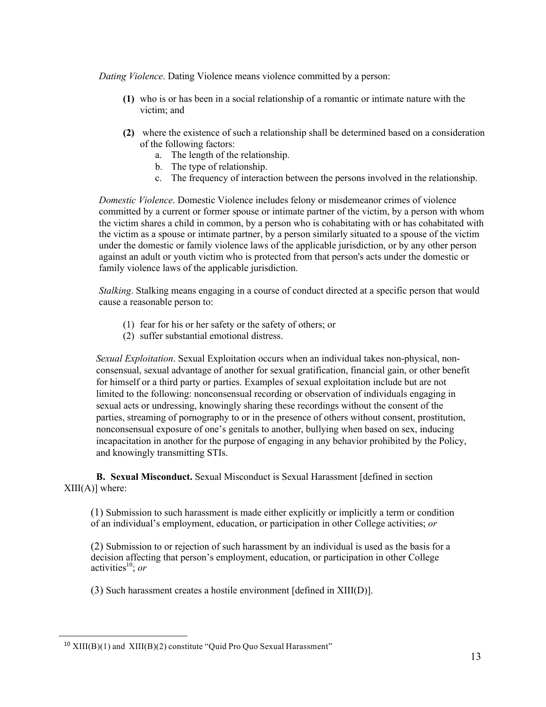*Dating Violence*. Dating Violence means violence committed by a person:

- **(1)** who is or has been in a social relationship of a romantic or intimate nature with the victim; and
- **(2)** where the existence of such a relationship shall be determined based on a consideration of the following factors:
	- a. The length of the relationship.
	- b. The type of relationship.
	- c. The frequency of interaction between the persons involved in the relationship.

*Domestic Violence*. Domestic Violence includes felony or misdemeanor crimes of violence committed by a current or former spouse or intimate partner of the victim, by a person with whom the victim shares a child in common, by a person who is cohabitating with or has cohabitated with the victim as a spouse or intimate partner, by a person similarly situated to a spouse of the victim under the domestic or family violence laws of the applicable jurisdiction, or by any other person against an adult or youth victim who is protected from that person's acts under the domestic or family violence laws of the applicable jurisdiction.

*Stalking*. Stalking means engaging in a course of conduct directed at a specific person that would cause a reasonable person to:

- (1) fear for his or her safety or the safety of others; or
- (2) suffer substantial emotional distress.

*Sexual Exploitation*. Sexual Exploitation occurs when an individual takes non-physical, nonconsensual, sexual advantage of another for sexual gratification, financial gain, or other benefit for himself or a third party or parties. Examples of sexual exploitation include but are not limited to the following: nonconsensual recording or observation of individuals engaging in sexual acts or undressing, knowingly sharing these recordings without the consent of the parties, streaming of pornography to or in the presence of others without consent, prostitution, nonconsensual exposure of one's genitals to another, bullying when based on sex, inducing incapacitation in another for the purpose of engaging in any behavior prohibited by the Policy, and knowingly transmitting STIs.

**B. Sexual Misconduct.** Sexual Misconduct is Sexual Harassment [defined in section  $XIII(A)$ ] where:

(1) Submission to such harassment is made either explicitly or implicitly a term or condition of an individual's employment, education, or participation in other College activities; *or*

(2) Submission to or rejection of such harassment by an individual is used as the basis for a decision affecting that person's employment, education, or participation in other College activities<sup>10</sup>; *or* 

(3) Such harassment creates a hostile environment [defined in XIII(D)].

 $10$  XIII(B)(1) and XIII(B)(2) constitute "Quid Pro Quo Sexual Harassment"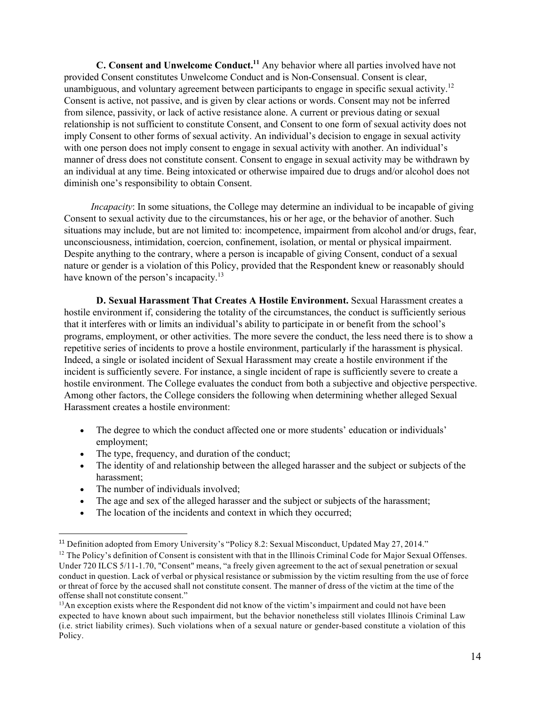**C.** Consent and Unwelcome Conduct.<sup>11</sup> Any behavior where all parties involved have not provided Consent constitutes Unwelcome Conduct and is Non-Consensual. Consent is clear, unambiguous, and voluntary agreement between participants to engage in specific sexual activity.<sup>12</sup> Consent is active, not passive, and is given by clear actions or words. Consent may not be inferred from silence, passivity, or lack of active resistance alone. A current or previous dating or sexual relationship is not sufficient to constitute Consent, and Consent to one form of sexual activity does not imply Consent to other forms of sexual activity. An individual's decision to engage in sexual activity with one person does not imply consent to engage in sexual activity with another. An individual's manner of dress does not constitute consent. Consent to engage in sexual activity may be withdrawn by an individual at any time. Being intoxicated or otherwise impaired due to drugs and/or alcohol does not diminish one's responsibility to obtain Consent.

*Incapacity*: In some situations, the College may determine an individual to be incapable of giving Consent to sexual activity due to the circumstances, his or her age, or the behavior of another. Such situations may include, but are not limited to: incompetence, impairment from alcohol and/or drugs, fear, unconsciousness, intimidation, coercion, confinement, isolation, or mental or physical impairment. Despite anything to the contrary, where a person is incapable of giving Consent, conduct of a sexual nature or gender is a violation of this Policy, provided that the Respondent knew or reasonably should have known of the person's incapacity.<sup>13</sup>

**D. Sexual Harassment That Creates A Hostile Environment.** Sexual Harassment creates a hostile environment if, considering the totality of the circumstances, the conduct is sufficiently serious that it interferes with or limits an individual's ability to participate in or benefit from the school's programs, employment, or other activities. The more severe the conduct, the less need there is to show a repetitive series of incidents to prove a hostile environment, particularly if the harassment is physical. Indeed, a single or isolated incident of Sexual Harassment may create a hostile environment if the incident is sufficiently severe. For instance, a single incident of rape is sufficiently severe to create a hostile environment. The College evaluates the conduct from both a subjective and objective perspective. Among other factors, the College considers the following when determining whether alleged Sexual Harassment creates a hostile environment:

- The degree to which the conduct affected one or more students' education or individuals' employment;
- The type, frequency, and duration of the conduct;
- The identity of and relationship between the alleged harasser and the subject or subjects of the harassment;
- The number of individuals involved;
- The age and sex of the alleged harasser and the subject or subjects of the harassment;
- The location of the incidents and context in which they occurred;

<sup>&</sup>lt;sup>11</sup> Definition adopted from Emory University's "Policy 8.2: Sexual Misconduct, Updated May 27, 2014."

 $12$  The Policy's definition of Consent is consistent with that in the Illinois Criminal Code for Major Sexual Offenses. Under 720 ILCS 5/11-1.70, "Consent" means, "a freely given agreement to the act of sexual penetration or sexual conduct in question. Lack of verbal or physical resistance or submission by the victim resulting from the use of force or threat of force by the accused shall not constitute consent. The manner of dress of the victim at the time of the offense shall not constitute consent."

 $<sup>13</sup>$ An exception exists where the Respondent did not know of the victim's impairment and could not have been</sup> expected to have known about such impairment, but the behavior nonetheless still violates Illinois Criminal Law (i.e. strict liability crimes). Such violations when of a sexual nature or gender-based constitute a violation of this Policy.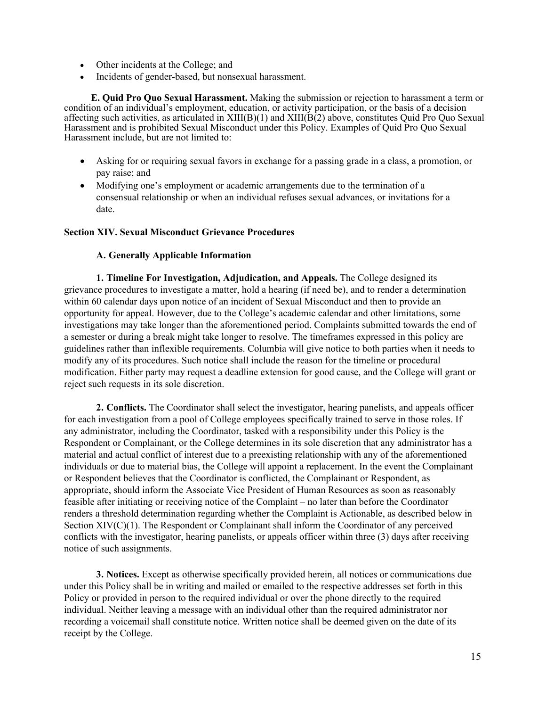- Other incidents at the College; and
- Incidents of gender-based, but nonsexual harassment.

**E. Quid Pro Quo Sexual Harassment.** Making the submission or rejection to harassment a term or condition of an individual's employment, education, or activity participation, or the basis of a decision affecting such activities, as articulated in  $XIII(B)(1)$  and  $XIII(B(2))$  above, constitutes Quid Pro Quo Sexual Harassment and is prohibited Sexual Misconduct under this Policy. Examples of Quid Pro Quo Sexual Harassment include, but are not limited to:

- Asking for or requiring sexual favors in exchange for a passing grade in a class, a promotion, or pay raise; and
- Modifying one's employment or academic arrangements due to the termination of a consensual relationship or when an individual refuses sexual advances, or invitations for a date.

#### **Section XIV. Sexual Misconduct Grievance Procedures**

#### **A. Generally Applicable Information**

**1. Timeline For Investigation, Adjudication, and Appeals.** The College designed its grievance procedures to investigate a matter, hold a hearing (if need be), and to render a determination within 60 calendar days upon notice of an incident of Sexual Misconduct and then to provide an opportunity for appeal. However, due to the College's academic calendar and other limitations, some investigations may take longer than the aforementioned period. Complaints submitted towards the end of a semester or during a break might take longer to resolve. The timeframes expressed in this policy are guidelines rather than inflexible requirements. Columbia will give notice to both parties when it needs to modify any of its procedures. Such notice shall include the reason for the timeline or procedural modification. Either party may request a deadline extension for good cause, and the College will grant or reject such requests in its sole discretion.

**2. Conflicts.** The Coordinator shall select the investigator, hearing panelists, and appeals officer for each investigation from a pool of College employees specifically trained to serve in those roles. If any administrator, including the Coordinator, tasked with a responsibility under this Policy is the Respondent or Complainant, or the College determines in its sole discretion that any administrator has a material and actual conflict of interest due to a preexisting relationship with any of the aforementioned individuals or due to material bias, the College will appoint a replacement. In the event the Complainant or Respondent believes that the Coordinator is conflicted, the Complainant or Respondent, as appropriate, should inform the Associate Vice President of Human Resources as soon as reasonably feasible after initiating or receiving notice of the Complaint – no later than before the Coordinator renders a threshold determination regarding whether the Complaint is Actionable, as described below in Section XIV(C)(1). The Respondent or Complainant shall inform the Coordinator of any perceived conflicts with the investigator, hearing panelists, or appeals officer within three (3) days after receiving notice of such assignments.

**3. Notices.** Except as otherwise specifically provided herein, all notices or communications due under this Policy shall be in writing and mailed or emailed to the respective addresses set forth in this Policy or provided in person to the required individual or over the phone directly to the required individual. Neither leaving a message with an individual other than the required administrator nor recording a voicemail shall constitute notice. Written notice shall be deemed given on the date of its receipt by the College.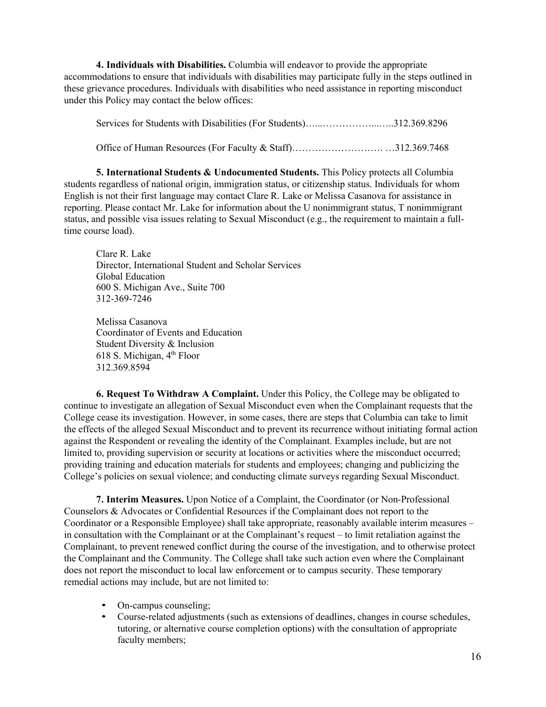**4. Individuals with Disabilities.** Columbia will endeavor to provide the appropriate accommodations to ensure that individuals with disabilities may participate fully in the steps outlined in these grievance procedures. Individuals with disabilities who need assistance in reporting misconduct under this Policy may contact the below offices:

Services for Students with Disabilities (For Students)…...……………...…..312.369.8296

Office of Human Resources (For Faculty & Staff)………………………. …312.369.7468

**5. International Students & Undocumented Students.** This Policy protects all Columbia students regardless of national origin, immigration status, or citizenship status. Individuals for whom English is not their first language may contact Clare R. Lake or Melissa Casanova for assistance in reporting. Please contact Mr. Lake for information about the U nonimmigrant status, T nonimmigrant status, and possible visa issues relating to Sexual Misconduct (e.g., the requirement to maintain a fulltime course load).

Clare R. Lake Director, International Student and Scholar Services Global Education 600 S. Michigan Ave., Suite 700 312-369-7246

Melissa Casanova Coordinator of Events and Education Student Diversity & Inclusion 618 S. Michigan,  $4<sup>th</sup>$  Floor 312.369.8594

**6. Request To Withdraw A Complaint.** Under this Policy, the College may be obligated to continue to investigate an allegation of Sexual Misconduct even when the Complainant requests that the College cease its investigation. However, in some cases, there are steps that Columbia can take to limit the effects of the alleged Sexual Misconduct and to prevent its recurrence without initiating formal action against the Respondent or revealing the identity of the Complainant. Examples include, but are not limited to, providing supervision or security at locations or activities where the misconduct occurred; providing training and education materials for students and employees; changing and publicizing the College's policies on sexual violence; and conducting climate surveys regarding Sexual Misconduct.

**7. Interim Measures.** Upon Notice of a Complaint, the Coordinator (or Non-Professional Counselors & Advocates or Confidential Resources if the Complainant does not report to the Coordinator or a Responsible Employee) shall take appropriate, reasonably available interim measures – in consultation with the Complainant or at the Complainant's request – to limit retaliation against the Complainant, to prevent renewed conflict during the course of the investigation, and to otherwise protect the Complainant and the Community. The College shall take such action even where the Complainant does not report the misconduct to local law enforcement or to campus security. These temporary remedial actions may include, but are not limited to:

- On-campus counseling;
- Course-related adjustments (such as extensions of deadlines, changes in course schedules, tutoring, or alternative course completion options) with the consultation of appropriate faculty members;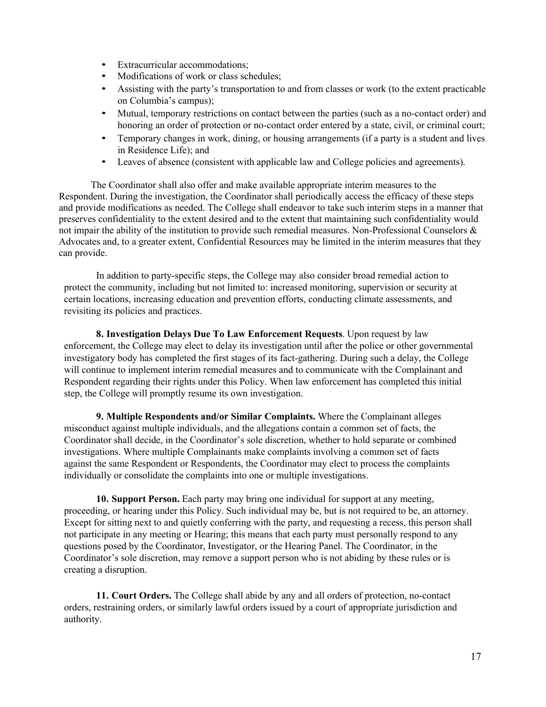- Extracurricular accommodations;
- Modifications of work or class schedules;
- Assisting with the party's transportation to and from classes or work (to the extent practicable on Columbia's campus);
- Mutual, temporary restrictions on contact between the parties (such as a no-contact order) and honoring an order of protection or no-contact order entered by a state, civil, or criminal court;
- Temporary changes in work, dining, or housing arrangements (if a party is a student and lives in Residence Life); and
- Leaves of absence (consistent with applicable law and College policies and agreements).

The Coordinator shall also offer and make available appropriate interim measures to the Respondent. During the investigation, the Coordinator shall periodically access the efficacy of these steps and provide modifications as needed. The College shall endeavor to take such interim steps in a manner that preserves confidentiality to the extent desired and to the extent that maintaining such confidentiality would not impair the ability of the institution to provide such remedial measures. Non-Professional Counselors & Advocates and, to a greater extent, Confidential Resources may be limited in the interim measures that they can provide.

In addition to party-specific steps, the College may also consider broad remedial action to protect the community, including but not limited to: increased monitoring, supervision or security at certain locations, increasing education and prevention efforts, conducting climate assessments, and revisiting its policies and practices.

**8. Investigation Delays Due To Law Enforcement Requests**. Upon request by law enforcement, the College may elect to delay its investigation until after the police or other governmental investigatory body has completed the first stages of its fact-gathering. During such a delay, the College will continue to implement interim remedial measures and to communicate with the Complainant and Respondent regarding their rights under this Policy. When law enforcement has completed this initial step, the College will promptly resume its own investigation.

**9. Multiple Respondents and/or Similar Complaints.** Where the Complainant alleges misconduct against multiple individuals, and the allegations contain a common set of facts, the Coordinator shall decide, in the Coordinator's sole discretion, whether to hold separate or combined investigations. Where multiple Complainants make complaints involving a common set of facts against the same Respondent or Respondents, the Coordinator may elect to process the complaints individually or consolidate the complaints into one or multiple investigations.

**10. Support Person.** Each party may bring one individual for support at any meeting, proceeding, or hearing under this Policy. Such individual may be, but is not required to be, an attorney. Except for sitting next to and quietly conferring with the party, and requesting a recess, this person shall not participate in any meeting or Hearing; this means that each party must personally respond to any questions posed by the Coordinator, Investigator, or the Hearing Panel. The Coordinator, in the Coordinator's sole discretion, may remove a support person who is not abiding by these rules or is creating a disruption.

**11. Court Orders.** The College shall abide by any and all orders of protection, no-contact orders, restraining orders, or similarly lawful orders issued by a court of appropriate jurisdiction and authority.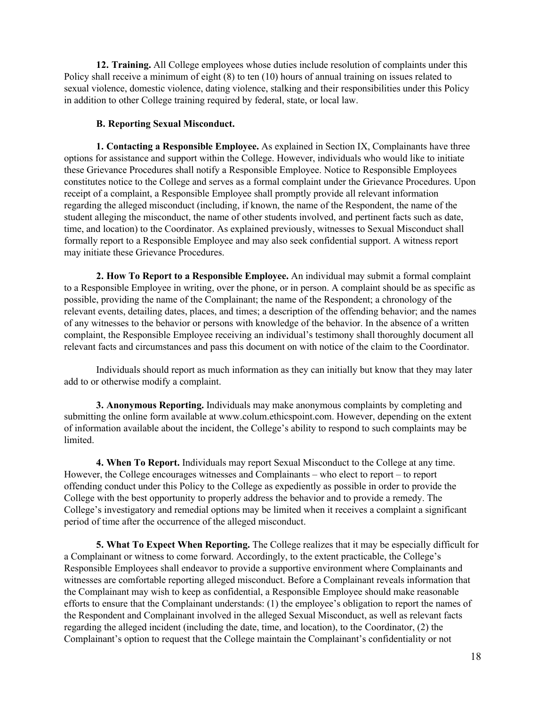**12. Training.** All College employees whose duties include resolution of complaints under this Policy shall receive a minimum of eight (8) to ten (10) hours of annual training on issues related to sexual violence, domestic violence, dating violence, stalking and their responsibilities under this Policy in addition to other College training required by federal, state, or local law.

### **B. Reporting Sexual Misconduct.**

**1. Contacting a Responsible Employee.** As explained in Section IX, Complainants have three options for assistance and support within the College. However, individuals who would like to initiate these Grievance Procedures shall notify a Responsible Employee. Notice to Responsible Employees constitutes notice to the College and serves as a formal complaint under the Grievance Procedures. Upon receipt of a complaint, a Responsible Employee shall promptly provide all relevant information regarding the alleged misconduct (including, if known, the name of the Respondent, the name of the student alleging the misconduct, the name of other students involved, and pertinent facts such as date, time, and location) to the Coordinator. As explained previously, witnesses to Sexual Misconduct shall formally report to a Responsible Employee and may also seek confidential support. A witness report may initiate these Grievance Procedures.

**2. How To Report to a Responsible Employee.** An individual may submit a formal complaint to a Responsible Employee in writing, over the phone, or in person. A complaint should be as specific as possible, providing the name of the Complainant; the name of the Respondent; a chronology of the relevant events, detailing dates, places, and times; a description of the offending behavior; and the names of any witnesses to the behavior or persons with knowledge of the behavior. In the absence of a written complaint, the Responsible Employee receiving an individual's testimony shall thoroughly document all relevant facts and circumstances and pass this document on with notice of the claim to the Coordinator.

Individuals should report as much information as they can initially but know that they may later add to or otherwise modify a complaint.

**3. Anonymous Reporting.** Individuals may make anonymous complaints by completing and submitting the online form available at www.colum.ethicspoint.com. However, depending on the extent of information available about the incident, the College's ability to respond to such complaints may be limited.

**4. When To Report.** Individuals may report Sexual Misconduct to the College at any time. However, the College encourages witnesses and Complainants – who elect to report – to report offending conduct under this Policy to the College as expediently as possible in order to provide the College with the best opportunity to properly address the behavior and to provide a remedy. The College's investigatory and remedial options may be limited when it receives a complaint a significant period of time after the occurrence of the alleged misconduct.

**5. What To Expect When Reporting.** The College realizes that it may be especially difficult for a Complainant or witness to come forward. Accordingly, to the extent practicable, the College's Responsible Employees shall endeavor to provide a supportive environment where Complainants and witnesses are comfortable reporting alleged misconduct. Before a Complainant reveals information that the Complainant may wish to keep as confidential, a Responsible Employee should make reasonable efforts to ensure that the Complainant understands: (1) the employee's obligation to report the names of the Respondent and Complainant involved in the alleged Sexual Misconduct, as well as relevant facts regarding the alleged incident (including the date, time, and location), to the Coordinator, (2) the Complainant's option to request that the College maintain the Complainant's confidentiality or not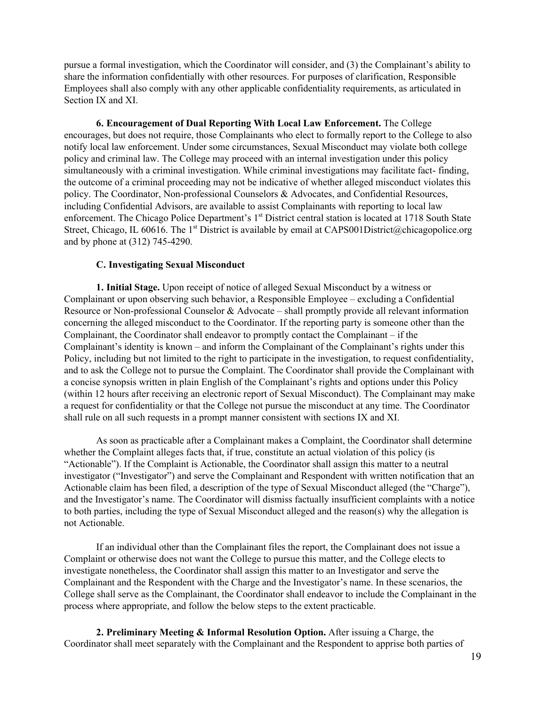pursue a formal investigation, which the Coordinator will consider, and (3) the Complainant's ability to share the information confidentially with other resources. For purposes of clarification, Responsible Employees shall also comply with any other applicable confidentiality requirements, as articulated in Section IX and XI.

**6. Encouragement of Dual Reporting With Local Law Enforcement.** The College encourages, but does not require, those Complainants who elect to formally report to the College to also notify local law enforcement. Under some circumstances, Sexual Misconduct may violate both college policy and criminal law. The College may proceed with an internal investigation under this policy simultaneously with a criminal investigation. While criminal investigations may facilitate fact- finding, the outcome of a criminal proceeding may not be indicative of whether alleged misconduct violates this policy. The Coordinator, Non-professional Counselors & Advocates, and Confidential Resources, including Confidential Advisors, are available to assist Complainants with reporting to local law enforcement. The Chicago Police Department's 1<sup>st</sup> District central station is located at 1718 South State Street, Chicago, IL 60616. The 1<sup>st</sup> District is available by email at CAPS001District@chicagopolice.org and by phone at (312) 745-4290.

#### **C. Investigating Sexual Misconduct**

**1. Initial Stage.** Upon receipt of notice of alleged Sexual Misconduct by a witness or Complainant or upon observing such behavior, a Responsible Employee – excluding a Confidential Resource or Non-professional Counselor & Advocate – shall promptly provide all relevant information concerning the alleged misconduct to the Coordinator. If the reporting party is someone other than the Complainant, the Coordinator shall endeavor to promptly contact the Complainant – if the Complainant's identity is known – and inform the Complainant of the Complainant's rights under this Policy, including but not limited to the right to participate in the investigation, to request confidentiality, and to ask the College not to pursue the Complaint. The Coordinator shall provide the Complainant with a concise synopsis written in plain English of the Complainant's rights and options under this Policy (within 12 hours after receiving an electronic report of Sexual Misconduct). The Complainant may make a request for confidentiality or that the College not pursue the misconduct at any time. The Coordinator shall rule on all such requests in a prompt manner consistent with sections IX and XI.

As soon as practicable after a Complainant makes a Complaint, the Coordinator shall determine whether the Complaint alleges facts that, if true, constitute an actual violation of this policy (is "Actionable"). If the Complaint is Actionable, the Coordinator shall assign this matter to a neutral investigator ("Investigator") and serve the Complainant and Respondent with written notification that an Actionable claim has been filed, a description of the type of Sexual Misconduct alleged (the "Charge"), and the Investigator's name. The Coordinator will dismiss factually insufficient complaints with a notice to both parties, including the type of Sexual Misconduct alleged and the reason(s) why the allegation is not Actionable.

If an individual other than the Complainant files the report, the Complainant does not issue a Complaint or otherwise does not want the College to pursue this matter, and the College elects to investigate nonetheless, the Coordinator shall assign this matter to an Investigator and serve the Complainant and the Respondent with the Charge and the Investigator's name. In these scenarios, the College shall serve as the Complainant, the Coordinator shall endeavor to include the Complainant in the process where appropriate, and follow the below steps to the extent practicable.

**2. Preliminary Meeting & Informal Resolution Option.** After issuing a Charge, the Coordinator shall meet separately with the Complainant and the Respondent to apprise both parties of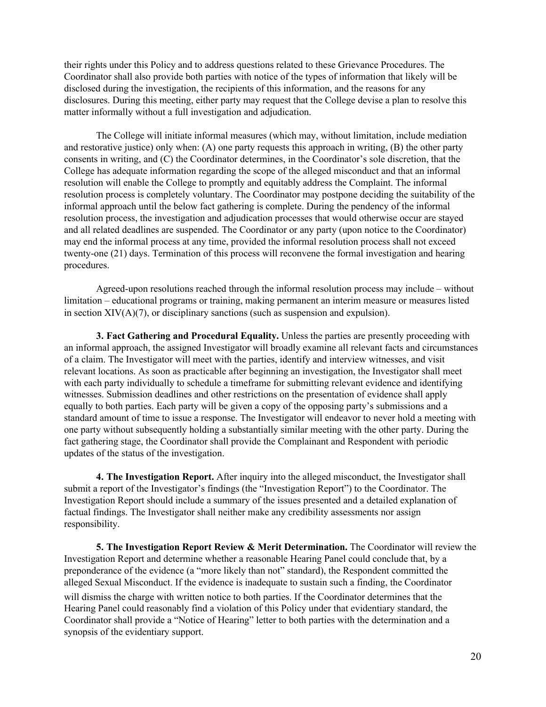their rights under this Policy and to address questions related to these Grievance Procedures. The Coordinator shall also provide both parties with notice of the types of information that likely will be disclosed during the investigation, the recipients of this information, and the reasons for any disclosures. During this meeting, either party may request that the College devise a plan to resolve this matter informally without a full investigation and adjudication.

The College will initiate informal measures (which may, without limitation, include mediation and restorative justice) only when: (A) one party requests this approach in writing, (B) the other party consents in writing, and (C) the Coordinator determines, in the Coordinator's sole discretion, that the College has adequate information regarding the scope of the alleged misconduct and that an informal resolution will enable the College to promptly and equitably address the Complaint. The informal resolution process is completely voluntary. The Coordinator may postpone deciding the suitability of the informal approach until the below fact gathering is complete. During the pendency of the informal resolution process, the investigation and adjudication processes that would otherwise occur are stayed and all related deadlines are suspended. The Coordinator or any party (upon notice to the Coordinator) may end the informal process at any time, provided the informal resolution process shall not exceed twenty-one (21) days. Termination of this process will reconvene the formal investigation and hearing procedures.

Agreed-upon resolutions reached through the informal resolution process may include – without limitation – educational programs or training, making permanent an interim measure or measures listed in section  $XIV(A)(7)$ , or disciplinary sanctions (such as suspension and expulsion).

**3. Fact Gathering and Procedural Equality.** Unless the parties are presently proceeding with an informal approach, the assigned Investigator will broadly examine all relevant facts and circumstances of a claim. The Investigator will meet with the parties, identify and interview witnesses, and visit relevant locations. As soon as practicable after beginning an investigation, the Investigator shall meet with each party individually to schedule a timeframe for submitting relevant evidence and identifying witnesses. Submission deadlines and other restrictions on the presentation of evidence shall apply equally to both parties. Each party will be given a copy of the opposing party's submissions and a standard amount of time to issue a response. The Investigator will endeavor to never hold a meeting with one party without subsequently holding a substantially similar meeting with the other party. During the fact gathering stage, the Coordinator shall provide the Complainant and Respondent with periodic updates of the status of the investigation.

**4. The Investigation Report.** After inquiry into the alleged misconduct, the Investigator shall submit a report of the Investigator's findings (the "Investigation Report") to the Coordinator. The Investigation Report should include a summary of the issues presented and a detailed explanation of factual findings. The Investigator shall neither make any credibility assessments nor assign responsibility.

**5. The Investigation Report Review & Merit Determination.** The Coordinator will review the Investigation Report and determine whether a reasonable Hearing Panel could conclude that, by a preponderance of the evidence (a "more likely than not" standard), the Respondent committed the alleged Sexual Misconduct. If the evidence is inadequate to sustain such a finding, the Coordinator will dismiss the charge with written notice to both parties. If the Coordinator determines that the Hearing Panel could reasonably find a violation of this Policy under that evidentiary standard, the Coordinator shall provide a "Notice of Hearing" letter to both parties with the determination and a synopsis of the evidentiary support.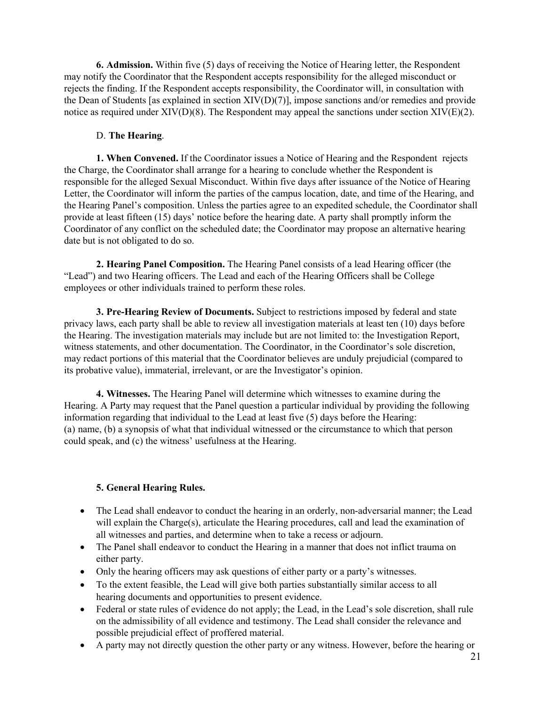**6. Admission.** Within five (5) days of receiving the Notice of Hearing letter, the Respondent may notify the Coordinator that the Respondent accepts responsibility for the alleged misconduct or rejects the finding. If the Respondent accepts responsibility, the Coordinator will, in consultation with the Dean of Students [as explained in section XIV(D)(7)], impose sanctions and/or remedies and provide notice as required under XIV(D)(8). The Respondent may appeal the sanctions under section XIV(E)(2).

## D. **The Hearing**.

**1. When Convened.** If the Coordinator issues a Notice of Hearing and the Respondent rejects the Charge, the Coordinator shall arrange for a hearing to conclude whether the Respondent is responsible for the alleged Sexual Misconduct. Within five days after issuance of the Notice of Hearing Letter, the Coordinator will inform the parties of the campus location, date, and time of the Hearing, and the Hearing Panel's composition. Unless the parties agree to an expedited schedule, the Coordinator shall provide at least fifteen (15) days' notice before the hearing date. A party shall promptly inform the Coordinator of any conflict on the scheduled date; the Coordinator may propose an alternative hearing date but is not obligated to do so.

**2. Hearing Panel Composition.** The Hearing Panel consists of a lead Hearing officer (the "Lead") and two Hearing officers. The Lead and each of the Hearing Officers shall be College employees or other individuals trained to perform these roles.

**3. Pre-Hearing Review of Documents.** Subject to restrictions imposed by federal and state privacy laws, each party shall be able to review all investigation materials at least ten (10) days before the Hearing. The investigation materials may include but are not limited to: the Investigation Report, witness statements, and other documentation. The Coordinator, in the Coordinator's sole discretion, may redact portions of this material that the Coordinator believes are unduly prejudicial (compared to its probative value), immaterial, irrelevant, or are the Investigator's opinion.

**4. Witnesses.** The Hearing Panel will determine which witnesses to examine during the Hearing. A Party may request that the Panel question a particular individual by providing the following information regarding that individual to the Lead at least five (5) days before the Hearing: (a) name, (b) a synopsis of what that individual witnessed or the circumstance to which that person could speak, and (c) the witness' usefulness at the Hearing.

## **5. General Hearing Rules.**

- The Lead shall endeavor to conduct the hearing in an orderly, non-adversarial manner; the Lead will explain the Charge(s), articulate the Hearing procedures, call and lead the examination of all witnesses and parties, and determine when to take a recess or adjourn.
- The Panel shall endeavor to conduct the Hearing in a manner that does not inflict trauma on either party.
- Only the hearing officers may ask questions of either party or a party's witnesses.
- To the extent feasible, the Lead will give both parties substantially similar access to all hearing documents and opportunities to present evidence.
- Federal or state rules of evidence do not apply; the Lead, in the Lead's sole discretion, shall rule on the admissibility of all evidence and testimony. The Lead shall consider the relevance and possible prejudicial effect of proffered material.
- A party may not directly question the other party or any witness. However, before the hearing or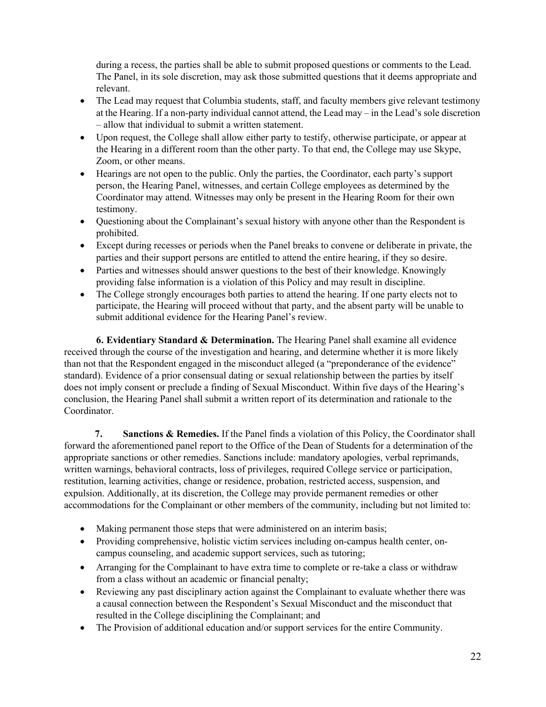during a recess, the parties shall be able to submit proposed questions or comments to the Lead. The Panel, in its sole discretion, may ask those submitted questions that it deems appropriate and relevant.

- The Lead may request that Columbia students, staff, and faculty members give relevant testimony at the Hearing. If a non-party individual cannot attend, the Lead may – in the Lead's sole discretion – allow that individual to submit a written statement.
- Upon request, the College shall allow either party to testify, otherwise participate, or appear at the Hearing in a different room than the other party. To that end, the College may use Skype, Zoom, or other means.
- Hearings are not open to the public. Only the parties, the Coordinator, each party's support person, the Hearing Panel, witnesses, and certain College employees as determined by the Coordinator may attend. Witnesses may only be present in the Hearing Room for their own testimony.
- Questioning about the Complainant's sexual history with anyone other than the Respondent is prohibited.
- Except during recesses or periods when the Panel breaks to convene or deliberate in private, the parties and their support persons are entitled to attend the entire hearing, if they so desire.
- Parties and witnesses should answer questions to the best of their knowledge. Knowingly providing false information is a violation of this Policy and may result in discipline.
- The College strongly encourages both parties to attend the hearing. If one party elects not to participate, the Hearing will proceed without that party, and the absent party will be unable to submit additional evidence for the Hearing Panel's review.

**6. Evidentiary Standard & Determination.** The Hearing Panel shall examine all evidence received through the course of the investigation and hearing, and determine whether it is more likely than not that the Respondent engaged in the misconduct alleged (a "preponderance of the evidence" standard). Evidence of a prior consensual dating or sexual relationship between the parties by itself does not imply consent or preclude a finding of Sexual Misconduct. Within five days of the Hearing's conclusion, the Hearing Panel shall submit a written report of its determination and rationale to the Coordinator.

**7. Sanctions & Remedies.** If the Panel finds a violation of this Policy, the Coordinator shall forward the aforementioned panel report to the Office of the Dean of Students for a determination of the appropriate sanctions or other remedies. Sanctions include: mandatory apologies, verbal reprimands, written warnings, behavioral contracts, loss of privileges, required College service or participation, restitution, learning activities, change or residence, probation, restricted access, suspension, and expulsion. Additionally, at its discretion, the College may provide permanent remedies or other accommodations for the Complainant or other members of the community, including but not limited to:

- Making permanent those steps that were administered on an interim basis;
- Providing comprehensive, holistic victim services including on-campus health center, oncampus counseling, and academic support services, such as tutoring;
- Arranging for the Complainant to have extra time to complete or re-take a class or withdraw from a class without an academic or financial penalty;
- Reviewing any past disciplinary action against the Complainant to evaluate whether there was a causal connection between the Respondent's Sexual Misconduct and the misconduct that resulted in the College disciplining the Complainant; and
- The Provision of additional education and/or support services for the entire Community.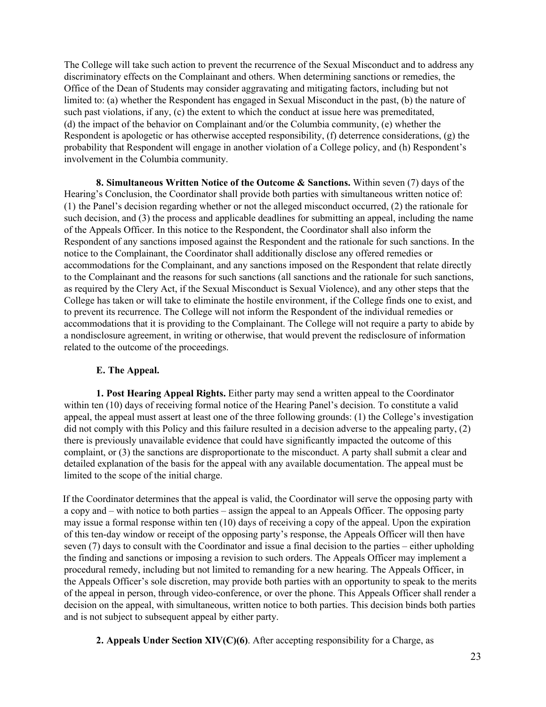The College will take such action to prevent the recurrence of the Sexual Misconduct and to address any discriminatory effects on the Complainant and others. When determining sanctions or remedies, the Office of the Dean of Students may consider aggravating and mitigating factors, including but not limited to: (a) whether the Respondent has engaged in Sexual Misconduct in the past, (b) the nature of such past violations, if any, (c) the extent to which the conduct at issue here was premeditated, (d) the impact of the behavior on Complainant and/or the Columbia community, (e) whether the Respondent is apologetic or has otherwise accepted responsibility, (f) deterrence considerations, (g) the probability that Respondent will engage in another violation of a College policy, and (h) Respondent's involvement in the Columbia community.

**8. Simultaneous Written Notice of the Outcome & Sanctions.** Within seven (7) days of the Hearing's Conclusion, the Coordinator shall provide both parties with simultaneous written notice of: (1) the Panel's decision regarding whether or not the alleged misconduct occurred, (2) the rationale for such decision, and (3) the process and applicable deadlines for submitting an appeal, including the name of the Appeals Officer. In this notice to the Respondent, the Coordinator shall also inform the Respondent of any sanctions imposed against the Respondent and the rationale for such sanctions. In the notice to the Complainant, the Coordinator shall additionally disclose any offered remedies or accommodations for the Complainant, and any sanctions imposed on the Respondent that relate directly to the Complainant and the reasons for such sanctions (all sanctions and the rationale for such sanctions, as required by the Clery Act, if the Sexual Misconduct is Sexual Violence), and any other steps that the College has taken or will take to eliminate the hostile environment, if the College finds one to exist, and to prevent its recurrence. The College will not inform the Respondent of the individual remedies or accommodations that it is providing to the Complainant. The College will not require a party to abide by a nondisclosure agreement, in writing or otherwise, that would prevent the redisclosure of information related to the outcome of the proceedings.

## **E. The Appeal.**

**1. Post Hearing Appeal Rights.** Either party may send a written appeal to the Coordinator within ten (10) days of receiving formal notice of the Hearing Panel's decision. To constitute a valid appeal, the appeal must assert at least one of the three following grounds: (1) the College's investigation did not comply with this Policy and this failure resulted in a decision adverse to the appealing party, (2) there is previously unavailable evidence that could have significantly impacted the outcome of this complaint, or (3) the sanctions are disproportionate to the misconduct. A party shall submit a clear and detailed explanation of the basis for the appeal with any available documentation. The appeal must be limited to the scope of the initial charge.

If the Coordinator determines that the appeal is valid, the Coordinator will serve the opposing party with a copy and – with notice to both parties – assign the appeal to an Appeals Officer. The opposing party may issue a formal response within ten (10) days of receiving a copy of the appeal. Upon the expiration of this ten-day window or receipt of the opposing party's response, the Appeals Officer will then have seven (7) days to consult with the Coordinator and issue a final decision to the parties – either upholding the finding and sanctions or imposing a revision to such orders. The Appeals Officer may implement a procedural remedy, including but not limited to remanding for a new hearing. The Appeals Officer, in the Appeals Officer's sole discretion, may provide both parties with an opportunity to speak to the merits of the appeal in person, through video-conference, or over the phone. This Appeals Officer shall render a decision on the appeal, with simultaneous, written notice to both parties. This decision binds both parties and is not subject to subsequent appeal by either party.

**2. Appeals Under Section XIV(C)(6)**. After accepting responsibility for a Charge, as